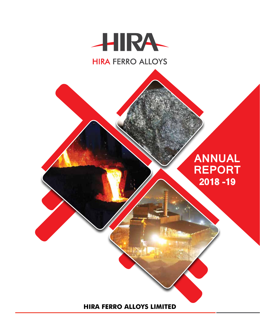

**HIRA FERRO ALLOYS LIMITED**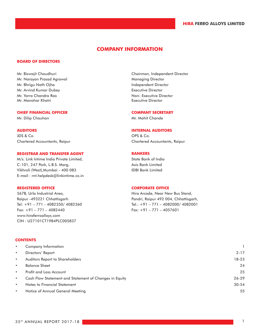# **COMPANY INFORMATION**

## **BOARD OF DIRECTORS**

Mr. Biswajit Choudhuri Mr. Narayan Prasad Agrawal Mr. Bhrigu Nath Ojha Mr. Arvind Kumar Dubey Mr. Yarra Chandra Rao Mr. Manohar Khatri

## **CHIEF FINANCIAL OFFICER**

Mr. Dilip Chauhan

#### **AUDITORS**

JDS & Co. Chartered Accountants, Raipur

## **REGISTRAR AND TRANSFER AGENT**

M/s. Link Intime India Private Limited, C-101, 247 Park, L.B.S. Marg, Vikhroli (West),Mumbai - 400 083 E-mail : rnt.helpdesk@linkintime.co.in

#### **REGISTERED OFFICE**

567B, Urla Industrial Area, Raipur -493221 Chhattisgarh Tel: +91 – 771 - 4082350/ 4082360 Fax: +91 – 771 – 4082440 www.hiraferroalloys.com CIN : U27101CT1984PLC005837

#### **CONTENTS**

| $\bullet$ | <b>Company Information</b>                             |           |
|-----------|--------------------------------------------------------|-----------|
| $\bullet$ | Directors' Report                                      | $2 - 17$  |
| $\bullet$ | <b>Auditors Report to Shareholders</b>                 | $18 - 23$ |
| $\bullet$ | <b>Balance Sheet</b>                                   | 24        |
| $\bullet$ | <b>Profit and Loss Account</b>                         | 25        |
| $\bullet$ | Cash Flow Statement and Statement of Changes in Equity | $26 - 29$ |
| $\bullet$ | Notes to Financial Statement                           | $30 - 54$ |
| $\bullet$ | Notice of Annual General Meeting                       | 55        |

Chairman, Independent Director Managing Director Independent Director Executive Director Non- Executive Director Executive Director

## **COMPANY SECRETARY**

Mr. Mohit Chande

## **INTERNAL AUDITORS**

OPS & Co. Chartered Accountants, Raipur

#### **BANKERS**

State Bank of India Axis Bank Limited IDBI Bank Limited

## **CORPORATE OFFICE**

Hira Arcade, Near New Bus Stand, Pandri, Raipur 492 004, Chhattisgarh, Tel.: +91 – 771 – 4082000/ 4082001 Fax: +91 – 771 – 4057601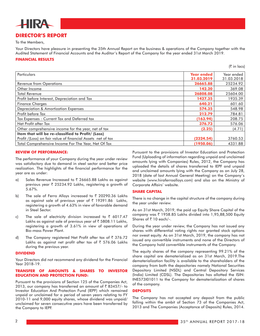

# **DIRECTOR'S REPORT**

To the Members,

Your Directors have pleasure in presenting the 35th Annual Report on the business & operations of the Company together with the Audited Statement of Financial Accounts and the Auditor's Report of the Company for the year ended 31st March 2019.

## **FINANCIAL RESULTS**

 $($ ₹ in lacs)

| <b>Particulars</b>                                          | <b>Year ended</b><br>31.03.2019 | Year ended<br>31.03.2018 |
|-------------------------------------------------------------|---------------------------------|--------------------------|
| <b>Revenue from Operations</b>                              | 26665.88                        | 25234.92                 |
| Other Income                                                | 142.20                          | 369.08                   |
| <b>Total Revenue</b>                                        | 26808.08                        | 25604.00                 |
| Profit before Interest, Depreciation and Tax                | 1427.35                         | 1935.39                  |
| <b>Finance Charges</b>                                      | 640.21                          | 601.60                   |
| <b>Depreciation &amp; Amortization Expenses</b>             | 574.35                          | 548.98                   |
| Profit before Tax                                           | 212.79                          | 784.81                   |
| Tax Expenses: Current Tax and Deferred tax                  | (163.94)                        | 208.75                   |
| Net Profit after Tax                                        | 376.73                          | 576.06                   |
| Other comprehensive income for the year, net of tax         | (2.25)                          | (4.71)                   |
| Item that will be re-classified to Profit/ (Loss)           |                                 |                          |
| Profit /(Loss) on fair value of financial Assets net of tax | (2324.54)                       | 3760.53                  |
| Total Comprehensive Income For The Year, Net Of Tax         | (1950.06)                       | 4331.88                  |

## **REVIEW OF PERFORMANCE:**

The performance of your Company during the year under review was satisfactory due to demand in steel sector and better price realization. The highlights of the financial performance for the year are as under:

- a) Sales Revenue Increased to  $\bar{\tau}$  26665.88 Lakhs as against previous year ₹ 25234.92 Lakhs, registering a growth of 5.67%.
- b) The sale of Ferro Alloys increased to  $\bar{\tau}$  20290.36 Lakhs as against sale of previous year of  $\bar{z}$  19391.86 Lakhs, registering a growth of 4.63% in view of favorable demand in Steel Sector.
- c) The sale of electricity division increased to  $\bar{\tau}$  6017.47 Lakhs as against sale of previous year of  $\bar{\tau}$  5808.11 Lakhs, registering a growth of 3.61% in view of operations of Bio-mass Power Plant.
- d) The Company registered Net Profit after tax of  $\bar{z}$  376.72 Lakhs as against net profit after tax of  $\bar{z}$  576.06 Lakhs during the previous year.

## **DIVIDEND**

Your Directors did not recommend any dividend for the Financial Year 2018-19.

## **TRANSFER OF AMOUNTS & SHARES TO INVESTOR EDUCATION AND PROTECTION FUND:**

Pursuant to the provisions of Section 125 of the Companies Act, 2013, our company has transferred an amount of  $\bar{\tau}$  83457/- to Investor Education And Protection Fund (IEPF) which remained unpaid or unclaimed for a period of seven years relating to FY 2010-11 and 9,000 equity shares, whose dividend was unpaid/ unclaimed for seven consecutive years have been transferred by the Company to IEPF.

Pursuant to the provisions of Investor Education and Protection Fund (Uploading of information regarding unpaid and unclaimed amounts lying with Companies) Rules, 2012, the Company has uploaded the details of shares transferred to IEPF and unpaid and unclaimed amounts lying with the Company as on July 28, 2018 (date of last Annual General Meeting) on the Company's website (www.hiraferroalloys.com) and also on the Ministry of Corporate Affairs' website.

## **SHARE CAPITAL**

There is no change in the capital structure of the company during the year under review.

As on 31st March, 2019, the paid up Equity Share Capital of the company was  $\bar{\tau}$  1958.85 Lakhs divided into 1,95,88,500 Equity Shares of  $\overline{z}$  10 each/-.

During the year under review, the Company has not issued any shares with differential voting rights nor granted stock options nor sweat equity. As on 31st March, 2019, the company has not issued any convertible instruments and none of the Directors of the Company hold convertible instruments of the Company.

The equity shares of the company representing 99.21% of the share capital are dematerialized as on 31st March, 2019.The dematerialization facility is available to the shareholders of the company from both the depositories namely National Securities Depository Limited (NSDL) and Central Depository Services (India) Limited (CDSL). The Depositories has allotted the ISIN: INE573I01011 to the Company for dematerialization of shares of the company.

#### **DEPOSITS**

The Company has not accepted any deposit from the public falling within the ambit of Section 73 of the Companies Act, 2013 and The Companies (Acceptance of Deposits) Rules, 2014.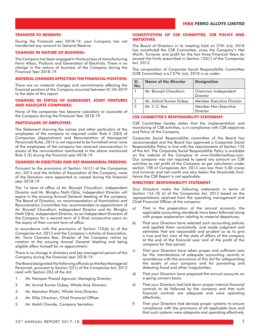## **TRANSFER TO RESERVES**

During the Financial year 2018-19, your Company has not transferred any amount to General Reserve.

#### **CHANGES IN NATURE OF BUSINESS:**

The Company has been engaged in the business of manufacturing Ferro Alloys, Products and Generation of Electricity. There is no change in the nature of business of the Company during the Financial Year 2018-19.

## **MATERIAL CHANGES AFFECTING THE FINANCIAL POSITION:**

There are no material changes and commitments affecting the financial position of the Company occurred between 01.04.2019 to the date of this report.

## **CHANGES IN STATUS OF SUBSIDIARY, JOINT VENTURES AND ASSOCIATE COMPANIES:**

None of the companies has become subsidiary or associate of the Company during the Financial Year 2018-19.

#### **PARTICULARS OF EMPLOYEES**

The Statement showing the names and other particulars of the employees of the company as required under Rule 5 (2&3) of Companies (Appointment and Remuneration of Managerial Personnel) Rules, 2014 is not required to be furnished since none of the employees of the company has received remuneration in excess of the remuneration mentioned in the above mentioned Rule 5 (2) during the financial year 2018-19.

## **CHANGES IN DIRECTORS AND KEY MANAGERIAL PERSONS:**

Pursuant to the provisions of Section 161(1) of the Companies Act, 2013 and the Articles of Association of the Company, none of the Directors were appointed or ceased during the financial year 2018-19.

The 1st term of office of Mr. Biswajit Choudhuri, Independent Director and Mr. Bhrighu Nath Ojha, Independent Director will expire in the ensuing Annual General Meeting of the company. The Board of Directors, on recommendation of Nomination and Remuneration Committee has recommended re-appointment of Mr. Biswajit Choudhuri, Independent Director and Mr. Bhrighu Nath Ojha, Independent Director, as an Independent Directors of the Company for a second term of 5 (five) consecutive years on the expiry of their current term of office.

In accordance with the provisions of Section 152(6) (c) of the Companies Act, 2013 and the Company's Articles of Association, Mr. Yarra Chandra Rao, Director of the Company retires by rotation at the ensuing Annual General Meeting and being eligible offers himself for re-appointment.

There is no change in directors and key managerial person of the Company during the financial year 2018-19.

The Board designated the following officials as the Key Managerial Personnel, pursuant to Section 2(51) of the Companies Act, 2013 read with Section 203 of the Act:

- 1. Mr. Narayan Prasad Agrawal, Managing Director;
- 2. Mr. Arvind Kumar Dubey, Whole-time Director;
- 3. Mr. Manohar Khatri, Whole-time Director;
- 4. Mr. Dilip Chouhan, Chief Financial Officer
- 5. Mr. Mohit Chande, Company Secretary

#### **CONSTITUTION OF CSR COMMITTEE, CSR POLICY AND INITIATIVES**

The Board of Directors in its meeting held on 27th July, 2018 has constituted the CSR Committee, since the Company's Net Worth, Turnover and profit for the last three Financial Years do exceed the limits prescribed in Section 135(1) of the Companies Act, 2013.

The composition of Corporate Social Responsibility Committee (CSR Committee) w.e.f 27th July, 2018 is as under:

| SI.<br>No. | <b>Name of the Director</b> | <b>Designation</b>                      |
|------------|-----------------------------|-----------------------------------------|
|            | Mr. Biswajit Choudhuri      | Chairman-Independent<br>Director        |
| 2          | Mr. Arbind Kumar Dubey      | <b>Member-Executive Director</b>        |
| 3          | Mr. Y. C. Rao               | <b>Member-Non Executive</b><br>Director |

#### **CSR Committee's Responsibility Statement:**

CSR Committee hereby states that the implementation and monitoring of CSR activities, is in compliance with CSR objectives and Policy of the Company.

Corporate Social Responsibility committee of the Board has recommended and the Board has approved a Corporate Social Responsibility Policy in line with the requirements of Section 135 of the Act. The Corporate Social Responsibility Policy is available on the website of the Company at www.hiraferroalloys.com. Our company was not required to spend any amount on CSR activities as net profit of the Company as per calculation under section 198 of Companies Act, 2013 was less than 5.00 crores and turnover and net-worth was also below the thresholds limit, hence the CSR Report is not applicable.

#### **DIRECTORS' RESPONSIBILITY STATEMENT**

Your Directors make the following statements in terms of Section 134 (3) (c) of the Companies Act, 2013 based on the representations received from the operating management and Chief Financial Officer of the company:

- a) That in the preparation of the annual accounts, the applicable accounting standards have been followed along with proper explanation relating to material departures;
- b) That your Directors have selected such accounting policies and applied them consistently, and made judgment and estimates that are reasonable and prudent so as to give a true and fair view of the state of affairs of the company at the end of the financial year and of the profit of the company for that period;
- c) That your Directors have taken proper and sufficient care for the maintenance of adequate accounting records in accordance with the provisions of this Act for safeguarding the assets of your company and for preventing and detecting fraud and other irregularities;
- d) That your Directors have prepared the annual accounts on a going concern basis;
- e) That your Directors had laid down proper internal financial controls to be followed by the company and that such financial controls are adequate and were operating effectively;
- f) That your Directors had devised proper systems to ensure compliance with the provisions of all applicable laws and that such systems were adequate and operating effectively.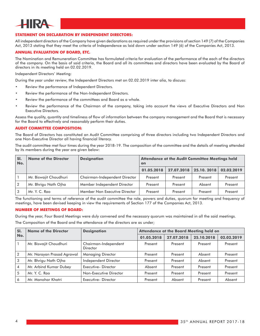

## **STATEMENT ON DECLARATION BY INDEPENDENT DIRECTORS:**

All independent directors of the Company have given declarations as required under the provisions of section 149 (7) of the Companies Act, 2013 stating that they meet the criteria of Independence as laid down under section 149 (6) of the Companies Act, 2013.

## **ANNUAL EVALUATION OF BOARD, ETC.**

The Nomination and Remuneration Committee has formulated criteria for evaluation of the performance of the each of the directors of the company. On the basis of said criteria, the Board and all its committees and directors have been evaluated by the Board of directors in its meeting held on 02.02.2019.

Independent Directors' Meeting:

During the year under review, the Independent Directors met on 02.02.2019 inter alia, to discuss:

- Review the performance of Independent Directors.
- Review the performance of the Non-Independent Directors.
- Review the performance of the committees and Board as a whole.
- Review the performance of the Chairman of the company, taking into account the views of Executive Directors and Non Executive Directors.

Assess the quality, quantity and timeliness of flow of information between the company management and the Board that is necessary for the Board to effectively and reasonably perform their duties.

## **AUDIT COMMITTEE COMPOSITION:**

The Board of Directors has constituted an Audit Committee comprising of three directors including two Independent Directors and one Non-Executive Director all having financial literacy.

The audit committee met four times during the year 2018-19. The composition of the committee and the details of meeting attended by its members during the year are given below:

| SI.<br>No. | <b>Name of the Director</b> | <b>Designation</b>                   | <b>Attendance at the Audit Committee Meetings held</b><br>on |            |            |            |
|------------|-----------------------------|--------------------------------------|--------------------------------------------------------------|------------|------------|------------|
|            |                             |                                      | 01.05.2018                                                   | 27.07.2018 | 25.10.2018 | 02.02.2019 |
|            | Mr. Biswajit Choudhuri      | <b>Chairman-Independent Director</b> | Present                                                      | Present    | Present    | Present    |
|            | Mr. Bhrigu Nath Ojha        | Member Independent Director          | Present                                                      | Present    | Absent     | Present    |
|            | Mr. Y. C. Rao               | Member Non Executive Director        | Present                                                      | Present    | Present    | Present    |

The functioning and terms of reference of the audit committee the role, powers and duties, quorum for meeting and frequency of meetings, have been devised keeping in view the requirements of Section 177 of the Companies Act, 2013.

## **NUMBER OF MEETINGS OF BOARD:**

During the year, Four Board Meetings were duly convened and the necessary quorum was maintained in all the said meetings.

The Composition of the Board and the attendance of the directors are as under;

| SI. | <b>Name of the Director</b> | <b>Designation</b>                      |            | <b>Attendance at the Board Meeting held on</b> |            |            |
|-----|-----------------------------|-----------------------------------------|------------|------------------------------------------------|------------|------------|
| No. |                             |                                         | 01.05.2018 | 27.07.2018                                     | 25.10.2018 | 02.02.2019 |
|     | Mr. Biswajit Choudhuri      | Chairman-Independent<br><b>Director</b> | Present    | Present                                        | Present    | Present    |
|     | Mr. Narayan Prasad Agrawal  | <b>Managing Director</b>                | Present    | Present                                        | Absent     | Present    |
| 3   | Mr. Bhrigu Nath Ojha        | <b>Independent Director</b>             | Present    | Present                                        | Absent     | Present    |
| 4   | Mr. Arbind Kumar Dubey      | Executive-Director                      | Absent     | Present                                        | Present    | Present    |
| 5   | Mr. Y. C. Rao               | Non-Executive Director                  | Present    | Present                                        | Present    | Present    |
| 6   | Mr. Manohar Khatri          | Executive-Director                      | Present    | Absent                                         | Present    | Absent     |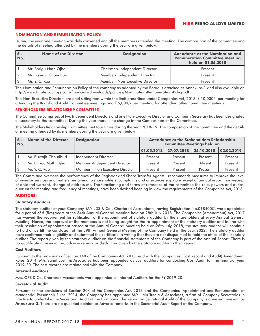## **NOMINATION AND REMUNERATION POLICY:**

During the year one meeting was duly convened and all the members attended the meeting. The composition of the committee and the details of meeting attended by the members during the year are given below:

| SI.<br>No. | <b>Name of the Director</b> | <b>Designation</b>                    | Attendance at the Nomination and<br><b>Remuneration Committee meeting</b><br>held on 01.05.2018 |
|------------|-----------------------------|---------------------------------------|-------------------------------------------------------------------------------------------------|
|            | Mr. Bhrigu Nath Ojha        | <b>Chairman-Independent Director</b>  | Present                                                                                         |
|            | Mr. Biswajit Choudhuri      | Member- Independent Director          | Present                                                                                         |
|            | Mr. Y. C. Rao               | <b>Member- Non Executive Director</b> | Present                                                                                         |

The Nomination and Remuneration Policy of the company as adopted by the Board is attached as Annexure-1 and also available on http://www.hiraferroalloys.com/financials/downloads/policies/Nomination-Remuneration-Policy.pdf

The Non-Executive Directors are paid sitting fees within the limit prescribed under Companies Act, 2013. ₹10,000/- per meeting for attending the Board and Audit Committee meetings and  $\bar{z}$  5,000/- per meeting for attending other committee meetings.

## **STAKEHOLDERS RELATIONSHIP COMMITTEE**

The Committee comprises of two Independent Directors and one Non-Executive Director and Company Secretary has been designated as secretary to the committee. During the year there is no change in the Composition of the Committee.

The Stakeholders Relationship Committee met four times during the year 2018-19. The composition of the committee and the details of meeting attended by its members during the year are given below:

| SI.<br>No. | <b>Name of the Director</b> | <b>Designation</b>              | <b>Attendance at the Stakeholders Relationship</b><br><b>Committee Meetings held on</b> |            |            |            |
|------------|-----------------------------|---------------------------------|-----------------------------------------------------------------------------------------|------------|------------|------------|
|            |                             |                                 | 01.05.2018                                                                              | 27.07.2018 | 25.10.2018 | 02.02.2019 |
|            | Mr. Biswajit Choudhuri      | Independent Director            | Present                                                                                 | Present    | Present    | Present    |
|            | Mr. Bhrigu Nath Ojha        | Member -Independent Director    | Present                                                                                 | Present    | Absent     | Present    |
|            | Mr. Y. C. Rao               | Member - Non Executive Director | Present                                                                                 | Present    | Present    | Present    |

The Committee oversees the performance of the Registrar and Share Transfer Agents', recommends measures to improve the level of investor services and matters pertaining to shareholders' complaints and grievances e.g. non-receipt of annual report, non-receipt of dividend warrant, change of address etc. The functioning and terms of reference of the committee the role, powers and duties, quorum for meeting and frequency of meetings, have been devised keeping in view the requirements of the Companies Act, 2013.

## **AUDITORS:**

#### **Statutory Auditors**

The statutory auditor of your Company, M/s JDS & Co., Chartered Accountants, having Registration No.018400C, were appointed for a period of 5 (five) years at the 34th Annual General Meeting held on 28th July 2018. The Companies (Amendment) Act, 2017 has waived the requirement for ratification of the appointment of statutory auditor by the shareholders at every Annual General Meeting. Hence, the approval of the members is not being sought for the re-appointment of the statutory auditor and in line with their resolution of appointment passed at the Annual General Meeting held on 28th July, 2018, the statutory auditor will continue to hold office till the conclusion of the 39th Annual General Meeting of the Company held in the year 2022. The statutory auditor have confirmed their eligibility and submitted the certificate in writing that they are not disqualified to hold the office of the statutory auditor. The report given by the statutory auditor on the financial statements of the Company is part of the Annual Report. There is no qualification, reservation, adverse remark or disclaimer given by the statutory auditor in their report.

#### **Cost Auditors**

Pursuant to the provisions of Section 148 of the Companies Act, 2013 read with the Companies (Cost Record and Audit) Amendment Rules, 2014, M/s Sanat Joshi & Associates has been appointed as cost auditors for conducting Cost Audit for the financial year 2019-20. The cost records are maintained with the Company.

#### **Internal Auditors**

M/s. OPS & Co, Chartered Accountants were appointed as Internal Auditors for the FY 2019-20.

#### **Secretarial Audit**

Pursuant to the provisions of Section 204 of the Companies Act, 2013 and the Companies (Appointment and Remuneration of Managerial Personnel) Rules, 2014, the Company has appointed M/s. Jain Tuteja & Associates, a firm of Company Secretaries in Practice to undertake the Secretarial Audit of the Company. The Report on Secretarial Audit of the Company is annexed herewith as **Annexure-2**. There are no qualified opinion or Adverse remarks in the Secretarial Audit Report of the Company.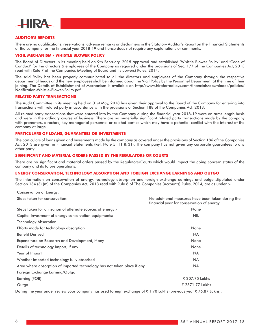

## **AUDITOR'S REPORTS**

There are no qualifications, reservations, adverse remarks or disclaimers in the Statutory Auditor's Report on the Financial Statements of the company for the financial year 2018-19 and hence does not require any explanations or comments.

#### **VIGIL MECHANISM / WHISTLE BLOWER POLICY**

The Board of Directors in its meeting held on 9th February, 2015 approved and established 'Whistle Blower Policy' and 'Code of Conduct' for the directors & employees of the Company as required under the provisions of Sec. 177 of the Companies Act, 2013 read with Rule 7 of the Companies (Meeting of Board and its powers) Rules, 2014.

The said Policy has been properly communicated to all the directors and employees of the Company through the respective departmental heads and the new employees shall be informed about the Vigil Policy by the Personnel Department at the time of their joining. The Details of Establishment of Mechanism is available on http://www.hiraferroalloys.com/financials/downloads/policies/ Notification-Whistle-Blower-Policy.pdf

#### **RELATED PARTY TRANSACTIONS**

Conservation of Energy:

The Audit Committee in its meeting held on 01st May, 2018 has given their approval to the Board of the Company for entering into transactions with related party in accordance with the provisions of Section 188 of the Companies Act, 2013.

All related party transactions that were entered into by the Company during the financial year 2018-19 were on arms length basis and were in the ordinary course of business. There are no materially significant related party transactions made by the company with promoters, directors, key managerial personnel or related parties which may have a potential conflict with the interest of the company at large.

## **PARTICULARS OF LOANS, GUARANTEES OR INVESTMENTS**

The particulars of loans given and Investments made by the company as covered under the provisions of Section 186 of the Companies Act, 2013 are given in Financial Statements (Ref. Note 5, 11 & 31). The company has not given any corporate guarantees to any other party.

#### **SIGNIFICANT AND MATERIAL ORDERS PASSED BY THE REGULATORS OR COURTS**

There are no significant and material orders passed by the Regulators/Courts which would impact the going concern status of the company and its future operations.

## **ENERGY CONSERVATION, TECHNOLOGY ABSORPTION AND FOREIGN EXCHANGE EARNINGS AND OUTGO**

The information on conservation of energy, technology absorption and foreign exchange earnings and outgo stipulated under Section 134 (3) (m) of the Companies Act, 2013 read with Rule 8 of The Companies (Accounts) Rules, 2014, are as under :-

| Steps taken for conservation:                                           | No additional measures have been taken during the<br>financial year for conservation of energy |
|-------------------------------------------------------------------------|------------------------------------------------------------------------------------------------|
| Steps taken for utilization of alternate sources of energy:-            | None                                                                                           |
| Capital Investment of energy conservation equipments:-                  | <b>NIL</b>                                                                                     |
| <b>Technology Absorption</b>                                            |                                                                                                |
| Efforts made for technology absorption                                  | None                                                                                           |
| <b>Benefit Derived</b>                                                  | <b>NA</b>                                                                                      |
| Expenditure on Research and Development, if any                         | None                                                                                           |
| Details of technology Import, if any                                    | None                                                                                           |
| Year of Import                                                          | <b>NA</b>                                                                                      |
| Whether imported technology fully absorbed                              | <b>NA</b>                                                                                      |
| Area where absorption of imported technology has not taken place if any | <b>NA</b>                                                                                      |
| Foreign Exchange Earning/Outgo                                          |                                                                                                |
| Earning (FOB)                                                           | ₹ 207.75 Lakhs                                                                                 |
| Outgo                                                                   | ₹ 2371.77 Lakhs                                                                                |
| $\blacksquare$                                                          | $\epsilon = -1$                                                                                |

During the year under review your company has used foreign exchange of  $\bar{z}$  1.70 Lakhs (previous year  $\bar{z}$  76.87 Lakhs).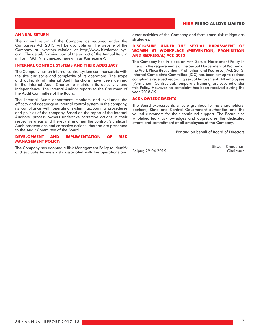#### **ANNUAL RETURN**

The annual return of the Company as required under the Companies Act, 2013 will be available on the website of the Company at investors relation at http://www.hiraferroalloys. com. The details forming part of the extract of the Annual Return in Form MGT 9 is annexed herewith as **Annexure-3**.

#### **INTERNAL CONTROL SYSTEMS AND THEIR ADEQUACY**

The Company has an internal control system commensurate with the size and scale and complexity of its operations. The scope and authority of Internal Audit functions have been defined in the Internal Audit Charter to maintain its objectivity and independence. The Internal Auditor reports to the Chairman of the Audit Committee of the Board.

The Internal Audit department monitors and evaluates the efficacy and adequacy of internal control system in the company, its compliance with operating system, accounting procedures and policies of the company. Based on the report of the Internal Auditors, process owners undertake corrective actions in their respective areas and thereby strengthen the control. Significant Audit observations and corrective actions, thereon are presented to the Audit Committee of the Board.

## **DEVELOPMENT AND IMPLEMENTATION OF RISK MANAGEMENT POLICY:**

The Company has adopted a Risk Management Policy to identify and evaluate business risks associated with the operations and other activities of the Company and formulated risk mitigations strategies.

#### **DISCLOSURE UNDER THE SEXUAL HARASSMENT OF WOMEN AT WORKPLACE (PREVENTION, PROHIBITION AND REDRESSAL) ACT, 2013**

The Company has in place an Anti-Sexual Harassment Policy in line with the requirements of the Sexual Harassment of Women at the Work Place (Prevention, Prohibition and Redressal) Act, 2013. Internal Complaints Committee (ICC) has been set up to redress complaints received regarding sexual harassment. All employees (Permanent, Contractual, Temporary Training) are covered under this Policy. However no complaint has been received during the year 2018-19.

#### **ACKNOWLEDGEMENTS**

The Board expresses its sincere gratitude to the shareholders, bankers, State and Central Government authorities and the valued customers for their continued support. The Board also wholeheartedly acknowledges and appreciates the dedicated efforts and commitment of all employees of the Company.

For and on behalf of Board of Directors

 Biswajit Choudhuri Raipur, 29.04.2019 Chairman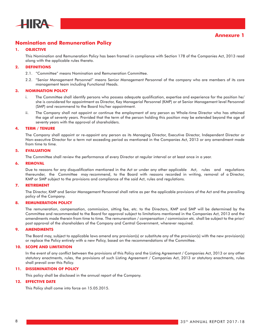

# **Nomination and Remuneration Policy**

## **1. OBJECTIVE**

This Nomination and Remuneration Policy has been framed in compliance with Section 178 of the Companies Act, 2013 read along with the applicable rules thereto.

## **2. DEFINITIONS**

- 2.1. "Committee" means Nomination and Remuneration Committee.
- 2.2. "Senior Management Personnel" means Senior Management Personnel of the company who are members of its core management team including Functional Heads.

## **3. NOMINATION POLICY**

- i. The Committee shall identify persons who possess adequate qualification, expertise and experience for the position he/ she is considered for appointment as Director, Key Managerial Personnel (KMP) or at Senior Management level Personnel (SMP) and recommend to the Board his/her appointment.
- ii. The Company shall not appoint or continue the employment of any person as Whole-time Director who has attained the age of seventy years. Provided that the term of the person holding this position may be extended beyond the age of seventy years with the approval of shareholders.

## **4. TERM / TENURE**

The Company shall appoint or re-appoint any person as its Managing Director, Executive Director, Independent Director or Non-executive Director for a term not exceeding period as mentioned in the Companies Act, 2013 or any amendment made from time to time.

## **5. EVALUATION**

The Committee shall review the performance of every Director at regular interval or at least once in a year.

#### **6. REMOVAL**

 Due to reasons for any disqualification mentioned in the Act or under any other applicable Act, rules and regulations thereunder, the Committee may recommend, to the Board with reasons recorded in writing, removal of a Director, KMP or SMP subject to the provisions and compliance of the said Act, rules and regulations.

#### **7. RETIREMENT**

The Director, KMP and Senior Management Personnel shall retire as per the applicable provisions of the Act and the prevailing policy of the Company.

## **8. REMUNERATION POLICY**

The remuneration, compensation, commission, sitting fee, etc. to the Directors, KMP and SMP will be determined by the Committee and recommended to the Board for approval subject to limitations mentioned in the Companies Act, 2013 and the amendments made therein from time to time. The remuneration / compensation / commission etc. shall be subject to the prior/ post approval of the shareholders of the Company and Central Government, wherever required.

#### **9. AMENDMENTS**

The Board may, subject to applicable laws amend any provision(s) or substitute any of the provision(s) with the new provision(s) or replace the Policy entirely with a new Policy, based on the recommendations of the Committee.

## **10. SCOPE AND LIMITATION**

 In the event of any conflict between the provisions of this Policy and the Listing Agreement / Companies Act, 2013 or any other statutory enactments, rules, the provisions of such Listing Agreement / Companies Act, 2013 or statutory enactments, rules shall prevail over this Policy.

## **11. DISSEMINATION OF POLICY**

This policy shall be disclosed in the annual report of the Company.

## **12. EFFECTIVE DATE**

This Policy shall come into force on 15.05.2015.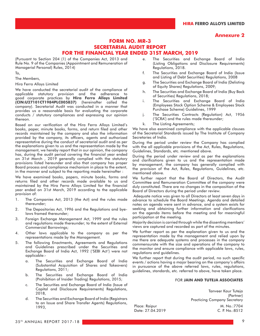# **Annexure 2**

# **FORM NO. MR-3 SECRETARIAL AUDIT REPORT FOR THE FINANCIAL YEAR ENDED 31ST MARCH, 2019**

(Pursuant to Section 204 (1) of the Companies Act, 2013 and Rule No. 9 of the Companies (Appointment and Remuneration of Managerial Personal) Rules, 2014)

To,

The Members,

Hira Ferro Alloys Limited

We have conducted the secretarial audit of the compliance of applicable statutory provision and the adherence to good corporate practices by **Hira Ferro Alloys Limited (CIN:U27101CT1984PLC005837)** (hereinafter called the company). Secretarial Audit was conducted in a manner that provides us a reasonable basis for evaluating the corporate conducts / statutory compliances and expressing our opinion thereon.

Based on our verification of the Hira Ferro Alloys Limited's books, paper, minute books, forms, and return filed and other records maintained by the company and also the information provided by the company, its officers, agents and authorized representative during the conduct of secretarial audit and as per the explanations given to us and the representation made by the management, we hereby report that in our opinion, the company has, during the audit period covering the financial year ended on 31st March , 2019 generally complied with the statutory provisions listed hereunder and also that company has proper Board process and compliance mechanism in place to the extent, in the manner and subject to the reporting made hereinafter :

We have examined books, papers, minute books, forms and returns filed and other records made available to us and maintained by the Hira Ferro Alloys Limited for the financial year ended on 31st March, 2019 according to the applicable provision of:

- 1. The Companies Act, 2013 (the Act) and the rules made thereunder;
- 2. The Depositories Act, 1996 and the Regulations and byelaws framed thereunder;
- 3. Foreign Exchange Management Act, 1999 and the rules and regulations made thereunder; to the extent of External Commercial Borrowings;
- 4. Other laws applicable to the company as per the representations made by the Management.
- 5. The following Enactments, Agreements and Regulations and Guidelines prescribed under the Securities and Exchange Board of India Act, 1992 ('SEBI Act') were not applicable:
	- a. The Securities and Exchange Board of India (Substantial Acquisition of Shares and Takeovers) Regulations, 2011;
	- b. The Securities and Exchange Board of India (Prohibition of Insider Trading) Regulations, 2015;
	- c. The Securities and Exchange Board of India (Issue of Capital and Disclosure Requirements) Regulations, 2018,
	- d. The Securities and Exchange Board of India (Registrars to an Issue and Share Transfer Agents) Regulations, 1993,
- e. The Securities and Exchange Board of India (Listing Obligations and Disclosure Requirements) Regulations, 2018.
- f. The Securities and Exchange Board of India (Issue and Listing of Debt Securities) Regulations, 2008
- g. The Securities and Exchange Board of India (Delisting of Equity Shares) Regulations, 2009;
- h. The Securities and Exchange Board of India (Buy Back of Securities) Regulations, 2018;
- i. The Securities and Exchange Board of India (Employees Stock Option Scheme & Employees Stock Purchase Scheme) Guidelines, 1999
- j. The Securities Contracts (Regulation) Act, 1956 ('SCRA') and the rules made thereunder;
- k. The Listing Agreements;

We have also examined compliance with the applicable clauses of the Secretarial Standards issued by The Institute of Company Secretaries of India.

During the period under review the Company has complied with the all applicable provisions of the Act, Rules, Regulations, Guidelines, Standards, etc. mentioned above.

During the period under review and as per the explanations and clarifications given to us and the representation made by management, the company has generally complied with the provision of the Act, Rules, Regulations, Guidelines, etc. mentioned above.

We further report that the Board of Directors, the Audit Committee and Remuneration Committee of the company were duly constituted. There are no changes in the composition of the Board of Directors during the period under review.

Adequate notice was given to all Directors at least seven days in advance to schedule the Board Meetings. Agenda and detailed notes on agenda were sent in advance, and a system exists for seeking and obtaining further information and clarifications on the agenda items before the meeting and for meaningful participation at the meeting.

Majority decision is carried through while the dissenting members' views are captured and recorded as part of the minutes.

We further report as per the explanation given to us and the representation made by the management and relied upon by me there are adequate systems and processes in the company commensurate with the size and operations of the company to the monitor and ensure compliance with applicable laws, rules, regulations and guidelines.

We further report that during the audit period, no such specific events / actions having a major bearing on the company's affairs in pursuance of the above referred laws, rules, regulations, guidelines, standards, etc. referred to above, have taken place.

Place: Raipur Date: 27.04.2019

## FOR **JAIN AND TUTEJA ASSOCIATES**

Tanveer Kaur Tuteja (Partner) Practicing Company Secretary M. No.:7704 C. P. No.:8512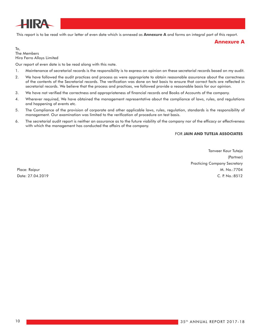

This report is to be read with our letter of even date which is annexed as **Annexure A** and forms an integral part of this report.

# **Annexure A**

## To,

The Members Hira Ferro Alloys Limited

Our report of even date is to be read along with this note.

- 1. Maintenance of secretarial records is the responsibility is to express an opinion on these secretarial records based on my audit.
- 2. We have followed the audit practices and process as were appropriate to obtain reasonable assurance about the correctness of the contents of the Secretarial records. The verification was done on test basis to ensure that correct facts are reflected in secretarial records. We believe that the process and practices, we followed provide a reasonable basis for our opinion.
- 3. We have not verified the correctness and appropriateness of financial records and Books of Accounts of the company.
- 4. Wherever required, We have obtained the management representative about the compliance of laws, rules, and regulations and happening of events etc.
- 5. The Compliance of the provision of corporate and other applicable laws, rules, regulation, standards is the responsibility of management. Our examination was limited to the verification of procedure on test basis.
- 6. The secretarial audit report is neither an assurance as to the future viability of the company nor of the efficacy or effectiveness with which the management has conducted the affairs of the company.

## FOR **JAIN AND TUTEJA ASSOCIATES**

Tanveer Kaur Tuteja (Partner) Practicing Company Secretary Place: Raipur M. No.:7704 Date: 27.04.2019 C. P. No.:8512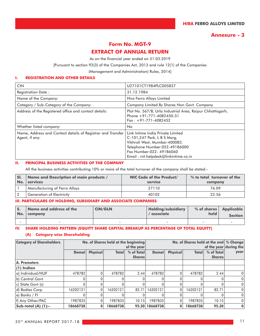# **Annexure - 3**

# **Form No. MGT-9 EXTRACT OF ANNUAL RETURN**

As on the financial year ended on 31.03.2019

[Pursuant to section 92(3) of the Companies Act, 2013 and rule 12(1) of the Companies

(Management and Administration) Rules, 2014]

## **I. REGISTRATION AND OTHER DETAILS**

| <b>CIN</b>                                                                    | U27101CT1984PLC005837                                                                                                                                                                                    |
|-------------------------------------------------------------------------------|----------------------------------------------------------------------------------------------------------------------------------------------------------------------------------------------------------|
| <b>Registration Date:</b>                                                     | 31.12.1984                                                                                                                                                                                               |
| Name of the Company:                                                          | Hira Ferro Alloys Limited                                                                                                                                                                                |
| Category / Sub-Category of the Company:                                       | <b>Company Limited By Shares Non Govt. Company</b>                                                                                                                                                       |
| Address of the Registered office and contact details:                         | Plot No. 567/B, Urla Industrial Area, Raipur Chhattisgarh,<br>Phone +91-771-4082450-51<br>$Fax: +91-771-4082452$                                                                                         |
| Whether listed company:                                                       | No                                                                                                                                                                                                       |
| Name, Address and Contact details of Registrar and Transfer<br>Agent, if any: | Link Intime India Private Limited<br>C-101,247 Park, L B S Marg,<br>Vikhroli West, Mumbai-400083.<br>Telephone Number: 022-49186000<br>Fax Number: 022- 49186060<br>Email: rnt.helpdesk@linkintime.co.in |

## **II. PRINCIPAL BUSINESS ACTIVITIES OF THE COMPANY**

All the business activities contributing 10% or more of the total turnover of the company shall be stated:-

| SI. | <b>Name and Description of main products /</b><br>No. services | NIC Code of the Product/<br>service | $%$ to total turnover of the<br>company |
|-----|----------------------------------------------------------------|-------------------------------------|-----------------------------------------|
|     | <b>Manufacturing of Ferro Alloys</b>                           | 27110                               | 76.09                                   |
|     | <b>Generation of Electricity</b>                               | 40102                               | 22.56                                   |

## **III. PARTICULARS OF HOLDING, SUBSIDIARY AND ASSOCIATE COMPANIES**

| S. | Name and address of the<br>No. company | <b>CIN/GLN</b> | Holding/subsidiary<br>' associate | held | % of shares   Applicable  <br>Section |
|----|----------------------------------------|----------------|-----------------------------------|------|---------------------------------------|
|    |                                        |                |                                   |      |                                       |

## **IV. SHARE HOLDING PATTERN (EQUITY SHARE CAPITAL BREAKUP AS PERCENTAGE OF TOTAL EQUITY)**

## **(A) Category wise Shareholding**

| <b>Category of Shareholders</b> |              |                 | No. of Shares held at the beginning |               | No. of Shares held at the end   % Change |                 |              |               |             |
|---------------------------------|--------------|-----------------|-------------------------------------|---------------|------------------------------------------|-----------------|--------------|---------------|-------------|
|                                 |              | of the year     |                                     |               | of the year during the                   |                 |              |               |             |
|                                 | <b>Demat</b> | <b>Physical</b> | <b>Total</b>                        | % of Total    | <b>Demat</b>                             | <b>Physical</b> | <b>Total</b> | % of Total    | year        |
|                                 |              |                 |                                     | <b>Shares</b> |                                          |                 |              | <b>Shares</b> |             |
| A. Promoters                    |              |                 |                                     |               |                                          |                 |              |               |             |
| $(1)$ Indian                    |              |                 |                                     |               |                                          |                 |              |               |             |
| a) Individual/HUF               | 478782       |                 | 478782                              | 2.44          | 478782                                   | 0               | 478782       | 2.44          | 0           |
| b) Central Govt                 | 0            |                 |                                     |               | 0                                        |                 |              |               | 0           |
| c) State Govt (s)               | 0            |                 |                                     |               |                                          |                 |              |               |             |
| d) Bodies Corp.                 | 16202121     | 0               | 16202121                            | 82.71         | 16202121                                 | 0               | 16202121     | 82.71         |             |
| e) Banks / FI                   | 0            |                 |                                     |               | 0                                        |                 |              |               | 0           |
| f) Any Other/PAC                | 1987835      |                 | 1987835                             | 10.15         | 1987835                                  | 0               | 1987835      | 10.15         | 0           |
| Sub-total (A) (1):-             | 18668738     | 0               | 18668738                            |               | 95.30 18668738                           | 0               | 18668738     | 95.30         | $\mathbf 0$ |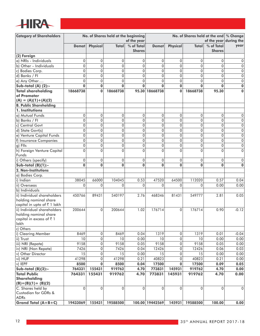

| <b>Category of Shareholders</b> |              |                 | No. of Shares held at the beginning | of the year                 | No. of Shares held at the end<br>of the year |                 |              |                             | % Change<br>during the |
|---------------------------------|--------------|-----------------|-------------------------------------|-----------------------------|----------------------------------------------|-----------------|--------------|-----------------------------|------------------------|
|                                 | <b>Demat</b> | <b>Physical</b> | <b>Total</b>                        | % of Total<br><b>Shares</b> | <b>Demat</b>                                 | <b>Physical</b> | <b>Total</b> | % of Total<br><b>Shares</b> | year                   |
| (2) Foreign                     |              |                 |                                     |                             |                                              |                 |              |                             |                        |
| a) NRIs - Individuals           | 0            | $\mathbf 0$     | 0                                   | $\mathbf 0$                 | 0                                            | 0               | 0            | $\mathbf{0}$                | 0                      |
| b) Other - Individuals          | 0            | $\mathbf 0$     | $\mathbf 0$                         | 0                           | 0                                            | $\mathbf 0$     | 0            | $\Omega$                    | 0                      |
| c) Bodies Corp.                 | 0            | $\mathbf 0$     | 0                                   | $\mathbf 0$                 | 0                                            | $\mathbf 0$     | 0            | $\mathbf{0}$                | 0                      |
| d) Banks / FI                   | 0            | $\mathbf 0$     | 0                                   | $\mathbf 0$                 | 0                                            | $\mathbf 0$     | 0            | $\mathbf{0}$                | 0                      |
| e) Any Other                    | 0            | $\mathbf 0$     | 0                                   | $\mathbf{0}$                | $\mathbf{0}$                                 | $\mathbf 0$     | 0            | $\Omega$                    | 0                      |
| <b>Sub-total (A) (2):-</b>      | $\bf{0}$     | $\bf{0}$        | 0                                   | U                           | $\bf{0}$                                     | $\bf{0}$        | $\bf{0}$     | $\Omega$                    | $\bf{0}$               |
| <b>Total shareholding</b>       | 18668738     | $\bf{0}$        | 18668738                            |                             | 95.30 18668738                               | $\bf{0}$        | 18668738     | 95.30                       | $\bf{0}$               |
| of Promoter                     |              |                 |                                     |                             |                                              |                 |              |                             |                        |
| $(A) = (A)(1)+(A)(2)$           |              |                 |                                     |                             |                                              |                 |              |                             |                        |
| <b>B. Public Shareholding</b>   |              |                 |                                     |                             |                                              |                 |              |                             |                        |
| 1. Institutions                 |              |                 |                                     |                             |                                              |                 |              |                             |                        |
| a) Mutual Funds                 | 0            | 0               | 0                                   | $\mathbf 0$                 | 0                                            | 0               | 0            | $\mathbf 0$                 | 0                      |
| b) Banks / FI                   | 0            | $\mathbf 0$     | 0                                   | 0                           | 0                                            | 0               | 0            | $\mathbf{0}$                | 0                      |
| c) Central Govt                 | 0            | $\mathbf 0$     | 0                                   | $\mathbf 0$                 | 0                                            | 0               | 0            | $\mathbf{0}$                | $\mathbf 0$            |
| d) State Govt(s)                | 0            | $\mathbf 0$     | $\mathbf 0$                         | $\mathbf 0$                 | 0                                            | 0               | 0            | $\mathbf{0}$                | $\mathbf 0$            |
| e) Venture Capital Funds        | 0            | $\mathbf 0$     | $\mathbf 0$                         | $\mathbf 0$                 | 0                                            | 0               | 0            | $\mathbf 0$                 | $\pmb{0}$              |
| f) Insurance Companies          | 0            | $\mathbf 0$     | $\mathbf 0$                         | $\mathbf 0$                 | 0                                            | 0               | 0            | $\mathbf 0$                 | $\pmb{0}$              |
| g) Fils                         | 0            | $\pmb{0}$       | $\overline{0}$                      | 0                           | 0                                            | 0               | 0            | 0                           | $\mathbf 0$            |
| h) Foreign Venture Capital      | 0            | $\Omega$        | 0                                   | $\Omega$                    | $\Omega$                                     | $\mathbf 0$     | $\Omega$     | $\Omega$                    | $\Omega$               |
| Funds                           |              |                 |                                     |                             |                                              |                 |              |                             |                        |
| i) Others (specify)             | 0            | $\mathbf 0$     | 0                                   | 0                           | 0                                            | 0               | 0            | 0                           | 0                      |
| Sub-total (B)(1):-              | $\bf{0}$     | $\Omega$        | $\mathbf{0}$                        | $\bf{0}$                    | $\mathbf{0}$                                 | $\bf{0}$        | $\bf{0}$     | $\bf{0}$                    | $\bf{0}$               |
| 2. Non-Institutions             |              |                 |                                     |                             |                                              |                 |              |                             |                        |
| a) Bodies Corp.                 |              |                 |                                     |                             |                                              |                 |              |                             |                        |
| i) Indian                       | 38045        | 66000           | 104045                              | 0.53                        | 47520                                        | 64500           | 112020       | 0.57                        | 0.04                   |
| ii) Overseas                    | 0            | $\Omega$        | 0                                   | 0                           | 0                                            | $\Omega$        | 0            | 0.00                        | 0.00                   |
| b) Individuals                  |              |                 |                                     |                             |                                              |                 |              |                             |                        |
| ii) Individual shareholders     | 450766       | 89431           | 540197                              | 2.76                        | 468346                                       | 81431           | 549777       | 2.81                        | 0.05                   |
| holding nominal share           |              |                 |                                     |                             |                                              |                 |              |                             |                        |
| capital in upto of ₹ 1 lakh     |              |                 |                                     |                             |                                              |                 |              |                             |                        |
| ii) Individual shareholders     | 200644       | $\mathbf{0}$    | 200644                              | 1.02                        | 176714                                       | $\mathbf 0$     | 176714       | 0.90                        | $-0.12$                |
| holding nominal share           |              |                 |                                     |                             |                                              |                 |              |                             |                        |
| capital in excess of ₹ 1        |              |                 |                                     |                             |                                              |                 |              |                             |                        |
| lakh                            |              |                 |                                     |                             |                                              |                 |              |                             |                        |
| c) Others                       |              |                 |                                     |                             |                                              |                 |              |                             |                        |
| i) Clearing Member              | 8469         | $\mathbf 0$     | 8469                                | 0.04                        | 1319                                         | 0               | 1319         | 0.01                        | $-0.04$                |
| ii) Trust                       | 10           | $\mathbf 0$     | 10                                  | 0.00                        | $10\,$                                       | 0               | 10           | 0.00                        | 0.00                   |
| iii) NRI (Repate)               | 9158         | $\pmb{0}$       | 9158                                | 0.05                        | 9158                                         | 0               | 9158         | 0.05                        | 0.00                   |
| iv) NRI (Non Repate)            | 7426         | $\pmb{0}$       | 7426                                | 0.04                        | 12426                                        | 0               | 12426        | 0.06                        | 0.03                   |
| v) Other Director               | 15           | $\mathbf 0$     | 15                                  | 0.00                        | 15                                           | $\mathsf 0$     | 15           | 0.00                        | 0.00                   |
| vi) HUF                         | 41298        | $\mathbf 0$     | 41298                               | 0.21                        | 40823                                        | 0               | 40823        | 0.21                        | 0.00                   |
| v) IEPF                         | 8500         | $\bf{0}$        | 8500                                | 0.04                        | 17500                                        | $\mathbf 0$     | 17500        | 0.09                        | 0.05                   |
| Sub-total $(B)(2)$ :-           | 764331       | 155431          | 919762                              | 4.70                        | 773831                                       | 145931          | 919762       | 4.70                        | 0.00                   |
| <b>Total Public</b>             | 764331       | 155431          | 919762                              | 4.70                        | 773831                                       | 145931          | 919762       | 4.70                        | 0.00                   |
| <b>Shareholding</b>             |              |                 |                                     |                             |                                              |                 |              |                             |                        |
| $(B)=(B)(1)+(B)(2)$             |              |                 |                                     |                             |                                              |                 |              |                             |                        |
| C. Shares held by               | $\mathbf{0}$ | $\mathbf 0$     | 0                                   | $\mathbf 0$                 | 0                                            | $\mathbf{0}$    | $\Omega$     | $\mathbf{0}$                | 0                      |
| <b>Custodian for GDRs &amp;</b> |              |                 |                                     |                             |                                              |                 |              |                             |                        |
| <b>ADRs</b>                     |              |                 |                                     |                             |                                              |                 |              |                             |                        |
| <b>Grand Total (A+B+C)</b>      | 19433069     | 155431          | 19588500                            |                             | 100.00 19442569                              | 145931          | 19588500     | 100.00                      | 0.00                   |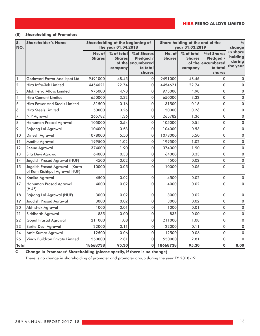## **(B) Shareholding of Promoters**

| S.<br>NO.      | <b>Shareholder's Name</b>                                     |                         | the year 01.04.2018                    | Shareholding at the beginning of                                   | Share holding at the end of the<br>year 31.03.2019 |                                                  |                                                                    |                                           |  |  | $\frac{0}{0}$<br>change |
|----------------|---------------------------------------------------------------|-------------------------|----------------------------------------|--------------------------------------------------------------------|----------------------------------------------------|--------------------------------------------------|--------------------------------------------------------------------|-------------------------------------------|--|--|-------------------------|
|                |                                                               | No. of<br><b>Shares</b> | % of total<br><b>Shares</b><br>company | %of Shares<br>Pledged /<br>of the encumbered<br>to total<br>shares | No. of<br><b>Shares</b>                            | % of total<br><b>Shares</b><br>of the<br>company | <b>%of Shares</b><br>Pledged /<br>encumbered<br>to total<br>shares | in share<br>holding<br>during<br>the year |  |  |                         |
| 1              | Godawari Power And Ispat Ltd                                  | 9491000                 | 48.45                                  | 0                                                                  | 9491000                                            | 48.45                                            | $\Omega$                                                           | 0                                         |  |  |                         |
| $\overline{2}$ | Hira Infra-Tek Limited                                        | 4454621                 | 22.74                                  | $\overline{0}$                                                     | 4454621                                            | 22.74                                            | $\Omega$                                                           | $\Omega$                                  |  |  |                         |
| 3              | Alok Ferro Alloys Limited                                     | 975000                  | 4.98                                   | 0                                                                  | 975000                                             | 4.98                                             | $\mathbf 0$                                                        | $\mathbf 0$                               |  |  |                         |
| 4              | <b>Hira Cement Limited</b>                                    | 650000                  | 3.32                                   | 0                                                                  | 650000                                             | 3.32                                             | $\mathbf 0$                                                        | 0                                         |  |  |                         |
| 5              | <b>Hirg Power And Steels Limited</b>                          | 31500                   | 0.16                                   | $\overline{0}$                                                     | 31500                                              | 0.16                                             | $\Omega$                                                           | $\Omega$                                  |  |  |                         |
| 6              | Hira Steels Limited                                           | 50000                   | 0.26                                   | $\overline{0}$                                                     | 50000                                              | 0.26                                             | $\Omega$                                                           | $\mathbf 0$                               |  |  |                         |
| 7              | N P Agrawal                                                   | 265782                  | 1.36                                   | 0                                                                  | 265782                                             | 1.36                                             | $\mathbf 0$                                                        | $\overline{0}$                            |  |  |                         |
| 8              | Hanuman Prasad Agrawal                                        | 105000                  | 0.54                                   | 0                                                                  | 105000                                             | 0.54                                             | $\mathbf 0$                                                        | 0                                         |  |  |                         |
| 9              | <b>Bajrang Lal Agrawal</b>                                    | 104000                  | 0.53                                   | 0                                                                  | 104000                                             | 0.53                                             | $\mathbf 0$                                                        | $\mathbf 0$                               |  |  |                         |
| 10             | Dinesh Agrawal                                                | 1078000                 | 5.50                                   | 0                                                                  | 1078000                                            | 5.50                                             | $\mathbf 0$                                                        | $\mathbf 0$                               |  |  |                         |
| 11             | Madhu Agrawal                                                 | 199500                  | 1.02                                   | 0                                                                  | 199500                                             | 1.02                                             | $\mathbf 0$                                                        | $\mathbf 0$                               |  |  |                         |
| 12             | Reena Agrawal                                                 | 374000                  | 1.90                                   | 0                                                                  | 374000                                             | 1.90                                             | 0                                                                  | 0                                         |  |  |                         |
| 13             | Sita Devi Agrawal                                             | 64000                   | 0.33                                   | $\overline{0}$                                                     | 64000                                              | 0.33                                             | 0                                                                  | $\mathbf 0$                               |  |  |                         |
| 14             | Jagdish Prasad Agrawal (HUF)                                  | 4500                    | 0.02                                   | $\overline{0}$                                                     | 4500                                               | 0.02                                             | $\mathbf 0$                                                        | $\mathbf 0$                               |  |  |                         |
| 15             | Jagdish Prasad Agrawal (Karta<br>of Ram Richhpal Agrawal HUF) | 10000                   | 0.05                                   | $\overline{0}$                                                     | 10000                                              | 0.05                                             | $\mathbf 0$                                                        | $\overline{0}$                            |  |  |                         |
| 16             | Kanika Agrawal                                                | 4500                    | 0.02                                   | 0                                                                  | 4500                                               | 0.02                                             | $\Omega$                                                           | 0                                         |  |  |                         |
| 17             | Hanuman Prasad Agrawal<br>(HUF)                               | 4000                    | 0.02                                   | $\overline{0}$                                                     | 4000                                               | 0.02                                             | $\Omega$                                                           | $\overline{0}$                            |  |  |                         |
| 18             | Bajrang Lal Agrawal (HUF)                                     | 3000                    | 0.02                                   | 0                                                                  | 3000                                               | 0.02                                             | $\mathbf 0$                                                        | 0                                         |  |  |                         |
| 19             | Jagdish Prasad Agrawal                                        | 3000                    | 0.02                                   | 0                                                                  | 3000                                               | 0.02                                             | $\Omega$                                                           | $\Omega$                                  |  |  |                         |
| 20             | Abhishek Agrawal                                              | 1000                    | 0.01                                   | $\overline{0}$                                                     | 1000                                               | 0.01                                             | $\overline{0}$                                                     | 0                                         |  |  |                         |
| 21             | Siddharth Agrawal                                             | 835                     | 0.00                                   | $\mathbf 0$                                                        | 835                                                | 0.00                                             | $\overline{0}$                                                     | 0                                         |  |  |                         |
| 22             | <b>Gopal Prasad Agrawal</b>                                   | 211000                  | 1.08                                   | $\mathbf 0$                                                        | 211000                                             | 1.08                                             | $\overline{0}$                                                     | $\mathbf 0$                               |  |  |                         |
| 23             | Sarita Devi Agrawal                                           | 22000                   | 0.11                                   | $\mathbf 0$                                                        | 22000                                              | 0.11                                             | 0                                                                  | $\mathbf 0$                               |  |  |                         |
| 24             | Amit Kumar Agrawal                                            | 12500                   | 0.06                                   | $\mathbf 0$                                                        | 12500                                              | 0.06                                             | $\overline{0}$                                                     | $\mathbf 0$                               |  |  |                         |
| 25             | Vinay Buildcon Private Limited                                | 550000                  | 2.81                                   | $\overline{0}$                                                     | 550000                                             | 2.81                                             | $\pmb{0}$                                                          | $\Omega$                                  |  |  |                         |
| Total          |                                                               | 18668738                | 95.30                                  | $\mathbf 0$                                                        | 18668738                                           | 95.30                                            | $\mathbf 0$                                                        | 0.00                                      |  |  |                         |

**C Change in Promoters' Shareholding (please specify, if there is no change)**

There is no change in shareholding of promoter and promoter group during the year FY 2018-19.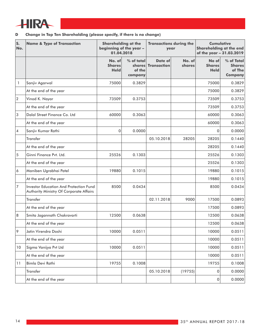

# **D Change in Top Ten Shareholding (please specify, if there is no change)**

| S.<br>No. | <b>Name &amp; Type of Transaction</b>                                                           | <b>Shareholding at the</b><br>beginning of the year -<br>01.04.2018 |                                           | <b>Transactions during the</b><br>year |                  | Shareholding at the end<br>of the year - 31.03.2019 | <b>Cumulative</b>                                       |
|-----------|-------------------------------------------------------------------------------------------------|---------------------------------------------------------------------|-------------------------------------------|----------------------------------------|------------------|-----------------------------------------------------|---------------------------------------------------------|
|           |                                                                                                 | No. of<br><b>Shares</b><br><b>Held</b>                              | % of total<br>shares<br>of the<br>company | Date of<br><b>Transaction</b>          | No. of<br>shares | No of<br><b>Shares</b><br><b>Held</b>               | % of Total<br><b>Shares</b><br>of The<br><b>Company</b> |
| 1         | Sanjiv Agarwal                                                                                  | 75000                                                               | 0.3829                                    |                                        |                  | 75000                                               | 0.3829                                                  |
|           | At the end of the year                                                                          |                                                                     |                                           |                                        |                  | 75000                                               | 0.3829                                                  |
| 2         | Vinod K. Nayar                                                                                  | 73509                                                               | 0.3753                                    |                                        |                  | 73509                                               | 0.3753                                                  |
|           | At the end of the year                                                                          |                                                                     |                                           |                                        |                  | 73509                                               | 0.3753                                                  |
| 3         | Dalal Street Finance Co. Ltd                                                                    | 60000                                                               | 0.3063                                    |                                        |                  | 60000                                               | 0.3063                                                  |
|           | At the end of the year                                                                          |                                                                     |                                           |                                        |                  | 60000                                               | 0.3063                                                  |
| 4         | Sanjiv Kumar Rathi                                                                              | 0                                                                   | 0.0000                                    |                                        |                  | $\mathbf 0$                                         | 0.0000                                                  |
|           | <b>Transfer</b>                                                                                 |                                                                     |                                           | 05.10.2018                             | 28205            | 28205                                               | 0.1440                                                  |
|           | At the end of the year                                                                          |                                                                     |                                           |                                        |                  | 28205                                               | 0.1440                                                  |
| 5         | Ginni Finance Pvt. Ltd.                                                                         | 25526                                                               | 0.1303                                    |                                        |                  | 25526                                               | 0.1303                                                  |
|           | At the end of the year                                                                          |                                                                     |                                           |                                        |                  | 25526                                               | 0.1303                                                  |
| 6         | Maniben Ugrabhai Patel                                                                          | 19880                                                               | 0.1015                                    |                                        |                  | 19880                                               | 0.1015                                                  |
|           | At the end of the year                                                                          |                                                                     |                                           |                                        |                  | 19880                                               | 0.1015                                                  |
| 7         | <b>Investor Education And Protection Fund</b><br><b>Authority Ministry Of Corporate Affairs</b> | 8500                                                                | 0.0434                                    |                                        |                  | 8500                                                | 0.0434                                                  |
|           | <b>Transfer</b>                                                                                 |                                                                     |                                           | 02.11.2018                             | 9000             | 17500                                               | 0.0893                                                  |
|           | At the end of the year                                                                          |                                                                     |                                           |                                        |                  | 17500                                               | 0.0893                                                  |
| 8         | Smita Jagannath Chakravarti                                                                     | 12500                                                               | 0.0638                                    |                                        |                  | 12500                                               | 0.0638                                                  |
|           | At the end of the year                                                                          |                                                                     |                                           |                                        |                  | 12500                                               | 0.0638                                                  |
| 9         | Jatin Virendra Doshi                                                                            | 10000                                                               | 0.0511                                    |                                        |                  | 10000                                               | 0.0511                                                  |
|           | At the end of the year                                                                          |                                                                     |                                           |                                        |                  | 10000                                               | 0.0511                                                  |
| 10        | Sigma Vanijya Pvt Ltd                                                                           | 10000                                                               | 0.0511                                    |                                        |                  | 10000                                               | 0.0511                                                  |
|           | At the end of the year                                                                          |                                                                     |                                           |                                        |                  | 10000                                               | 0.0511                                                  |
| 11        | Bimla Devi Rathi                                                                                | 19755                                                               | 0.1008                                    |                                        |                  | 19755                                               | 0.1008                                                  |
|           | <b>Transfer</b>                                                                                 |                                                                     |                                           | 05.10.2018                             | (19755)          | 0                                                   | 0.0000                                                  |
|           | At the end of the year                                                                          |                                                                     |                                           |                                        |                  | 0                                                   | 0.0000                                                  |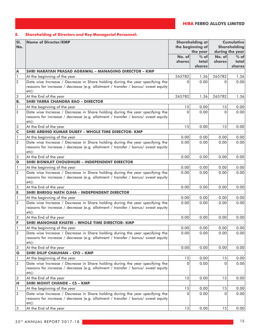## **E. Shareholding of Directors and Key Managerial Personnel:**

| SI.<br>No.              | <b>Name of Director/KMP</b>                                                                                                                                                | <b>Shareholding at</b><br>the beginning of<br>the year |                 |                  | <b>Cumulative</b><br><b>Shareholding</b><br>during the year |
|-------------------------|----------------------------------------------------------------------------------------------------------------------------------------------------------------------------|--------------------------------------------------------|-----------------|------------------|-------------------------------------------------------------|
|                         |                                                                                                                                                                            | No. of<br>shares                                       | $%$ of<br>total | No. of<br>shares | $%$ of<br>total                                             |
|                         |                                                                                                                                                                            |                                                        | shares          |                  | shares                                                      |
| $\blacktriangle$        | <b>SHRI NARAYAN PRASAD AGRAWAL - MANAGING DIRECTOR - KMP</b>                                                                                                               |                                                        |                 |                  |                                                             |
| $\mathbf{1}$            | At the beginning of the year                                                                                                                                               | 265782                                                 | 1.36            | 265782           | 1.36                                                        |
| $\overline{2}$          | Date wise Increase / Decrease in Share holding during the year specifying the                                                                                              | $\Omega$                                               | 0.00            | $\Omega$         | 0.00                                                        |
|                         | reasons for increase / decrease (e.g. allotment / transfer / bonus/ sweat equity<br>etc):                                                                                  |                                                        |                 |                  |                                                             |
| 3                       | At the End of the year                                                                                                                                                     | 265782                                                 | 1.36            | 265782           | 1.36                                                        |
| <b>B.</b>               | <b>SHRI YARRA CHANDRA RAO - DIRECTOR</b>                                                                                                                                   |                                                        |                 |                  |                                                             |
| $\mathbf{1}$            | At the beginning of the year                                                                                                                                               | 15                                                     | 0.00            | 15               | 0.00                                                        |
| $\overline{2}$          | Date wise Increase / Decrease in Share holding during the year specifying the<br>reasons for increase / decrease (e.g. allotment / transfer / bonus/ sweat equity<br>etc): | $\Omega$                                               | 0.00            | $\Omega$         | 0.00                                                        |
| 3                       | At the End of the year                                                                                                                                                     | 15                                                     | 0.00            | 15               | 0.00                                                        |
| $\overline{\mathbf{c}}$ | SHRI ARBIND KUMAR DUBEY - WHOLE TIME DIRECTOR- KMP                                                                                                                         |                                                        |                 |                  |                                                             |
| $\mathbf{1}$            | At the beginning of the year                                                                                                                                               | 0.00                                                   | 0.00            | 0.00             | 0.00                                                        |
| $\overline{2}$          | Date wise Increase / Decrease in Share holding during the year specifying the                                                                                              | 0.00                                                   | 0.00            | 0.00             | 0.00                                                        |
|                         | reasons for increase / decrease (e.g. allotment / transfer / bonus/ sweat equity<br>etc):                                                                                  |                                                        |                 |                  |                                                             |
| 3                       | At the End of the year                                                                                                                                                     | 0.00                                                   | 0.00            | 0.00             | 0.00                                                        |
| D                       | <b>SHRI BISWAJIT CHOUDHURI - INDEPENDENT DIRECTOR</b>                                                                                                                      |                                                        |                 |                  |                                                             |
| $\mathbf{1}$            | At the beginning of the year                                                                                                                                               | 0.00                                                   | 0.00            | 0.00             | 0.00                                                        |
| $\overline{2}$          | Date wise Increase / Decrease in Share holding during the year specifying the<br>reasons for increase / decrease (e.g. allotment / transfer / bonus/ sweat equity<br>etc): | 0.00                                                   | 0.00            | 0.00             | 0.00                                                        |
| 3                       | At the End of the year                                                                                                                                                     | 0.00                                                   | 0.00            | 0.00             | 0.00                                                        |
| E                       | SHRI BHRIGU NATH OJHA - INDEPENDENT DIRECTOR                                                                                                                               |                                                        |                 |                  |                                                             |
| $\mathbf{1}$            | At the beginning of the year                                                                                                                                               | 0.00                                                   | 0.00            | 0.00             | 0.00                                                        |
| $\overline{2}$          | Date wise Increase / Decrease in Share holding during the year specifying the<br>reasons for increase / decrease (e.g. allotment / transfer / bonus/ sweat equity<br>etc): | 0.00                                                   | 0.00            | 0.00             | 0.00                                                        |
| 3                       | At the End of the year                                                                                                                                                     | 0.00                                                   | 0.00            | 0.00             | 0.00                                                        |
| F                       | <b>SHRI MANOHAR KHATRI - WHOLE TIME DIRECTOR- KMP</b>                                                                                                                      |                                                        |                 |                  |                                                             |
|                         | At the beginning of the year                                                                                                                                               | 0.00                                                   | 0.00            | 0.00             | 0.00                                                        |
| $\overline{2}$          | Date wise Increase / Decrease in Share holding during the year specifying the<br>reasons for increase / decrease (e.g. allotment / transfer / bonus/ sweat equity<br>etc): | 0.00                                                   | 0.00            | 0.00             | 0.00                                                        |
| $\overline{3}$          | At the End of the year                                                                                                                                                     | 0.00                                                   | 0.00            | 0.00             | 0.00                                                        |
| $\mathbf G$             | <b>SHRI DILIP CHAUHAN - CFO - KMP</b>                                                                                                                                      |                                                        |                 |                  |                                                             |
| 1                       | At the beginning of the year                                                                                                                                               | 15                                                     | 0.00            | 15               | 0.00                                                        |
| $\mathbf 2$             | Date wise Increase / Decrease in Share holding during the year specifying the                                                                                              | 0                                                      | 0.00            | $\Omega$         | 0.00                                                        |
|                         | reasons for increase / decrease (e.g. allotment / transfer / bonus/ sweat equity<br>etc):                                                                                  |                                                        |                 |                  |                                                             |
| 3                       | At the End of the year                                                                                                                                                     | 15                                                     | 0.00            | 15               | 0.00                                                        |
| Н                       | <b>SHRI MOHIT CHANDE - CS - KMP</b>                                                                                                                                        |                                                        |                 |                  |                                                             |
| 1                       | At the beginning of the year                                                                                                                                               | 15                                                     | 0.00            | 15               | 0.00                                                        |
| $\overline{2}$          | Date wise Increase / Decrease in Share holding during the year specifying the<br>reasons for increase / decrease (e.g. allotment / transfer / bonus/ sweat equity<br>etc): | 0                                                      | 0.00            | $\Omega$         | 0.00                                                        |
| 3                       | At the End of the year                                                                                                                                                     | 15                                                     | 0.00            | 15               | 0.00                                                        |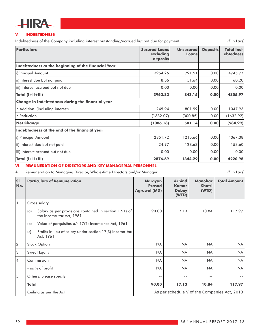

# **V. INDEBTEDNESS**

Indebtedness of the Company including interest outstanding/accrued but not due for payment ( $\bar{\tau}$  in Lacs)

| <b>Particulars</b>                                  | <b>Secured Loans</b><br>excluding<br>deposits | <b>Unsecured</b><br>Loans | <b>Deposits</b> | <b>Total Ind-</b><br>ebtedness |
|-----------------------------------------------------|-----------------------------------------------|---------------------------|-----------------|--------------------------------|
| Indebtedness at the beginning of the financial Year |                                               |                           |                 |                                |
| i)Principal Amount                                  | 3954.26                                       | 791.51                    | 0.00            | 4745.77                        |
| ii) Interest due but not paid                       | 8.56                                          | 51.64                     | 0.00            | 60.20                          |
| iii) Interest accrued but not due                   | 0.00                                          | 0.00                      | 0.00            | 0.00                           |
| Total (i+ii+iii)                                    | 3962.82                                       | 843.15                    | 0.00            | 4805.97                        |
| Change in Indebtedness during the financial year    |                                               |                           |                 |                                |
| • Addition (including interest)                     | 245.94                                        | 801.99                    | 0.00            | 1047.93                        |
| • Reduction                                         | (1332.07)                                     | (300.85)                  | 0.00            | (1632.92)                      |
| <b>Net Change</b>                                   | (1086.13)                                     | 501.14                    | 0.00            | (584.99)                       |
| Indebtedness at the end of the financial year       |                                               |                           |                 |                                |
| <b>Principal Amount</b>                             | 2851.72                                       | 1215.66                   | 0.00            | 4067.38                        |
| ii) Interest due but not paid                       | 24.97                                         | 128.63                    | 0.00            | 153.60                         |
| iii) Interest accrued but not due                   | 0.00                                          | 0.00                      | 0.00            | 0.00                           |
| Total (i+ii+iii)                                    | 2876.69                                       | 1344.29                   | 0.00            | 4220.98                        |

## **VI. REMUNERATION OF DIRECTORS AND KEY MANAGERIAL PERSONNEL**

A. Remuneration to Managing Director, Whole-time Directors and/or Manager:  $(\bar{z} \text{ in } \text{Lacs})$ 

| SI<br>No.      | <b>Particulars of Remuneration</b>                                                        | Narayan<br><b>Prasad</b><br><b>Agrawal (MD)</b> | <b>Arbind</b><br>Kumar<br><b>Dubey</b><br>(WTD) | Manohar<br><b>Khatri</b><br>(WTD) | <b>Total Amount</b>                          |
|----------------|-------------------------------------------------------------------------------------------|-------------------------------------------------|-------------------------------------------------|-----------------------------------|----------------------------------------------|
|                | <b>Gross salary</b>                                                                       |                                                 |                                                 |                                   |                                              |
|                | Salary as per provisions contained in section 17(1) of<br>(a)<br>the Income-tax Act, 1961 | 90.00                                           | 17.13                                           | 10.84                             | 117.97                                       |
|                | (b)<br>Value of perquisites u/s 17(2) Income-tax Act, 1961                                |                                                 |                                                 |                                   |                                              |
|                | (c)<br>Profits in lieu of salary under section 17(3) Income-tax<br>Act, 1961              |                                                 |                                                 |                                   |                                              |
| $\overline{2}$ | <b>Stock Option</b>                                                                       | <b>NA</b>                                       | <b>NA</b>                                       | <b>NA</b>                         | <b>NA</b>                                    |
| $\mathbf{3}$   | <b>Sweat Equity</b>                                                                       | <b>NA</b>                                       | <b>NA</b>                                       | <b>NA</b>                         | <b>NA</b>                                    |
| 4              | Commission                                                                                | <b>NA</b>                                       | <b>NA</b>                                       | <b>NA</b>                         | <b>NA</b>                                    |
|                | - as % of profit                                                                          | <b>NA</b>                                       | <b>NA</b>                                       | <b>NA</b>                         | <b>NA</b>                                    |
| 5              | Others, please specify                                                                    |                                                 | --                                              |                                   | $ -$                                         |
|                | <b>Total</b>                                                                              | 90.00                                           | 17.13                                           | 10.84                             | 117.97                                       |
|                | Ceiling as per the Act                                                                    |                                                 |                                                 |                                   | As per schedule V of the Companies Act, 2013 |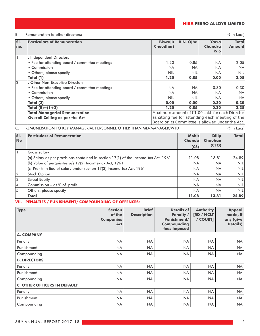## B. Remuneration to other directors:  $(\bar{z})$  in Lacs)

| SI.            | <b>Particulars of Remuneration</b>                                 | <b>Biswajit</b>  | <b>B.N. Ojha</b>                                 | Yarra          | <b>Total</b>  |
|----------------|--------------------------------------------------------------------|------------------|--------------------------------------------------|----------------|---------------|
| no.            |                                                                    | <b>Choudhuri</b> |                                                  | <b>Chandra</b> | <b>Amount</b> |
|                |                                                                    |                  |                                                  | Rao            |               |
|                | Independent Directors                                              |                  |                                                  |                |               |
|                | • Fee for attending board / committee meetings                     | 1.20             | 0.85                                             | <b>NA</b>      | 2.05          |
|                | • Commission                                                       | <b>NA</b>        | <b>NA</b>                                        | <b>NA</b>      | NA.           |
|                | • Others, please specify                                           | <b>NIL</b>       | <b>NIL</b>                                       | <b>NA</b>      | <b>NIL</b>    |
|                | Total (1)                                                          | 1.20             | 0.85                                             | 0.00           | 2.05          |
| $\overline{2}$ | <b>Other Non-Executive Directors</b>                               |                  |                                                  |                |               |
|                | • Fee for attending board / committee meetings                     | <b>NA</b>        | <b>NA</b>                                        | 0.30           | 0.30          |
|                | • Commission                                                       | <b>NA</b>        | <b>NA</b>                                        | NA.            | NA.           |
|                | • Others, please specify                                           | <b>NIL</b>       | <b>NIL</b>                                       | <b>NA</b>      | <b>NA</b>     |
|                | Total (2)                                                          | 0.00             | 0.00                                             | 0.30           | 0.30          |
|                | Total $(B)=(1+2)$                                                  | 1.20             | 0.85                                             | 0.30           | 2.35          |
|                | <b>Total Managerial Remuneration</b>                               |                  | Maximum amount of ₹1.00 Lakh for each Director   |                |               |
|                | <b>Overall Ceiling as per the Act</b>                              |                  | as sitting fee for attending each meeting of the |                |               |
|                |                                                                    |                  | Board or its Committee is allowed under the Act. |                |               |
| C.             | REMUNERATION TO KEY MANAGERIAL PERSONNEL OTHER THAN MD/MANAGER/WTD |                  |                                                  |                | (₹ in Lacs)   |

| SI.            | <b>Particulars of Remuneration</b>                                                  | <b>Mohit</b>  | <b>Dilip</b> | <b>Total</b> |
|----------------|-------------------------------------------------------------------------------------|---------------|--------------|--------------|
| <b>No</b>      |                                                                                     | <b>Chande</b> | Chauhan      |              |
|                |                                                                                     | (CS)          | (CFO)        |              |
|                | Gross salary                                                                        |               |              |              |
|                | (a) Salary as per provisions contained in section 17(1) of the Income-tax Act, 1961 | 11.08         | 13.81        | 24.89        |
|                | (b) Value of perquisites u/s 17(2) Income-tax Act, 1961                             | <b>NA</b>     | <b>NA</b>    | <b>NIL</b>   |
|                | (c) Profits in lieu of salary under section 17(3) Income-tax Act, 1961              | <b>NA</b>     | <b>NA</b>    | <b>NIL</b>   |
| $\overline{2}$ | <b>Stock Option</b>                                                                 | <b>NA</b>     | <b>NA</b>    | <b>NIL</b>   |
| 3              | <b>Sweat Equity</b>                                                                 | <b>NA</b>     | <b>NA</b>    | <b>NIL</b>   |
| 4              | Commission - as % of profit                                                         | <b>NA</b>     | <b>NA</b>    | <b>NIL</b>   |
| 5              | Others, please specify                                                              | <b>NA</b>     | <b>NA</b>    | <b>NIL</b>   |
|                | Total                                                                               | 11.08         | 13.81        | 24.89        |

# **VII. PENALTIES / PUNISHMENT/ COMPOUNDING OF OFFENCES:**

| <b>Type</b>                         | <b>Section</b><br>of the<br><b>Companies</b><br>Act | <b>Brief</b><br><b>Description</b> | <b>Details of</b><br>Penalty /<br>Punishment/<br><b>Compounding</b><br>fees imposed | <b>Authority</b><br>[RD / NCLT<br>/ COURT] | <b>Appeal</b><br>made, if<br>any (give<br><b>Details)</b> |
|-------------------------------------|-----------------------------------------------------|------------------------------------|-------------------------------------------------------------------------------------|--------------------------------------------|-----------------------------------------------------------|
| <b>A. COMPANY</b>                   |                                                     |                                    |                                                                                     |                                            |                                                           |
| Penalty                             | <b>NA</b>                                           | <b>NA</b>                          | <b>NA</b>                                                                           | <b>NA</b>                                  | <b>NA</b>                                                 |
| Punishment                          | <b>NA</b>                                           | <b>NA</b>                          | <b>NA</b>                                                                           | <b>NA</b>                                  | <b>NA</b>                                                 |
| Compounding                         | <b>NA</b>                                           | <b>NA</b>                          | <b>NA</b>                                                                           | <b>NA</b>                                  | <b>NA</b>                                                 |
| <b>B. DIRECTORS</b>                 |                                                     |                                    |                                                                                     |                                            |                                                           |
| Penalty                             | <b>NA</b>                                           | <b>NA</b>                          | <b>NA</b>                                                                           | <b>NA</b>                                  | <b>NA</b>                                                 |
| Punishment                          | <b>NA</b>                                           | <b>NA</b>                          | <b>NA</b>                                                                           | <b>NA</b>                                  | <b>NA</b>                                                 |
| Compounding                         | <b>NA</b>                                           | <b>NA</b>                          | <b>NA</b>                                                                           | <b>NA</b>                                  | <b>NA</b>                                                 |
| <b>C. OTHER OFFICERS IN DEFAULT</b> |                                                     |                                    |                                                                                     |                                            |                                                           |
| Penalty                             | <b>NA</b>                                           | <b>NA</b>                          | <b>NA</b>                                                                           | <b>NA</b>                                  | NA                                                        |
| Punishment                          | <b>NA</b>                                           | <b>NA</b>                          | <b>NA</b>                                                                           | <b>NA</b>                                  | <b>NA</b>                                                 |
| Compounding                         | <b>NA</b>                                           | <b>NA</b>                          | <b>NA</b>                                                                           | <b>NA</b>                                  | <b>NA</b>                                                 |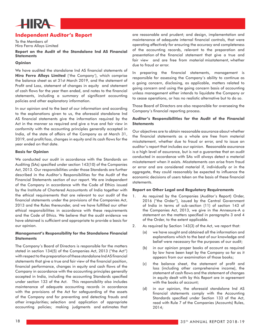

# **Independent Auditor's Report**

To the Members of Hira Ferro Alloys Limited

## **Report on the Audit of the Standalone Ind AS Financial Statements**

## **Opinion**

We have audited the standalone Ind AS financial statements of **Hira Ferro Alloys Limited** ('the Company'), which comprise the balance sheet as at 31st March 2019, and the statement of Profit and Loss, statement of changes in equity and statement of cash flows for the year then ended, and notes to the financial statements, including a summary of significant accounting policies and other explanatory information.

In our opinion and to the best of our information and according to the explanations given to us, the aforesaid standalone Ind AS financial statements give the information required by the Act in the manner so required and give a true and fair view in conformity with the accounting principles generally accepted in India, of the state of affairs of the Company as at March 31, 2019, and profit/loss, changes in equity and its cash flows for the year ended on that date.

#### **Basis for Opinion**

We conducted our audit in accordance with the Standards on Auditing (SAs) specified under section 143(10) of the Companies Act, 2013. Our responsibilities under those Standards are further described in the Auditor's Responsibilities for the Audit of the Financial Statements section of our report. We are independent of the Company in accordance with the Code of Ethics issued by the Institute of Chartered Accountants of India together with the ethical requirements that are relevant to our audit of the financial statements under the provisions of the Companies Act, 2013 and the Rules thereunder, and we have fulfilled our other ethical responsibilities in accordance with these requirements and the Code of Ethics. We believe that the audit evidence we have obtained is sufficient and appropriate to provide a basis for our opinion.

## **Management's Responsibility for the Standalone Financial Statements**

The Company's Board of Directors is responsible for the matters stated in section 134(5) of the Companies Act, 2013 ("the Act") with respect to the preparation of these standalone Ind AS financial statements that give a true and fair view of the financial position, financial performance, changes in equity and cash flows of the Company in accordance with the accounting principles generally accepted in India, including the accounting Standards specified under section 133 of the Act. This responsibility also includes maintenance of adequate accounting records in accordance with the provisions of the Act for safeguarding of the assets of the Company and for preventing and detecting frauds and other irregularities; selection and application of appropriate accounting policies; making judgments and estimates that

are reasonable and prudent; and design, implementation and maintenance of adequate internal financial controls, that were operating effectively for ensuring the accuracy and completeness of the accounting records, relevant to the preparation and presentation of the financial statement that give a true and fair view and are free from material misstatement, whether due to fraud or error.

In preparing the financial statements, management is responsible for assessing the Company's ability to continue as a going concern, disclosing, as applicable, matters related to going concern and using the going concern basis of accounting unless management either intends to liquidate the Company or to cease operations, or has no realistic alternative but to do so.

Those Board of Directors are also responsible for overseeing the Company's financial reporting process.

## **Auditor's Responsibilities for the Audit of the Financial Statements**

Our objectives are to obtain reasonable assurance about whether the financial statements as a whole are free from material misstatement, whether due to fraud or error, and to issue an auditor's report that includes our opinion. Reasonable assurance is a high level of assurance, but is not a guarantee that an audit conducted in accordance with SAs will always detect a material misstatement when it exists. Misstatements can arise from fraud or error and are considered material if, individually or in the aggregate, they could reasonably be expected to influence the economic decisions of users taken on the basis of these financial statements.

## **Report on Other Legal and Regulatory Requirements**

- 1. As required by the Companies (Auditor's Report) Order, 2016 ("the Order"), issued by the Central Government of India in terms of sub-section (11) of section 143 of the Companies Act, 2013, we give in the Annexure-A a statement on the matters specified in paragraphs 3 and 4 of the Order, to the extent applicable.
- 2. As required by Section 143(3) of the Act, we report that:
	- (a) we have sought and obtained all the information and explanations which to the best of our knowledge and belief were necessary for the purposes of our audit;
	- (b) in our opinion proper books of account as required by law have been kept by the Company so far as it appears from our examination of those books;
	- (c) the balance sheet, the statement of profit and loss (including other comprehensive income), the statement of cash flows and the statement of changes in equity dealt with by this Report are in agreement with the books of account;
	- (d) in our opinion, the aforesaid standalone Ind AS financial statements comply with the Accounting Standards specified under Section 133 of the Act, read with Rule 7 of the Companies (Accounts) Rules, 2014;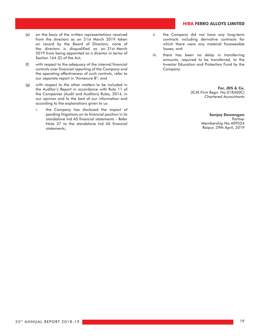# **Hira Ferro Alloys Limited**

- (e) on the basis of the written representations received from the directors as on 31st March 2019 taken on record by the Board of Directors, none of the directors is disqualified as on 31st March 2019 from being appointed as a director in terms of Section 164 (2) of the Act;
- (f) with respect to the adequacy of the internal financial controls over financial reporting of the Company and the operating effectiveness of such controls, refer to our separate report in "Annexure B"; and
- (g) with respect to the other matters to be included in the Auditor's Report in accordance with Rule 11 of the Companies (Audit and Auditors) Rules, 2014, in our opinion and to the best of our information and according to the explanations given to us:
	- i. the Company has disclosed the impact of pending litigations on its financial position in its standalone Ind AS financial statements - Refer Note 37 to the standalone Ind AS financial statements;
- ii. the Company did not have any long-term contracts including derivative contracts for which there were any material foreseeable losses; and
- iii. there has been no delay in transferring amounts, required to be transferred, to the Investor Education and Protection Fund by the Company.

**For, JDS & Co.** (ICAI Firm Regn. No.018400C) Chartered Accountants

> **Sanjay Dewangan Partner** Membership No.409524 Raipur, 29th April, 2019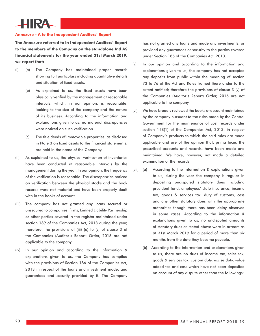

#### **Annexure - A to the Independent Auditors' Report**

**The Annexure referred to in Independent Auditors' Report to the members of the Company on the standalone Ind AS financial statements for the year ended 31st March 2019, we report that:**

- (i) (a) The Company has maintained proper records showing full particulars including quantitative details and situation of fixed assets.
	- (b) As explained to us, the fixed assets have been physically verified by the management at reasonable intervals, which, in our opinion, is reasonable, looking to the size of the company and the nature of its business. According to the information and explanations given to us, no material discrepancies were noticed on such verification.
	- (c) The title deeds of immovable properties, as disclosed in Note 3 on fixed assets to the financial statements, are held in the name of the Company.
- (ii) As explained to us, the physical verification of inventories have been conducted at reasonable intervals by the management during the year. In our opinion, the frequency of the verification is reasonable. The discrepancies noticed on verification between the physical stocks and the book records were not material and have been properly dealt with in the books of account.
- (iii) The company has not granted any loans secured or unsecured to companies, firms, Limited Liability Partnership or other parties covered in the register maintained under section 189 of the Companies Act, 2013 during the year, therefore, the provisions of (iii) (a) to (c) of clause 3 of the Companies (Auditor's Report) Order, 2016 are not applicable to the company.
- (iv) In our opinion and according to the information & explanations given to us, the Company has compiled with the provisions of Section 186 of the Companies Act, 2013 in respect of the loans and investment made, and guarantees and security provided by it. The Company

has not granted any loans and made any investments, or provided any guarantees or security to the parties covered under Section 185 of the Companies Act, 2013.

- (v) In our opinion and according to the information and explanations given to us, the company has not accepted any deposits from public within the meaning of section 73 to 76 of the Act and Rules framed there under to the extent notified; therefore the provisions of clause 3 (v) of the Companies (Auditor's Report) Order, 2016 are not applicable to the company.
- (vi) We have broadly reviewed the books of account maintained by the company pursuant to the rules made by the Central Government for the maintenance of cost records under section 148(1) of the Companies Act, 2013, in respect of Company's products to which the said rules are made applicable and are of the opinion that, prima facie, the prescribed accounts and records, have been made and maintained. We have, however, not made a detailed examination of the records.
- (vii) (a) According to the information & explanations given to us, during the year the company is regular in depositing undisputed statutory dues including provident fund, employees' state insurance, income tax, goods & services tax, duty of customs, cess and any other statutory dues with the appropriate authorities though there has been delay observed in some cases. According to the information & explanations given to us, no undisputed amounts of statutory dues as stated above were in arrears as at 31st March 2019 for a period of more than six months from the date they became payable.
	- (b) According to the information and explanations given to us, there are no dues of income tax, sales tax, goods & services tax, custom duty, excise duty, value added tax and cess which have not been deposited on account of any dispute other than the followings: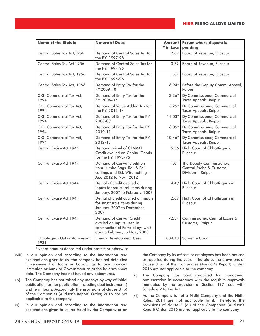## **Hira Ferro Alloys Limited**

| <b>Name of the Statute</b>          | <b>Nature of Dues</b>                                                                                                             | Amount<br>$\bar{z}$ in Lacs | Forum where dispute is<br>pending                                                            |
|-------------------------------------|-----------------------------------------------------------------------------------------------------------------------------------|-----------------------------|----------------------------------------------------------------------------------------------|
| Central Sales Tax Act, 1956         | Demand of Central Sales Tax for<br>the F.Y. 1997-98                                                                               | 2.62                        | <b>Board of Revenue, Bilaspur</b>                                                            |
| Central Sales Tax Act, 1956         | Demand of Central Sales Tax for<br>the F.Y. 1994-95                                                                               | 0.72                        | <b>Board of Revenue, Bilaspur</b>                                                            |
| Central Sales Tax Act, 1956         | Demand of Central Sales Tax for<br>the F.Y. 1995-96                                                                               | 1.64                        | <b>Board of Revenue, Bilaspur</b>                                                            |
| Central Sales Tax Act, 1956         | Demand of Entry Tax for the<br>F.Y.2009-10                                                                                        | $6.94*$                     | Before the Deputy Comm. Appeal,<br>Raipur                                                    |
| C.G. Commercial Tax Act,<br>1994    | Demand of Entry Tax for the<br>F.Y. 2006-07                                                                                       | $3.26*$                     | Dy.Commissioner, Commercial<br>Taxes Appeals, Raipur                                         |
| C.G. Commercial Tax Act,<br>1994    | Demand of Value Added Tax for<br>the F.Y. 2013-14                                                                                 | $3.25*$                     | Dy.Commissioner, Commercial<br>Taxes Appeals, Raipur                                         |
| C.G. Commercial Tax Act,<br>1994    | Demand of Entry Tax for the F.Y.<br>2008-09                                                                                       | $14.03*$                    | Dy.Commissioner, Commercial<br>Taxes Appeals, Raipur                                         |
| C.G. Commercial Tax Act,<br>1994    | Demand of Entry Tax for the F.Y.<br>2010-11                                                                                       | $6.05*$                     | Dy.Commissioner, Commercial<br>Taxes Appeals, Raipur                                         |
| C.G. Commercial Tax Act,<br>1994    | Demand of Entry Tax for the F.Y.<br>2012-13                                                                                       | $10.46*$                    | Dy.Commissioner, Commercial<br>Taxes Appeals, Raipur                                         |
| Central Excise Act, 1944            | Demand raised of CENVAT<br><b>Credit availed on Capital Goods</b><br>for the F.Y. 1995-96                                         | 5.56                        | High Court of Chhattisgarh,<br>Bilaspur                                                      |
| Central Excise Act, 1944            | Demand of Cenvat credit on<br>item-Jumbo Bags, Rail & Rail<br>cuttings and G.I. Wire netting -<br>Aug'2012 to Nov.' 2012          | 1.01                        | The Deputy Commissioner,<br><b>Central Excise &amp; Customs</b><br><b>Division-II Raipur</b> |
| Central Excise Act, 1944            | Denial of credit availed on<br>inputs for structural items during<br>January, 2007 to February, 2007                              | 4.49                        | High Court of Chhattisgarh at<br>Bilaspur.                                                   |
| Central Excise Act, 1944            | Denial of credit availed on inputs<br>for structurals items during<br>January, 2007 to December,<br>2007                          | 2.67                        | High Court of Chhattisgarh at<br>Bilaspur.                                                   |
| Central Excise Act, 1944            | <b>Demand of Cenvat Credit</b><br>availed on inputs used in<br>construction of Ferro alloys Unit<br>during February to Nov., 2008 | 72.34                       | Commissioner, Central Excise &<br>Customs, Raipur                                            |
| Chhatisgarh Upkar Adhiniyam<br>1981 | <b>Energy Development Cess</b>                                                                                                    | 1884.73                     | Supreme Court                                                                                |

\*Net of amount deposited under protest or otherwise.

- (viii) In our opinion and according to the information and explanations given to us, the company has not defaulted in repayment of loans or borrowings to any financial institution or bank or Government as at the balance sheet date. The Company has not issued any debentures.
- (ix) The Company has not raised any moneys by way of initial public offer, further public offer (including debt instruments) and term loans. Accordingly the provisions of clause 3 (ix) of the Companies (Auditor's Report) Order, 2016 are not applicable to the company.
- (x) In our opinion and according to the information and explanations given to us, no fraud by the Company or on

the Company by its officers or employees has been noticed or reported during the year. Therefore, the provisions of clause 3 (x) of the Companies (Auditor's Report) Order, 2016 are not applicable to the company.

- (xi) The Company has paid /provided for managerial remuneration in accordance with the requisite approvals mandated by the provision of Section 197 read with Schedule V to the Act.
- (xii) As the Company is not a Nidhi Company and the Nidhi Rules, 2014 are not applicable to it. Therefore, the provisions of clause 3 (xii) of the Companies (Auditor's Report) Order, 2016 are not applicable to the company.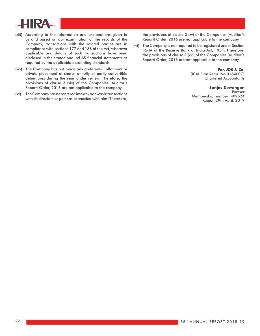

- (xiii) According to the information and explanations given to us and based on our examination of the records of the Company, transactions with the related parties are in compliance with sections 177 and 188 of the Act, wherever applicable and details of such transactions have been disclosed in the standalone Ind AS financial statements as required by the applicable accounting standards.
- (xiv) The Company has not made any preferential allotment or private placement of shares or fully or partly convertible debentures during the year under review. Therefore, the provisions of clause 3 (xiv) of the Companies (Auditor's Report) Order, 2016 are not applicable to the company.
- (xv) The Company has not entered into any non-cash transactions with its directors or persons connected with him. Therefore,

the provisions of clause 3 (xv) of the Companies (Auditor's Report) Order, 2016 are not applicable to the company.

(xvi) The Company is not required to be registered under Section 45-IA of the Reserve Bank of India Act, 1934. Therefore, the provisions of clause 3 (xvi) of the Companies (Auditor's Report) Order, 2016 are not applicable to the company.

> **For, JDS & Co.** (ICAI Firm Regn. No.018400C) Chartered Accountants

## **Sanjay Dewangan**

**Partner** Membership number: 409524 Raipur, 29th April, 2019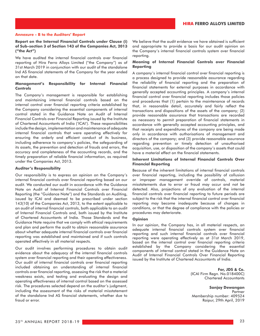#### **Annexure - B to the Auditors' Report**

## **Report on the Internal Financial Controls under Clause (i) of Sub-section 3 of Section 143 of the Companies Act, 2013 ("the Act")**

We have audited the internal financial controls over financial reporting of Hira Ferro Alloys Limited ("the Company") as of 31st March 2019 in conjunction with our audit of the standalone Ind AS financial statements of the Company for the year ended on that date.

## **Management's Responsibility for Internal Financial Controls**

The Company's management is responsible for establishing and maintaining internal financial controls based on the internal control over financial reporting criteria established by the Company considering the essential components of internal control stated in the Guidance Note on Audit of Internal Financial Controls over Financial Reporting issued by the Institute of Chartered Accountants of India ('ICAI'). These responsibilities include the design, implementation and maintenance of adequate internal financial controls that were operating effectively for ensuring the orderly and efficient conduct of its business, including adherence to company's policies, the safeguarding of its assets, the prevention and detection of frauds and errors, the accuracy and completeness of the accounting records, and the timely preparation of reliable financial information, as required under the Companies Act, 2013.

#### **Auditor's Responsibility**

Our responsibility is to express an opinion on the Company's internal financial controls over financial reporting based on our audit. We conducted our audit in accordance with the Guidance Note on Audit of Internal Financial Controls over Financial Reporting (the "Guidance Note") and the Standards on Auditing, issued by ICAI and deemed to be prescribed under section 143(10) of the Companies Act, 2013, to the extent applicable to an audit of internal financial controls, both applicable to an audit of Internal Financial Controls and, both issued by the Institute of Chartered Accountants of India. Those Standards and the Guidance Note require that we comply with ethical requirements and plan and perform the audit to obtain reasonable assurance about whether adequate internal financial controls over financial reporting was established and maintained and if such controls operated effectively in all material respects.

Our audit involves performing procedures to obtain audit evidence about the adequacy of the internal financial controls system over financial reporting and their operating effectiveness. Our audit of internal financial controls over financial reporting included obtaining an understanding of internal financial controls over financial reporting, assessing the risk that a material weakness exists, and testing and evaluating the design and operating effectiveness of internal control based on the assessed risk. The procedures selected depend on the auditor's judgment, including the assessment of the risks of material misstatement of the standalone Ind AS financial statements, whether due to fraud or error.

We believe that the audit evidence we have obtained is sufficient and appropriate to provide a basis for our audit opinion on the Company's internal financial controls system over financial reporting.

#### **Meaning of Internal Financial Controls over Financial Reporting**

A company's internal financial control over financial reporting is a process designed to provide reasonable assurance regarding the reliability of financial reporting and the preparation of financial statements for external purposes in accordance with generally accepted accounting principles. A company's internal financial control over financial reporting includes those policies and procedures that (1) pertain to the maintenance of records that, in reasonable detail, accurately and fairly reflect the transactions and dispositions of the assets of the company; (2) provide reasonable assurance that transactions are recorded as necessary to permit preparation of financial statements in accordance with generally accepted accounting principles, and that receipts and expenditures of the company are being made only in accordance with authorisations of management and directors of the company; and (3) provide reasonable assurance regarding prevention or timely detection of unauthorised acquisition, use, or disposition of the company's assets that could have a material effect on the financial statements.

#### **Inherent Limitations of Internal Financial Controls Over Financial Reporting**

Because of the inherent limitations of internal financial controls over financial reporting, including the possibility of collusion or improper management override of controls, material misstatements due to error or fraud may occur and not be detected. Also, projections of any evaluation of the internal financial controls over financial reporting to future periods are subject to the risk that the internal financial control over financial reporting may become inadequate because of changes in conditions, or that the degree of compliance with the policies or procedures may deteriorate.

#### **Opinion**

In our opinion, the Company has, in all material respects, an adequate internal financial controls system over financial reporting and such internal financial controls over financial reporting were operating effectively as at 31st March 2019, based on the internal control over financial reporting criteria established by the Company considering the essential components of internal control stated in the Guidance Note on Audit of Internal Financial Controls Over Financial Reporting issued by the Institute of Chartered Accountants of India.

> **For, JDS & Co.** (ICAI Firm Regn. No.018400C) Chartered Accountants

**Sanjay Dewangan** Partner Membership number: 409524 Raipur, 29th April, 2019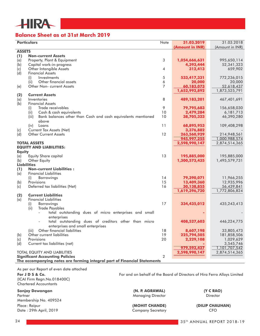

# **Balance Sheet as at 31st March 2019**

|               | <b>Particulars</b>                                                       | Note           | 31.03.2019                 | 31.03.2018      |
|---------------|--------------------------------------------------------------------------|----------------|----------------------------|-----------------|
|               |                                                                          |                | (Amount in INR)            | (Amount in INR) |
| <b>ASSETS</b> |                                                                          |                |                            |                 |
| (1)           | <b>Non-current Assets</b>                                                |                |                            |                 |
| (a)           | Property, Plant & Equipment                                              | 3              | 1,054,666,631              | 995,650,114     |
| (b)           | Capital work-in-progress                                                 |                | 4,393,444                  | 52, 341, 323    |
| (c)           | <b>Other Intangible Assets</b>                                           | 4              | 312,413                    | 659,902         |
| (d)           | <b>Financial Assets</b>                                                  |                |                            |                 |
|               | Investments<br>(i)                                                       | 5              | 533,417,331                | 772,236,015     |
|               | Other financial assets<br>(ii)                                           | 6              | 20,000                     | 20,000          |
| (e)           | Other Non- current Assets                                                | 7              | 60,183,073                 | 52,618,437      |
|               |                                                                          |                | 1,652,992,892              | 1,873,525,791   |
| (2)           | <b>Current Assets</b>                                                    |                |                            |                 |
| (a)           | Inventories                                                              | 8              | 489,183,201                | 467,401,691     |
| (b)           | <b>Financial Assets</b>                                                  |                |                            |                 |
|               | Trade receivables<br>(i)                                                 | 9              | 79,795,683                 | 156,658,030     |
|               | (ii)<br>Cash & cash equivalents                                          | 10             | 2,479,284                  | 6,181,713       |
|               | Bank balances other than Cash and cash equivalents mentioned<br>(iii)    | 10             | 38,705,323                 | 46,390,280      |
|               | above<br>Loans                                                           | 11             | 68,895,953                 | 109,408,298     |
|               | (iv)                                                                     |                |                            |                 |
| (c)           | <b>Current Tax Assets (Net)</b><br><b>Other Current Assets</b>           | 12             | 3,376,882                  | 214,948,561     |
| (d)           |                                                                          |                | 263,560,929<br>945,997,255 | 1,000,988,574   |
|               | <b>TOTAL ASSETS</b>                                                      |                | 2,598,990,147              | 2,874,514,365   |
|               | <b>EQUITY AND LIABILITIES:</b>                                           |                |                            |                 |
| <b>Equity</b> |                                                                          |                |                            |                 |
| (a)           | <b>Equity Share capital</b>                                              | 13             | 195,885,000                | 195,885,000     |
| (b)           | <b>Other Equity</b>                                                      |                | 1,300,573,435              | 1,495,579,731   |
|               | <b>Liabilities</b>                                                       |                |                            |                 |
| (1)           | <b>Non-current Liabilities:</b>                                          |                |                            |                 |
| (a)           | <b>Financial Liabilities</b>                                             |                |                            |                 |
|               | Borrowings<br>(i)                                                        | 14             | 79,390,071                 | 11,966,255      |
| (b)           | <b>Provisions</b>                                                        | 15             | 13,409,360                 | 12,935,996      |
| (c)           | Deferred tax liabilities (Net)                                           | 16             | 30,138,855                 | 56,439,841      |
|               |                                                                          |                | 1,619,396,720              | 1,772,806,824   |
| (2)           | <b>Current Liabilities</b>                                               |                |                            |                 |
| (a)           | <b>Financial Liabilities</b>                                             |                |                            |                 |
|               | <b>Borrowings</b><br>(i)                                                 | 17             | 334,435,012                | 435,243,413     |
|               | (ii)<br><b>Trade Payables</b>                                            |                |                            |                 |
|               | total outstanding dues of micro enterprises and small                    |                |                            |                 |
|               | enterprises                                                              |                |                            |                 |
|               | total outstanding dues of creditors other than micro                     |                | 408,527,603                | 446,224,775     |
|               | enterprises and small enterprises                                        |                |                            |                 |
|               | <b>Other financial liabilities</b><br>(iii)                              | 18             | 8,607,198                  | 33,805,473      |
| (b)           | Other current liabilities                                                | 19             | 225,794,505                | 181,858,506     |
| (c)           | Provisions                                                               | 20             | 2,229,108                  | 1,029,629       |
| (d)           | Current tax liabilities (net)                                            |                |                            | 3,545,746       |
|               |                                                                          |                | 979.593.427                | 1,101,707,542   |
|               | <b>TOTAL EQUITY AND LIABILITIES</b>                                      |                | 2,598,990,147              | 2,874,514,365   |
|               | <b>Significant Accounting Policies</b>                                   | $\overline{2}$ |                            |                 |
|               | The accompanying notes are forming integral part of Financial Statements |                |                            |                 |

As per our Report of even date attached

**For J D S & Co.** (ICAI Firm Regn.No.018400C) Chartered Accountants

**Sanjay Dewangan**

Partner Membership No. 409524 Place : Raipur Date : 29th April, 2019

For and on behalf of the Board of Directors of Hira Ferro Alloys Limited

**(N. P. AGRAWAL)** Managing Director **(Y C RAO) Director** 

**(MOHIT CHANDE)** Company Secretary

 **(Dilip Chauhan)**  CFO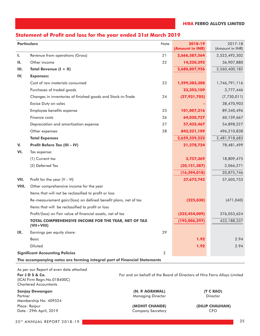# **Statement of Profit and loss for the year ended 31st March 2019**

|       | <b>Particulars</b>                                                       | Note           | 2018-19<br>(Amount in INR) | 2017-18<br>(Amount in INR) |  |  |  |
|-------|--------------------------------------------------------------------------|----------------|----------------------------|----------------------------|--|--|--|
| ı.    | Revenue from operations (Gross)                                          | 21             | 2,666,587,564              | 2,523,492,302              |  |  |  |
| П.    | Other income                                                             | 22             | 14,220,392                 | 36,907,880                 |  |  |  |
| Ш.    | <b>Total Revenue (I + II)</b>                                            |                | 2,680,807,956              | 2,560,400,182              |  |  |  |
| IV.   | <b>Expenses:</b>                                                         |                |                            |                            |  |  |  |
|       | Cost of raw materials consumed                                           | 23             | 1,599,383,308              | 1,746,791,116              |  |  |  |
|       | Purchases of traded goods                                                |                | 23,393,109                 | 3,777,446                  |  |  |  |
|       | Changes in inventories of finished goods and Stock-in-Trade              | 24             | (27,931,705)               | (7, 730, 011)              |  |  |  |
|       | <b>Excise Duty on sales</b>                                              |                |                            | 38,470,903                 |  |  |  |
|       | Employee benefits expense                                                | 25             | 101,007,216                | 89,340,496                 |  |  |  |
|       | Finance costs                                                            | 26             | 64,020,727                 | 60,159,667                 |  |  |  |
|       | Depreciation and amortization expense                                    | 27             | 57,435,467                 | 54,898,227                 |  |  |  |
|       | Other expenses                                                           | 28             | 842,221,109                | 496,210,838                |  |  |  |
|       | <b>Total Expenses</b>                                                    |                | 2,659,529,232              | 2,481,918,683              |  |  |  |
| V.    | <b>Profit Before Tax (III - IV)</b>                                      |                | 21,278,724                 | 78,481,499                 |  |  |  |
| VI.   | Tax expense:                                                             |                |                            |                            |  |  |  |
|       | (1) Current tax                                                          |                | 3,757,369                  | 18,809,475                 |  |  |  |
|       | (2) Deferred Tax                                                         |                | (20, 151, 387)             | 2,066,271                  |  |  |  |
|       |                                                                          |                | (16, 394, 018)             | 20,875,746                 |  |  |  |
| VII.  | Profit for the year (V - VI)                                             |                | 37,672,742                 | 57,605,753                 |  |  |  |
| VIII. | Other comprehensive income for the year                                  |                |                            |                            |  |  |  |
|       | Items that will not be reclassified to profit or loss                    |                |                            |                            |  |  |  |
|       | Re-measurement gain/(loss) on defined benefit plans, net of tax          |                | (225, 030)                 | (471, 040)                 |  |  |  |
|       | Items that will be reclassified to profit or loss                        |                |                            |                            |  |  |  |
|       | Profit/(loss) on Fair value of financial assets, net of tax              |                | (232, 454, 009)            | 376,053,624                |  |  |  |
|       | TOTAL COMPREHENSIVE INCOME FOR THE YEAR, NET OF TAX<br>$(VIII+VIII)$     |                | (195,006,297)              | 433,188,337                |  |  |  |
| IX.   | Earnings per equity share:                                               | 29             |                            |                            |  |  |  |
|       | <b>Basic</b>                                                             |                | 1.92                       | 2.94                       |  |  |  |
|       | <b>Diluted</b>                                                           |                | 1.92                       | 2.94                       |  |  |  |
|       | <b>Significant Accounting Policies</b>                                   | $\overline{2}$ |                            |                            |  |  |  |
|       | The accompanying notes are forming integral part of Financial Statements |                |                            |                            |  |  |  |

As per our Report of even date attached **For J D S & Co.** (ICAI Firm Regn.No.018400C) Chartered Accountants

**Sanjay Dewangan** Partner Membership No. 409524 Place : Raipur Date : 29th April, 2019

For and on behalf of the Board of Directors of Hira Ferro Alloys Limited

**(N. P. AGRAWAL)** Managing Director

**(MOHIT CHANDE)** Company Secretary

**(Y C RAO) Director** 

 **(Dilip Chauhan)**  CFO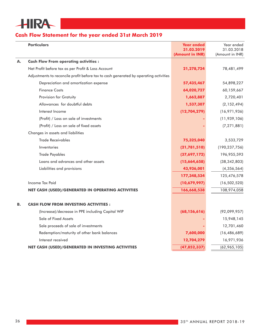

# **Cash Flow Statement for the year ended 31st March 2019**

|    | <b>Particulars</b>                                                                   | <b>Year ended</b><br>31.03.2019<br>(Amount in INR) | Year ended<br>31.03.2018<br>(Amount in INR) |
|----|--------------------------------------------------------------------------------------|----------------------------------------------------|---------------------------------------------|
| А. | <b>Cash Flow From operating activities:</b>                                          |                                                    |                                             |
|    | Net Profit before tax as per Profit & Loss Account                                   | 21,278,724                                         | 78,481,499                                  |
|    | Adjustments to reconcile profit before tax to cash generated by operating activities |                                                    |                                             |
|    | Depreciation and amortization expense                                                | 57,435,467                                         | 54,898,227                                  |
|    | <b>Finance Costs</b>                                                                 | 64,020,727                                         | 60,159,667                                  |
|    | Provision for Gratuity                                                               | 1,662,887                                          | 2,720,401                                   |
|    | Allowances for doubtful debts                                                        | 1,537,307                                          | (2, 152, 494)                               |
|    | Interest Income                                                                      | (12, 704, 279)                                     | (16, 971, 936)                              |
|    | (Profit) / Loss on sale of investments                                               |                                                    | (11, 939, 106)                              |
|    | (Profit) / Loss on sale of fixed assets                                              |                                                    | (7, 271, 881)                               |
|    | Changes in assets and liabilities                                                    |                                                    |                                             |
|    | <b>Trade Receivables</b>                                                             | 75,325,040                                         | 3,533,729                                   |
|    | Inventories                                                                          | (21, 781, 510)                                     | (190, 237, 756)                             |
|    | <b>Trade Payables</b>                                                                | (37,697,172)                                       | 196,955,593                                 |
|    | Loans and advances and other assets                                                  | (15,664,658)                                       | (38, 342, 803)                              |
|    | Liabilities and provisions                                                           | 43,936,001                                         | (4, 356, 564)                               |
|    |                                                                                      | 177,348,534                                        | 125,476,578                                 |
|    | <b>Income Tax Paid</b>                                                               | (10,679,997)                                       | (16, 502, 520)                              |
|    | NET CASH (USED)/GENERATED IN OPERATING ACTIVITIES                                    | 166,668,538                                        | 108,974,058                                 |
| В. | <b>CASH FLOW FROM INVESTING ACTIVITIES:</b>                                          |                                                    |                                             |
|    | (Increase)/decrease in PPE including Capital WIP                                     | (68, 156, 616)                                     | (92,099,957)                                |
|    | <b>Sale of Fixed Assets</b>                                                          |                                                    | 15,948,145                                  |
|    | Sale proceeds of sale of investments                                                 |                                                    | 12,701,460                                  |
|    | Redemption/maturity of other bank balances                                           | 7,600,000                                          | (16, 486, 689)                              |
|    | Interest received                                                                    | 12,704,279                                         | 16,971,936                                  |
|    | NET CASH (USED)/GENERATED IN INVESTING ACTIVITIES                                    | (47, 852, 337)                                     | (62,965,105)                                |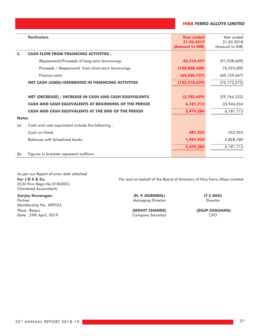# **Hira Ferro Alloys Limited**

|              | <b>Particulars</b>                                     | <b>Year ended</b>             | Year ended                    |
|--------------|--------------------------------------------------------|-------------------------------|-------------------------------|
|              |                                                        | 31.03.2019<br>(Amount in INR) | 31.03.2018<br>(Amount in INR) |
| C.           | <b>CASH FLOW FROM FINANCING ACTIVITIES:</b>            |                               |                               |
|              | (Repayment)/Proceeds of long-term borrowings           | 42,310,497                    | (91, 938, 609)                |
|              | Proceeds / (Repayment) from short-term borrowings      | (100, 808, 400)               | 76,325,002                    |
|              | Finance costs                                          | (64, 020, 727)                | (60, 159, 667)                |
|              | NET CASH (USED)/GENERATED IN FINANCING ACTIVITIES      | (122, 518, 629)               | (75, 773, 275)                |
|              |                                                        |                               |                               |
|              | NET (DECREASE) / INCREASE IN CASH AND CASH EQUIVALENTS | (3,702,429)                   | (29, 764, 322)                |
|              | CASH AND CASH EQUIVALENTS AT BEGINNING OF THE PERIOD   | 6,181,713                     | 35,946,034                    |
|              | CASH AND CASH EQUIVALENTS AT THE END OF THE PERIOD     | 2,479,284                     | 6,181,713                     |
| <b>Notes</b> |                                                        |                               |                               |
| (a)          | Cash and cash equivalent include the following :       |                               |                               |
|              | Cash on Hand                                           | 481,355                       | 352,924                       |
|              | Balances with Scheduled banks                          | 1,997,929                     | 5,828,789                     |
|              |                                                        | 2,479,284                     | 6,181,713                     |
| (b)          | Figures in brackets represent outflows.                |                               |                               |

As per our Report of even date attached **For J D S & Co.** (ICAI Firm Regn.No.018400C) Chartered Accountants

**Sanjay Dewangan** Partner Membership No. 409524 Place : Raipur Date : 29th April, 2019

For and on behalf of the Board of Directors of Hira Ferro Alloys Limited

**(N. P. AGRAWAL)** Managing Director

**(MOHIT CHANDE)** Company Secretary

**(Y C RAO)** Director

 **(Dilip Chauhan)**  CFO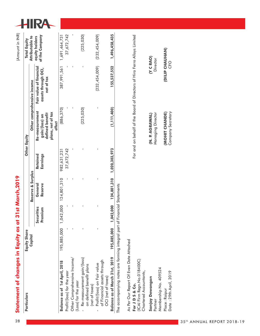**HIRA** 

| Statement of changes in Equity as<br>Particulars<br>28                           | <b>Equity Share</b> |                       | at 31st March,2019 | Other Equity         |                                                                                    |                                                              | (Amount in INR)<br><b>Total Equity</b> |
|----------------------------------------------------------------------------------|---------------------|-----------------------|--------------------|----------------------|------------------------------------------------------------------------------------|--------------------------------------------------------------|----------------------------------------|
|                                                                                  | Capital             |                       | Reserve & Surplus  |                      |                                                                                    | Other comprehensive income                                   | Attributable to                        |
|                                                                                  |                     | Securities<br>Premium | General<br>Reserve | Earnings<br>Retained | Re-measurement<br>plans, net of tax<br>defined benefit<br>gain/(loss) on<br>effect | Fair value of financial<br>assets through OCI,<br>net of tax | of the Company<br>equity holders       |
| Balance as of 1st April, 2018                                                    | 195,885,000         | 1,042,000             | 124,801,310        | 982,631,231          | (886, 370)                                                                         | 387,991,561                                                  | 1,691,464,731                          |
| Profit/(loss) for the year                                                       |                     |                       |                    | 37,672,742           |                                                                                    |                                                              | 37,672,742                             |
| Other Comprehensive Income/<br>(Loss) for the year                               |                     |                       |                    |                      |                                                                                    |                                                              |                                        |
| Re-measurement gain/(loss)<br>on defined benefit plans                           |                     |                       |                    |                      | (225, 030)                                                                         |                                                              | (225, 030)                             |
| (net of taxes)                                                                   |                     |                       |                    |                      |                                                                                    |                                                              |                                        |
| of Financial assets through<br>Profit/(loss) on Fair value<br>OCI (net of taxes) |                     | ٠                     |                    |                      | ٠                                                                                  | (232, 454, 009)                                              | (232,454,009)                          |
| Balance as of March 31st, 2019                                                   | 195,885,000         | 1,042,000             | 124,801,310        | 1,020,303,973        | (1, 11, 100)                                                                       | 155,537,552                                                  | 1,496,458,435                          |
| Chartered Accountants<br>Sanjay Dewangan                                         |                     |                       |                    |                      | (N. P. AGRAWAL)                                                                    |                                                              | (Y C RAO)                              |
| Partner                                                                          |                     |                       |                    |                      | Managing Director                                                                  |                                                              | Director                               |
| Membership No. 409524                                                            |                     |                       |                    |                      |                                                                                    |                                                              |                                        |
| Date: 29th April, 2019<br>Place: Raipur                                          |                     |                       |                    |                      | Company Secretary<br>(MOHIT CHANDE)                                                | (DILIP CHAUHAN)                                              | <b>CFO</b>                             |
|                                                                                  |                     |                       |                    |                      |                                                                                    |                                                              |                                        |
| 35 <sup>th</sup> ANNUAL REPORT 2018-19                                           |                     |                       |                    |                      |                                                                                    |                                                              |                                        |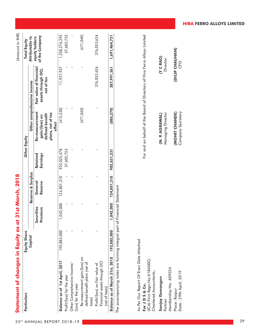(Amount in INR)

| <b>Particulars</b>                                                               | Equity Share |                       |                       | Other Equity         |                                                                                    |                                                              | <b>Total Equity</b>              |
|----------------------------------------------------------------------------------|--------------|-----------------------|-----------------------|----------------------|------------------------------------------------------------------------------------|--------------------------------------------------------------|----------------------------------|
|                                                                                  | Capital      |                       | Reserve & Surplus     |                      |                                                                                    | Other comprehensive income                                   | Attributable to                  |
|                                                                                  |              | Securities<br>Premium | General<br>Reserve    | Retained<br>Earnings | Re-measurement<br>plans, net of tax<br>defined benefit<br>gain/(loss) on<br>effect | Fair value of financial<br>assets through OCI,<br>net of tax | of the Company<br>equity holders |
| Balance as of 1st April, 2017                                                    | 195,885,000  | 1,042,000             | 124, 801, 310         | 925,025,478          | (415, 330)                                                                         | 11,937,937                                                   | 1,258,276,395                    |
| Profit/(loss) for the year                                                       |              |                       |                       | 57,605,753           |                                                                                    |                                                              | 57,605,753                       |
| Other Comprehensive Income/<br>(Loss) for the year                               |              |                       |                       |                      |                                                                                    |                                                              |                                  |
| Re-measurement gain/(loss) on<br>defined benefit plans (net of<br>$t$ axes       |              |                       |                       |                      | (471,040)                                                                          |                                                              | (471, 040)                       |
| Financial assets through OCI<br>Profit/(loss) on Fair value of<br>(net of taxes) |              |                       |                       |                      |                                                                                    | 376,053,624                                                  | 376,053,624                      |
| Balance as of March 31st, 2018 195,885,000                                       |              |                       | 1,042,000 124,801,310 | 982,631,231          | (886, 370)                                                                         | 387,991,561                                                  | 1,691,464,731                    |
| The accompanying notes are forming integral part of Financial Statement          |              |                       |                       |                      |                                                                                    |                                                              |                                  |

As Per Our Report Of Even Date Attached

As Per Our Report Of Even Date Attached

**For J D S & Co.**

For and on behalf of the Board of Directors of Hira Ferro Alloys Limited

For and on behalf of the Board of Directors of Hira Ferro Alloys Limited

**(N. P. AGRAWAL)** Managing Director

Managing Director (N. P. AGRAWAL)

**(MOHIT CHANDE)** Company Secretary

(MOHIT CHANDE)<br>Company Secretary

**(Dilip Chauhan)** (DILIP CHAUHAN)<br>CFO

**(Y C RAO)** Director

(ICAI Firm Regn.No.018400C) Chartered Accountants,

Chartered Accountants, Sanjay Dewangan

For J D S & Co.<br>(ICAI Firm Regn.No.018400C)

**Sanjay Dewangan**

Partner

Membership No. 409524

Membership No. 409524 Place : Raipur<br>Date : 29th April, 2019

Place : Raipur

Date : 29th April, 2019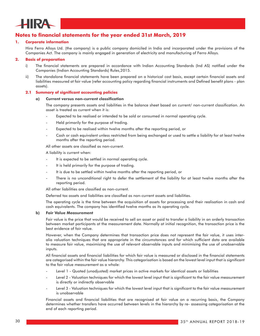

# **Notes to financial statements for the year ended 31st March, 2019**

## **1. Corporate information**

Hira Ferro Alloys Ltd. (the company) is a public company domiciled in India and incorporated under the provisions of the Companies Act. The company is mainly engaged in generation of electricity and manufacturing of Ferro Alloys.

#### **2. Basis of preparation**

- i) The financial statements are prepared in accordance with Indian Accounting Standards (Ind AS) notified under the Companies (Indian Accounting Standards) Rules,2015.
- ii) The standalone financial statements have been prepared on a historical cost basis, except certain financial assets and liabilities measured at fair value (refer accounting policy regarding financial instruments and Defined benefit plans - plan assets).

## **2.1 Summary of significant accounting policies**

## **a) Current versus non-current classification**

The company presents assets and liabilities in the balance sheet based on current/ non-current classification. An asset is treated as current when it is:

- Expected to be realised or intended to be sold or consumed in normal operating cycle.
- Held primarily for the purpose of trading.
- Expected to be realised within twelve months after the reporting period, or
- Cash or cash equivalent unless restricted from being exchanged or used to settle a liability for at least twelve months after the reporting period.

All other assets are classified as non-current.

A liability is current when:

- It is expected to be settled in normal operating cycle.
- It is held primarily for the purpose of trading.
- It is due to be settled within twelve months after the reporting period, or
- There is no unconditional right to defer the settlement of the liability for at least twelve months after the reporting period.

All other liabilities are classified as non-current.

Deferred tax assets and liabilities are classified as non-current assets and liabilities.

The operating cycle is the time between the acquisition of assets for processing and their realisation in cash and cash equivalents. The company has identified twelve months as its operating cycle.

#### **b) Fair Value Measurement**

Fair value is the price that would be received to sell an asset or paid to transfer a liability in an orderly transaction between market participants at the measurement date. Normally at initial recognition, the transaction price is the best evidence of fair value.

However, when the Company determines that transaction price does not represent the fair value, it uses interalia valuation techniques that are appropriate in the circumstances and for which sufficient data are available to measure fair value, maximising the use of relevant observable inputs and minimising the use of unobservable inputs.

All financial assets and financial liabilities for which fair value is measured or disclosed in the financial statements are categorised within the fair value hierarchy. This categorisation is based on the lowest level input that is significant to the fair value measurement as a whole:

- Level 1 Quoted (unadjusted) market prices in active markets for identical assets or liabilities
- Level 2 Valuation techniques for which the lowest level input that is significant to the fair value measurement is directly or indirectly observable
- Level 3 Valuation techniques for which the lowest level input that is significant to the fair value measurement is unobservable

Financial assets and financial liabilities that are recognised at fair value on a recurring basis, the Company determines whether transfers have occurred between levels in the hierarchy by re- assessing categorisation at the end of each reporting period.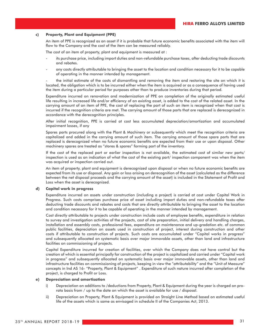## **c) Property, Plant and Equipment (PPE)**

An item of PPE is recognized as an asset if it is probable that future economic benefits associated with the item will flow to the Company and the cost of the item can be measured reliably.

The cost of an item of property, plant and equipment is measured at :

- its purchase price, including import duties and non-refundable purchase taxes, after deducting trade discounts and rebates.
- any costs directly attributable to bringing the asset to the location and condition necessary for it to be capable of operating in the manner intended by management.

- the initial estimate of the costs of dismantling and removing the item and restoring the site on which it is located, the obligation which is to be incurred either when the item is acquired or as a consequence of having used the item during a particular period for purposes other than to produce inventories during that period.

Expenditure incurred on renovation and modernization of PPE on completion of the originally estimated useful life resulting in increased life and/or efficiency of an existing asset, is added to the cost of the related asset. In the carrying amount of an item of PPE, the cost of replacing the part of such an item is recognized when that cost is incurred if the recognition criteria are met. The carrying amount of those parts that are replaced is derecognized in accordance with the derecognition principles.

After initial recognition, PPE is carried at cost less accumulated depreciation/amortization and accumulated impairment losses, if any

Spares parts procured along with the Plant & Machinery or subsequently which meet the recognition criteria are capitalized and added in the carrying amount of such item. The carrying amount of those spare parts that are replaced is derecognized when no future economic benefits are expected from their use or upon disposal. Other machinery spares are treated as "stores & spares" forming part of the inventory.

If the cost of the replaced part or earlier inspection is not available, the estimated cost of similar new parts/ inspection is used as an indication of what the cost of the existing part/ inspection component was when the item was acquired or inspection carried out.

An item of property, plant and equipment is derecognized upon disposal or when no future economic benefits are expected from its use or disposal. Any gain or loss arising on derecognition of the asset (calculated as the difference between the net disposal proceeds and the carrying amount of the asset) is included in the Statement of Profit and Loss when the asset is derecognized.

### **d) Capital work in progress**

Expenditure incurred on assets under construction (including a project) is carried at cost under Capital Work in Progress. Such costs comprises purchase price of asset including import duties and non-refundable taxes after deducting trade discounts and rebates and costs that are directly attributable to bringing the asset to the location and condition necessary for it to be capable of operating in the manner intended by management.

Cost directly attributable to projects under construction include costs of employee benefits, expenditure in relation to survey and investigation activities of the projects, cost of site preparation, initial delivery and handling charges, installation and assembly costs, professional fees, expenditure on maintenance and up-gradation etc. of common public facilities, depreciation on assets used in construction of project, interest during construction and other costs if attributable to construction of projects. Such costs are accumulated under "Capital works in progress" and subsequently allocated on systematic basis over major immovable assets, other than land and infrastructure facilities on commissioning of projects.

Capital Expenditure incurred for creation of facilities, over which the Company does not have control but the creation of which is essential principally for construction of the project is capitalized and carried under "Capital work in progress" and subsequently allocated on systematic basis over major immovable assets, other than land and infrastructure facilities on commissioning of projects, keeping in view the "attributability" and the "Unit of Measure" concepts in Ind AS 16- "Property, Plant & Equipment" . Expenditure of such nature incurred after completion of the project, is charged to Profit or Loss.

#### **e) Depreciation and amortisation**

- i) Depreciation on additions to /deductions from Property, Plant & Equipment during the year is charged on prorata basis from / up to the date on which the asset is available for use / disposal.
- ii) Depreciation on Property, Plant & Equipment is provided on Straight Line Method based on estimated useful life of the assets which is same as envisaged in schedule II of the Companies Act, 2013.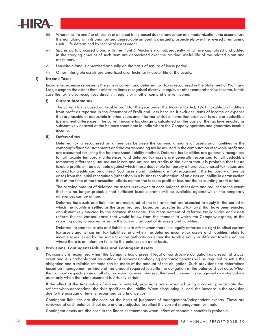

- Where the life and / or efficiency of an asset is increased due to renovation and modernization, the expenditure thereon along with its unamortized depreciable amount is charged prospectively over the revised / remaining useful life determined by technical assessment.
- iv) Spares parts procured along with the Plant & Machinery or subsequently which are capitalized and added in the carrying amount of such item are depreciated over the residual useful life of the related plant and machinery.
- v) Leasehold land is amortised annually on the basis of tenure of lease period.
- vi) Other Intangible assets are amortized over technically useful life of the assets.

#### **f) Income Taxes**

Income tax expense represents the sum of current and deferred tax. Tax is recognised in the Statement of Profit and Loss, except to the extent that it relates to items recognised directly in equity or other comprehensive income. In this case the tax is also recognised directly in equity or in other comprehensive income.

#### **i) Current income tax**

The current tax is based on taxable profit for the year under the Income Tax Act, 1961. Taxable profit differs from profit as reported in the Statement of Profit and Loss because it excludes items of income or expense that are taxable or deductible in other years and it further excludes items that are never taxable or deductible (permanent differences). The current income tax charge is calculated on the basis of the tax laws enacted or substantively enacted at the balance sheet date in India where the Company operates and generates taxable income.

#### **ii) Deferred tax**

Deferred tax is recognised on differences between the carrying amounts of assets and liabilities in the company's financial statements and the corresponding tax bases used in the computation of taxable profit and are accounted for using the balance sheet liability method. Deferred tax liabilities are generally recognised for all taxable temporary differences, and deferred tax assets are generally recognised for all deductible temporary differences, unused tax losses and unused tax credits to the extent that it is probable that future taxable profits will be available against which those deductible temporary differences, unused tax losses and unused tax credits can be utilised. Such assets and liabilities are not recognised if the temporary difference arises from the initial recognition (other than in a business combination) of an asset or liability in a transaction that at the time of the transaction affects neither the taxable profit or loss nor the accounting profit or loss.

The carrying amount of deferred tax assets is reviewed at each balance sheet date and reduced to the extent that it is no longer probable that sufficient taxable profits will be available against which the temporary differences can be utilised.

Deferred tax assets and liabilities are measured at the tax rates that are expected to apply in the period in which the liability is settled or the asset realised, based on tax rates (and tax laws) that have been enacted or substantively enacted by the balance sheet date. The measurement of deferred tax liabilities and assets reflects the tax consequences that would follow from the manner in which the Company expects, at the reporting date, to recover or settle the carrying amount of its assets and liabilities.

Deferred income tax assets and liabilities are offset when there is a legally enforceable right to offset current tax assets against current tax liabilities, and when the deferred income tax assets and liabilities relate to income taxes levied by the same taxation authority on either the taxable entity or different taxable entities where there is an intention to settle the balances on a net basis.

## **g) Provisions, Contingent Liabilities and Contingent Assets**

Provisions are recognised when the Company has a present legal or constructive obligation as a result of a past event and it is probable that an outflow of resources embodying economic benefits will be required to settle the obligation and a reliable estimate can be made of the amount of the obligation. Such provisions are determined based on management estimate of the amount required to settle the obligation at the balance sheet date. When the Company expects some or all of a provision to be reimbursed, the reimbursement is recognised as a standalone asset only when the reimbursement is virtually certain.

If the effect of the time value of money is material, provisions are discounted using a current pre-tax rate that reflects when appropriate, the risks specific to the liability. When discounting is used, the increase in the provision due to the passage of time is recognised as a finance cost.

Contingent liabilities are disclosed on the basis of judgment of management/independent experts. These are reviewed at each balance sheet date and are adjusted to reflect the current management estimate.

Contingent assets are disclosed in the financial statements when inflow of economic benefits is probable.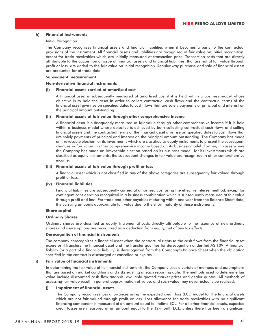#### **h) Financial Instruments**

#### Initial Recognition

The Company recognizes financial assets and financial liabilities when it becomes a party to the contractual provisions of the instrument. All financial assets and liabilities are recognized at fair value on initial recognition, except for trade receivables which are initially measured at transaction price. Transaction costs that are directly attributable to the acquisition or issue of financial assets and financial liabilities, that are not at fair value through profit or loss, are added to the fair value on initial recognition. Regular way purchase and sale of financial assets are accounted for at trade date.

#### **Subsequent measurement**

#### **Non-derivative financial instruments**

#### **(i) Financial assets carried at amortised cost**

A financial asset is subsequently measured at amortised cost if it is held within a business model whose objective is to hold the asset in order to collect contractual cash flows and the contractual terms of the financial asset give rise on specified dates to cash flows that are solely payments of principal and interest on the principal amount outstanding.

#### **(ii) Financial assets at fair value through other comprehensive income**

A financial asset is subsequently measured at fair value through other comprehensive income if it is held within a business model whose objective is achieved by both collecting contractual cash flows and selling financial assets and the contractual terms of the financial asset give rise on specified dates to cash flows that are solely payments of principal and interest on the principal amount outstanding. The Company has made an irrevocable election for its investments which are classified as equity instruments to present the subsequent changes in fair value in other comprehensive income based on its business model. Further, in cases where the Company has made an irrevocable election based on its business model, for its investments which are classified as equity instruments, the subsequent changes in fair value are recognized in other comprehensive income.

#### **(iii) Financial assets at fair value through profit or loss**

A financial asset which is not classified in any of the above categories are subsequently fair valued through profit or loss.

#### **(iv) Financial liabilities**

Financial liabilities are subsequently carried at amortized cost using the effective interest method, except for contingent consideration recognized in a business combination which is subsequently measured at fair value through profit and loss. For trade and other payables maturing within one year from the Balance Sheet date, the carrying amounts approximate fair value due to the short maturity of these instruments.

#### **Share capital**

#### **Ordinary Shares**

Ordinary shares are classified as equity. Incremental costs directly attributable to the issuance of new ordinary shares and share options are recognized as a deduction from equity, net of any tax effects.

#### **Derecognition of financial instruments**

The company derecognizes a financial asset when the contractual rights to the cash flows from the financial asset expire or it transfers the financial asset and the transfer qualifies for derecognition under Ind AS 109. A financial liability (or a part of a financial liability) is derecognized from the Company's Balance Sheet when the obligation specified in the contract is discharged or cancelled or expires.

#### **i) Fair value of financial instruments**

In determining the fair value of its financial instruments, the Company uses a variety of methods and assumptions that are based on market conditions and risks existing at each reporting date. The methods used to determine fair value include discounted cash flow analysis, available quoted market prices and dealer quotes. All methods of assessing fair value result in general approximation of value, and such value may never actually be realized.

#### **j) Impairment of financial assets**

The Company recognizes loss allowances using the expected credit loss (ECL) model for the financial assets which are not fair valued through profit or loss. Loss allowance for trade receivables with no significant financing component is measured at an amount equal to lifetime ECL. For all other financial assets, expected credit losses are measured at an amount equal to the 12-month ECL, unless there has been a significant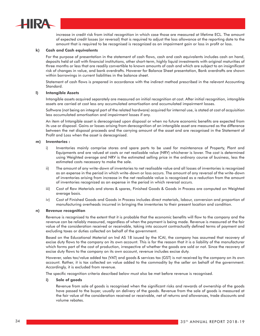

increase in credit risk from initial recognition in which case those are measured at lifetime ECL. The amount of expected credit losses (or reversal) that is required to adjust the loss allowance at the reporting date to the amount that is required to be recognised is recognized as an impairment gain or loss in profit or loss.

#### **k) Cash and Cash equivalents**

For the purpose of presentation in the statement of cash flows, cash and cash equivalents includes cash on hand, deposits held at call with financial institutions, other short-term, highly liquid investments with original maturities of three months or less that are readily convertible to known amounts of cash and which are subject to an insignificant risk of changes in value, and bank overdrafts. However for Balance Sheet presentation, Bank overdrafts are shown within borrowings in current liabilities in the balance sheet.

Statement of cash flows is prepared in accordance with the indirect method prescribed in the relevant Accounting Standard.

#### **l) Intangible Assets**

Intangible assets acquired separately are measured on initial recognition at cost. After initial recognition, intangible assets are carried at cost less any accumulated amortisation and accumulated impairment losses.

Software (not being an integral part of the related hardware) acquired for internal use, is stated at cost of acquisition less accumulated amortisation and impairment losses if any.

An item of Intangible asset is derecognised upon disposal or when no future economic benefits are expected from its use or disposal. Gains or losses arising from derecognition of an intangible asset are measured as the difference between the net disposal proceeds and the carrying amount of the asset and are recognised in the Statement of Profit and Loss when the asset is derecognised.

#### **m) Inventories :**

- i) Inventories mainly comprise stores and spare parts to be used for maintenance of Property, Plant and Equipments and are valued at costs or net realizable value (NRV) whichever is lower. The cost is determined using Weighted average and NRV is the estimated selling price in the ordinary course of business, less the estimated costs necessary to make the sale.
- ii) The amount of any write-down of inventories to net realisable value and all losses of inventories is recognized as an expense in the period in which write-down or loss occurs. The amount of any reversal of the write-down of inventories arising from increase in the net realisable value is recognized as a reduction from the amount of inventories recognized as an expense in the period in which reversal occurs.
- iii) Cost of Raw Materials and stores & spares, Finished Goods & Goods in Process are computed on Weighted average basis.
- iv) Cost of Finished Goods and Goods in Process includes direct materials, labour, conversion and proportion of manufacturing overheads incurred in bringing the inventories to their present location and condition.

#### **n) Revenue recognition**

Revenue is recognised to the extent that it is probable that the economic benefits will flow to the company and the revenue can be reliably measured, regardless of when the payment is being made. Revenue is measured at the fair value of the consideration received or receivable, taking into account contractually defined terms of payment and excluding taxes or duties collected on behalf of the government.

Based on the Educational Material on Ind AS 18 issued by the ICAI, the company has assumed that recovery of excise duty flows to the company on its own account. This is for the reason that it is a liability of the manufacturer which forms part of the cost of production, irrespective of whether the goods are sold or not. Since the recovery of excise duty flows to the company on its own account, revenue includes excise duty.

However, sales tax/value added tax (VAT) and goods & services tax (GST) is not received by the company on its own account. Rather, it is tax collected on value added to the commodity by the seller on behalf of the government. Accordingly, it is excluded from revenue.

The specific recognition criteria described below must also be met before revenue is recognised.

#### **i) Sale of goods**

Revenue from sale of goods is recognised when the significant risks and rewards of ownership of the goods have passed to the buyer, usually on delivery of the goods. Revenue from the sale of goods is measured at the fair value of the consideration received or receivable, net of returns and allowances, trade discounts and volume rebates.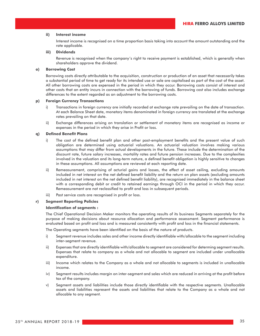## **ii) Interest income**

Interest income is recognised on a time proportion basis taking into account the amount outstanding and the rate applicable.

#### **iii) Dividends**

Revenue is recognised when the company's right to receive payment is established, which is generally when shareholders approve the dividend.

## **o) Borrowing Cost**

Borrowing costs directly attributable to the acquisition, construction or production of an asset that necessarily takes a substantial period of time to get ready for its intended use or sale are capitalised as part of the cost of the asset. All other borrowing costs are expensed in the period in which they occur. Borrowing costs consist of interest and other costs that an entity incurs in connection with the borrowing of funds. Borrowing cost also includes exchange differences to the extent regarded as an adjustment to the borrowing costs.

#### **p) Foreign Currency Transactions**

- i) Transactions in foreign currency are initially recorded at exchange rate prevailing on the date of transaction. At each Balance Sheet date, monetary items denominated in foreign currency are translated at the exchange rates prevailing on that date.
- ii) Exchange differences arising on translation or settlement of monetary items are recognised as income or expenses in the period in which they arise in Profit or loss.

#### **q) Defined Benefit Plans**

- i) The cost of the defined benefit plan and other post-employment benefits and the present value of such obligation are determined using actuarial valuations. An actuarial valuation involves making various assumptions that may differ from actual developments in the future. These include the determination of the discount rate, future salary increases, mortality rates and future pension increases. Due to the complexities involved in the valuation and its long-term nature, a defined benefit obligation is highly sensitive to changes in these assumptions. All assumptions are reviewed at each reporting date.
- ii) Remeasurement, comprising of acturial gains and losses, the effect of asset ceiling, excluding amounts included in net interest on the net defined benefit liability and the return on plan assets (excluding amounts included in net interest on the net defined benefit liability), are recognised immediately in the balance sheet with a corresponding debit or credit to retained earnings through OCI in the period in which they occur. Remeasurement are not reclassified to profit and loss in subsequent periods.
- iii) Past service costs are recognised in profit or loss.

#### **r) Segment Reporting Policies**

#### **Identification of segments :**

The Chief Operational Decision Maker monitors the operating results of its business Segments separately for the purpose of making decisions about resource allocation and performance assessment. Segment performance is evaluated based on profit and loss and is measured consistently with profit and loss in the financial statements.

The Operating segments have been identified on the basis of the nature of products.

- i) Segment revenue includes sales and other income directly identifiable with/allocable to the segment including inter-segment revenue.
- ii) Expenses that are directly identifiable with/allocable to segment are considered for determing segment results. Expenses that relate to company as a whole and not allocable to segment are included under unallocable expenditure.
- iii) Income which relates to the Company as a whole and not allocable to segments is included in unallocable income.
- iv) Segment results includes margin on inter-segment and sales which are reduced in arriving at the profit before tax of the company.
- v) Segment assets and liabilities include those directly identifiable with the respective segments. Unallocable assets and liabilities represent the assets and liabilities that relate to the Company as a whole and not allocable to any segment.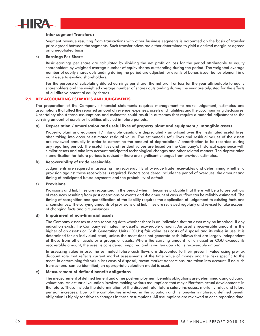

#### **Inter segment Transfers :**

Segment revenue resulting from transactions with other business segments is accounted on the basis of transfer price agreed between the segments. Such transfer prices are either determined to yield a desired margin or agreed on a negotiated basis.

#### **s) Earnings Per Share**

Basic earnings per share are calculated by dividing the net profit or loss for the period attributable to equity shareholders by weighted average number of equity shares outstanding during the period. The weighted average number of equity shares outstanding during the period are adjusted for events of bonus issue; bonus element in a right issue to existing shareholders.

For the purpose of calculating diluted earnings per share, the net profit or loss for the year attributable to equity shareholders and the weighted average number of shares outstanding during the year are adjusted for the effects of all dilutive potential equity shares.

## **2.2 KEY ACCOUNTING ESTIMATES AND JUDGEMENTS**

The preparation of the Company's financial statements requires management to make judgement, estimates and assumptions that affect the reported amount of revenue, expenses, assets and liabilities and the accompanying disclosures. Uncertainty about these assumptions and estimates could result in outcomes that require a material adjustment to the carrying amount of assets or liabilities affected in future periods.

## **a) Depreciation / amortisation and useful lives of property plant and equipment / intangible assets**

Property, plant and equipment / intangible assets are depreciated / amortised over their estimated useful lives, after taking into account estimated residual value. The estimated useful lives and residual values of the assets are reviewed annually in order to determine the amount of depreciation / amortisation to be recorded during any reporting period. The useful lives and residual values are based on the Company's historical experience with similar assets and take into account anticipated technological changes and other related matters. The depreciation / amortisation for future periods is revised if there are significant changes from previous estimates.

#### **b) Recoverability of trade receivable**

Judgements are required in assessing the recoverability of overdue trade receivables and determining whether a provision against those receivables is required. Factors considered include the period of overdues, the amount and timing of anticipated future payments and the probability of default.

## **c) Provisions**

Provisions and liabilities are recognized in the period when it becomes probable that there will be a future outflow of resources resulting from past operations or events and the amount of cash outflow can be reliably estimated. The timing of recognition and quantification of the liability requires the application of judgement to existing facts and circumstances. The carrying amounts of provisions and liabilities are reviewed regularly and revised to take account of changing facts and circumstances.

#### **d) Impairment of non-financial assets**

The Company assesses at each reporting date whether there is an indication that an asset may be impaired. If any indication exists, the Company estimates the asset's recoverable amount. An asset's recoverable amount is the higher of an asset's or Cash Generating Units (CGU's) fair value less costs of disposal and its value in use. It is determined for an individual asset, unless the asset does not generate cash inflows that are largely independent of those from other assets or a groups of assets. Where the carrying amount of an asset or CGU exceeds its recoverable amount, the asset is considered impaired and is written down to its recoverable amount.

In assessing value in use, the estimated future cash flows are discounted to their present value using pre-tax discount rate that reflects current market assessments of the time value of money and the risks specific to the asset. In determining fair value less costs of disposal, recent market transactions are taken into account, if no such transactions can be identified, an appropriate valuation model is used.

#### **e) Measurement of defined benefit obligations**

The measurement of defined benefit and other post-employment benefits obligations are determined using actuarial valuations. An actuarial valuation involves making various assumptions that may differ from actual developments in the future. These include the determination of the discount rate, future salary increases, mortality rates and future pension increases. Due to the complexities involved in the valuation and its long-term nature, a defined benefit obligation is highly sensitive to changes in these assumptions. All assumptions are reviewed at each reporting date.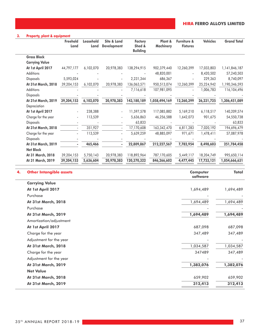## **3. Property, plant & equipment**

|                       | <b>Freehold</b>          | Leasehold | <b>Site &amp; Land</b> | <b>Factory</b>            | Plant &          | Furniture &     | <b>Vehicles</b> | <b>Grand Total</b> |
|-----------------------|--------------------------|-----------|------------------------|---------------------------|------------------|-----------------|-----------------|--------------------|
|                       | Land                     | Land      | <b>Development</b>     | Shed &<br><b>Building</b> | <b>Machinery</b> | <b>Fixtures</b> |                 |                    |
| <b>Gross Block</b>    |                          |           |                        |                           |                  |                 |                 |                    |
| <b>Carrying Value</b> |                          |           |                        |                           |                  |                 |                 |                    |
| At 1st April 2017     | 44,797,177               | 6,102,070 | 20,978,383             | 138,294,915               | 902,379,440      | 12,260,399      | 17,033,803      | 1, 141, 846, 187   |
| Additions             |                          |           |                        |                           | 48,820,001       |                 | 8,420,502       | 57,240,503         |
| <b>Disposals</b>      | 5,593,024                |           |                        | 2,231,344                 | 686,367          |                 | 229,363         | 8,740,097          |
| At 31st March, 2018   | 39,204,153               | 6,102,070 | 20,978,383             | 136,063,571               | 950,513,074      | 12,260,399      | 25,224,942      | 1,190,346,593      |
| Additions             |                          |           |                        | 7,116,618                 | 107,981,095      |                 | 1,006,783       | 116,104,496        |
| <b>Disposals</b>      |                          |           |                        |                           |                  |                 |                 |                    |
| At 31st March, 2019   | 39,204,153               | 6,102,070 | 20,978,383             | 143,180,189               | 1,058,494,169    | 12,260,399      | 26,231,725      | 1,306,451,089      |
| Depreciation          |                          |           |                        |                           |                  |                 |                 |                    |
| At 1st April 2017     | $\overline{\phantom{a}}$ | 238,388   |                        | 11,597,578                | 117,085,882      | 5,169,210       | 6,118,517       | 140,209,574        |
| Charge for the year   |                          | 113,539   |                        | 5,636,863                 | 46,256,588       | 1,642,073       | 901,675         | 54,550,738         |
| <b>Disposals</b>      |                          |           |                        | 63,833                    |                  |                 |                 | 63,833             |
| At 31st March, 2018   |                          | 351,927   |                        | 17,170,608                | 163,342,470      | 6,811,283       | 7,020,192       | 194,696,479        |
| Charge for the year   |                          | 113,539   |                        | 5,639,259                 | 48,885,097       | 971,671         | 1,478,411       | 57,087,978         |
| <b>Disposals</b>      |                          |           |                        |                           |                  |                 |                 |                    |
| At 31st March, 2019   |                          | 465,466   |                        | 22,809,867                | 212,227,567      | 7,782,954       | 8,498,603       | 251,784,458        |
| <b>Net Block</b>      |                          |           |                        |                           |                  |                 |                 |                    |
| At 31 March, 2018     | 39,204,153               | 5,750,143 | 20,978,383             | 118,892,964               | 787,170,605      | 5,449,117       | 18,204,749      | 995,650,114        |
| At 31 March, 2019     | 39,204,153               | 5,636,604 | 20,978,383             | 120,370,322               | 846,266,602      | 4,477,445       | 17,733,121      | 1,054,666,631      |

| 4. | <b>Other Intangible assets</b> | <b>Computer</b><br>software | Total     |
|----|--------------------------------|-----------------------------|-----------|
|    | <b>Carrying Value</b>          |                             |           |
|    | At 1st April 2017              | 1,694,489                   | 1,694,489 |
|    | Purchase                       |                             |           |
|    | <b>At 31st March, 2018</b>     | 1,694,489                   | 1,694,489 |
|    | Purchase                       |                             |           |
|    | <b>At 31st March, 2019</b>     | 1,694,489                   | 1,694,489 |
|    | Amortization/adjustment        |                             |           |
|    | At 1st April 2017              | 687,098                     | 687,098   |
|    | Charge for the year            | 347,489                     | 347,489   |
|    | Adjustment for the year        |                             |           |
|    | <b>At 31st March, 2018</b>     | 1,034,587                   | 1,034,587 |
|    | Charge for the year            | 347489                      | 347,489   |
|    | Adjustment for the year        |                             |           |
|    | <b>At 31st March, 2019</b>     | 1,382,076                   | 1,382,076 |
|    | <b>Net Value</b>               |                             |           |
|    | <b>At 31st March, 2018</b>     | 659,902                     | 659,902   |
|    | <b>At 31st March, 2019</b>     | 312,413                     | 312,413   |
|    |                                |                             |           |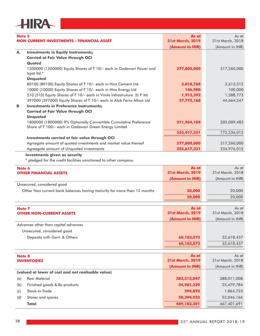

| Note 5 | <b>NON CURRENT INVESTMENTS - FINANCIAL ASSET</b>                                                                            | As at<br><b>31st March, 2019</b><br>(Amount in INR) | As at<br>31st March, 2018<br>(Amount in INR) |
|--------|-----------------------------------------------------------------------------------------------------------------------------|-----------------------------------------------------|----------------------------------------------|
| А.     | <b>Investments in Equity Instruments;</b>                                                                                   |                                                     |                                              |
|        | <b>Carried at Fair Value through OCI</b>                                                                                    |                                                     |                                              |
|        | Quoted                                                                                                                      |                                                     |                                              |
|        | 1200000 (1200000) Equity Shares of ₹10/- each in Godawari Power and<br>Ispat Itd.*                                          | 277,800,000                                         | 517,260,000                                  |
|        | <b>Unquoted</b>                                                                                                             |                                                     |                                              |
|        | 80100 (80100) Equity Shares of ₹ 10/- each in Hira Cement Ltd.                                                              | 3,818,768                                           | 3,613,512                                    |
|        | 10000 (10000) Equity Shares of ₹ 10/- each in Hira Energy Ltd                                                               | 146,900                                             | 100,000                                      |
|        | 510 (510) Equity Shares of ₹ 10/- each in Vimla Infrastruture (I) P. Itd.                                                   | 1,915,392                                           | 1,588,773                                    |
|        | 397000 (397000) Equity Shares of ₹ 10/- each in Alok Ferro Alloys Ltd                                                       | 37,772,168                                          | 44,664,247                                   |
| В      | <b>Investments in Preference Instruments;</b>                                                                               |                                                     |                                              |
|        | <b>Carried at Fair Value through OCI</b>                                                                                    |                                                     |                                              |
|        | <b>Unquoted</b>                                                                                                             |                                                     |                                              |
|        | 1800000 (1800000) 9% Optionally Convertible Cumulative Preference<br>Share of ₹ 100/- each in Godawari Green Energy Limited | 211,964,104                                         | 205,009,483                                  |
|        |                                                                                                                             | 533,417,331                                         | 772,236,015                                  |
|        | Investments carried at fair value through OCI                                                                               |                                                     |                                              |
|        | Agrregate amount of quoted investments and market value thereof                                                             | 277,800,000                                         | 517,260,000                                  |
|        | Agreegate amount of Unquoted investments                                                                                    | 255,617,331                                         | 254,976,015                                  |

## **Investments given as security**

\* pledged for the credit facilities sanctioned to other company.

| Note 6<br><b>OTHER FINANCIAL ASSETS</b>                                 | As at<br><b>31st March, 2019</b> | As at<br>31st March, 2018 |
|-------------------------------------------------------------------------|----------------------------------|---------------------------|
|                                                                         | (Amount in INR)                  | (Amount in INR)           |
| Unsecured, considered good                                              |                                  |                           |
| Other Non current bank balances having maturity for more than 12 months | 20,000                           | 20,000                    |
|                                                                         | 20,000                           | 20,000                    |

| Note 7                                             | As at                   | As at            |
|----------------------------------------------------|-------------------------|------------------|
| <b>OTHER NON-CURRENT ASSETS</b>                    | <b>31st March, 2019</b> | 31st March, 2018 |
|                                                    | (Amount in INR)         | (Amount in INR)  |
| Advances other than capital advances               |                         |                  |
| Unsecured, considered good                         |                         |                  |
| Deposits with Govt. & Others                       | 60,183,073              | 52,618,437       |
|                                                    | 60,183,073              | 52,618,437       |
|                                                    |                         |                  |
| Note <sub>8</sub>                                  | As at                   | As at            |
| <b>INVENTORIES</b>                                 | <b>31st March, 2019</b> | 31st March, 2018 |
|                                                    | (Amount in INR)         | (Amount in INR)  |
| (valued at lower of cost and net realisable value) |                         |                  |
| <b>Raw Material</b><br>(a)                         | 383,512,047             | 388,011,008      |
| (b)<br>Finished goods & By-products                | 54,981,329              | 25,479,784       |
| Charles La Tamela<br>$I = V$                       | <b>DOA DOO</b>          | 1.011700         |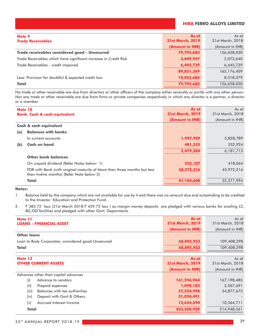# **Hira Ferro Alloys Limited**

| Note 9<br><b>Trade Receivables</b>                               | As at<br><b>31st March, 2019</b> | As at<br>31st March, 2018 |
|------------------------------------------------------------------|----------------------------------|---------------------------|
|                                                                  | (Amount in INR)                  | (Amount in INR)           |
| Trade receivables considered good - Unsecured                    | 79,795,683                       | 156,658,030               |
| Trade Receivables which have significant increase in Credit Risk | 3,609,947                        | 2,072,640                 |
| Trade Receivables - credit impaired                              | 6,445,739                        | 6,445,739                 |
|                                                                  | 89,851,369                       | 165,176,409               |
| Less: Provision for doubtful & expected credit loss              | 10,055,686                       | 8,518,379                 |
| <b>Total</b>                                                     | 79,795,683                       | 156,658,030               |

No trade or other receivable are due from directors or other officers of the company either severally or jointly with any other person. Nor any trade or other receivable are due from firms or private companies respectively in which any director is a partner, a director or a member.

| Note 10 | <b>Bank, Cash &amp; cash equivalent</b>                                                                              | As at<br><b>31st March, 2019</b> | As at<br>31st March, 2018 |
|---------|----------------------------------------------------------------------------------------------------------------------|----------------------------------|---------------------------|
|         |                                                                                                                      | (Amount in INR)                  | (Amount in INR)           |
|         | Cash & cash equivalent                                                                                               |                                  |                           |
| (a)     | <b>Balances with banks</b>                                                                                           |                                  |                           |
|         | In current accounts                                                                                                  | 1,997,929                        | 5,828,789                 |
| (b)     | <b>Cash on hand</b>                                                                                                  | 481,355                          | 352,924                   |
|         |                                                                                                                      | 2,479,284                        | 6, 181, 713               |
|         | Other bank balances                                                                                                  |                                  |                           |
|         | On unpaid dividend (Refer Notes below- 1)                                                                            | 333,107                          | 418,064                   |
|         | FDR with Bank (with original maturity of More than three months but less<br>than twelve months) (Refer Note below-2) | 38,372,216                       | 45,972,216                |
|         | Total                                                                                                                | 41,184,608                       | 52,571,994                |

## **Notes:**

1. Balance held by the company which are not available for use by it and there was no amount due and outsatnding to be credited to the Investor Education and Protection Fund.

2. ₹ 383.72 lacs (31st March 2018:₹ 459.72 lacs) as margin money deposits are pledged with various banks for availing LC, BG,OD facilities and pledged with other Govt. Deparments.

| Note 11<br><b>LOANS - FINANCIAL ASSET</b>          | As at<br><b>31st March, 2019</b> | As at<br>31st March, 2018 |
|----------------------------------------------------|----------------------------------|---------------------------|
|                                                    | (Amount in INR)                  | (Amount in INR)           |
| <b>Other loans</b>                                 |                                  |                           |
| Loan to Body Corporates, considered good-Unsecured | 68,895,953                       | 109,408,298               |
| <b>Total</b>                                       | 68,895,953                       | 109,408,298               |
|                                                    |                                  |                           |
| Note 12                                            | As at                            | As at                     |
| <b>OTHER CURRENT ASSETS</b>                        | <b>31st March, 2019</b>          | 31st March, 2018          |
|                                                    | (Amount in INR)                  | (Amount in INR)           |
| Advances other than capital advances               |                                  |                           |
| Advance to vendors<br>(i)                          | 161,256,964                      | 167, 198, 485             |
| (ii)<br>Prepaid expenses                           | 1,090,185                        | 2,507,691                 |
| (iii)<br>Balances with tax authorities             | 37,534,998                       | 34,877,675                |
| (iv)<br>Deposit with Govt & Others                 | 51,024,491                       |                           |
| Accrued Interest Income<br>(v)                     | 12,654,290                       | 10,364,711                |
| Total                                              | 263,560,929                      | 214,948,561               |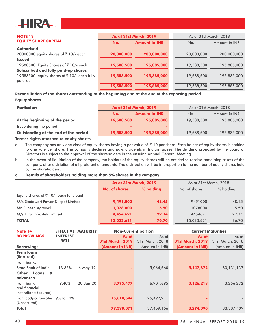# **HIRA**

| <b>NOTE 13</b>                              | As at 31st March, 2019 |                      | As at 31st March, 2018 |               |
|---------------------------------------------|------------------------|----------------------|------------------------|---------------|
| <b>EQUITY SHARE CAPITAL</b>                 | No.                    | <b>Amount in INR</b> | No.                    | Amount in INR |
| <b>Authorised</b>                           |                        |                      |                        |               |
| 20000000 equity shares of ₹10/- each        | 20,000,000             | 200,000,000          | 20,000,000             | 200,000,000   |
| <b>Issued</b>                               |                        |                      |                        |               |
| 19588500 Equity Shares of ₹10/- each        | 19,588,500             | 195,885,000          | 19,588,500             | 195,885,000   |
| Subscribed and fully paid-up shares         |                        |                      |                        |               |
| 19588500 equity shares of ₹ 10/- each fully | 19,588,500             | 195,885,000          | 19,588,500             | 195,885,000   |
| paid-up                                     |                        |                      |                        |               |
|                                             | 19,588,500             | 195,885,000          | 19,588,500             | 195,885,000   |

**Reconciliation of the shares outstanding at the beginning and at the end of the reporting period Equity shares**

| <b>Particulars</b>                   | As at 31st March, 2019 |                      | As at 31st March, 2018   |               |
|--------------------------------------|------------------------|----------------------|--------------------------|---------------|
|                                      | No.                    | <b>Amount in INR</b> | No.                      | Amount in INR |
| At the beginning of the period       | 19,588,500             | 195,885,000          | 19,588,500               | 195,885,000   |
| Issue during the period              |                        |                      | $\overline{\phantom{a}}$ |               |
| Outstanding at the end of the period | 19,588,500             | 195,885,000          | 19,588,500               | 195,885,000   |

## **Terms/ rights attached to equity shares**

a The company has only one class of equity shares having a par value of ₹10 per share. Each holder of equity shares is entitled to one vote per share. The company declares and pays dividends in Indian rupees. The dividend proposed by the Board of Directors is subject to the approval of the shareholders in the ensuing Annual General Meeting.

b In the event of liquidation of the company, the holders of the equity shares will be entitled to receive remaining assets of the company, after distribtion of all preferential amounts. The distribution will be in proportion to the number of equity shares held by the shareholders.

## **c Details of shareholders holding more than 5% shares in the company**

| <b>As at 31st March, 2019</b> |           | As at 31st March, 2018 |           |
|-------------------------------|-----------|------------------------|-----------|
| No. of shares                 | % holding | No. of shares          | % holding |
|                               |           |                        |           |
| 9,491,000                     | 48.45     | 9491000                | 48.45     |
| 1,078,000                     | 5.50      | 1078000                | 5.50      |
| 4,454,621                     | 22.74     | 4454621                | 22.74     |
| 15,023,621                    | 76.70     | 15,023,621             | 76.70     |
|                               |           |                        |           |

| Note 14                                             | <b>EFFECTIVE</b> | <b>MATURITY</b> | <b>Non-Current portion</b> |                  | <b>Current Maturities</b> |                  |
|-----------------------------------------------------|------------------|-----------------|----------------------------|------------------|---------------------------|------------------|
| <b>BORROWINGS</b>                                   | <b>INTEREST</b>  |                 | As at                      | As at            | As at                     | As at            |
|                                                     | <b>RATE</b>      |                 | <b>31st March, 2019</b>    | 31st March, 2018 | <b>31st March, 2019</b>   | 31st March, 2018 |
| <b>Borrowings</b>                                   |                  |                 | (Amount in INR)            | (Amount in INR)  | (Amount in INR)           | (Amount in INR)  |
| <b>Term loans</b><br>(Secured)                      |                  |                 |                            |                  |                           |                  |
| from banks                                          |                  |                 |                            |                  |                           |                  |
| State Bank of India                                 | 13.85%           | $6$ -May-19     |                            | 5,064,560        | 5,147,872                 | 30,131,137       |
| <b>Other</b><br>Loans<br>୍ୟୁ<br>advances            |                  |                 |                            |                  |                           |                  |
| from bank<br>and financial<br>institutions(Secured) | 9.40%            | $20 - Jan-20$   | 3,775,477                  | 6,901,695        | 3,126,218                 | 3,256,272        |
| from body corporates 9% to 12%<br>(Unsecured)       |                  |                 | 75,614,594                 | 25,492,911       |                           |                  |
| Total                                               |                  |                 | 79,390,071                 | 37,459,166       | 8,274,090                 | 33,387,409       |
|                                                     |                  |                 |                            |                  |                           |                  |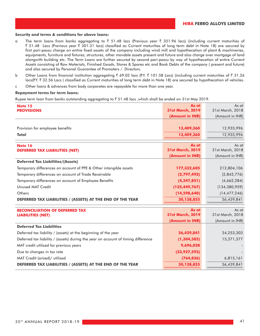#### **Security and terms & conditions for above loans:**

- a The term loans from banks aggregating to  $\bar{\tau}$  51.48 lacs (Previous year  $\bar{\tau}$  351.96 lacs) (including current maturities of ₹ 51.48 Lacs (Previous year ₹ 301.31 lacs) classified as Current maturities of long term debt in Note 18) are secured by first pari-passu charge on entire fixed assets of the company including wind mill and hypothecation of plant & machineries, equipments, furniture and fixtures, structures, other movable assets present and future and also charge over mortgage of land alongwith building etc. The Term Loans are further secured by second pari-passu by way of hypothecation of entire Current Assets consisting of Raw Materials, Finished Goods, Stores & Spares etc and Book Debts of the company ( present and future) and also secured by Personal Guarantee of Promoters / Directors.
- b Other Loans from financial institution aggregating ₹ 69.02 lacs (P.Y. ₹ 101.58 Lacs) (including current maturities of ₹ 31.26 lacs(P.Y. ` 32.56 Lacs ) classified as Current maturities of long term debt in Note 18) are secured by hypothecation of vehicles.
- c Other loans & advances from body corporates are repayable for more than one year.

#### **Repayment terms for term loans:**

Rupee term loan from banks outstanding aggregating to  $\bar{z}$  51.48 lacs , which shall be ended on 31st May 2019.

| Note 15<br><b>PROVISIONS</b>                                                      | As at<br><b>31st March, 2019</b> | As at<br>31st March, 2018 |
|-----------------------------------------------------------------------------------|----------------------------------|---------------------------|
|                                                                                   | (Amount in INR)                  | (Amount in INR)           |
|                                                                                   |                                  |                           |
| Provision for employee benefits                                                   | 13,409,360                       | 12,935,996                |
| <b>Total</b>                                                                      | 13,409,360                       | 12,935,996                |
|                                                                                   |                                  |                           |
| Note 16                                                                           | As at                            | As at                     |
| <b>DEFERRED TAX LIABILITIES (NET)</b>                                             | <b>31st March, 2019</b>          | 31st March, 2018          |
|                                                                                   | (Amount in INR)                  | (Amount in INR)           |
| <b>Deferred Tax Liabilities/(Assets)</b>                                          |                                  |                           |
| Temporary differences on account of PPE & Other intangible assets                 | 177,332,605                      | 212,804,106               |
| Temporary differences on account of Trade Receivable                              | (2,797,492)                      | (2,843,776)               |
| Temporary differences on account of Employee Benefits                             | (4,347,851)                      | (4,662,284)               |
| <b>Unused MAT Credit</b>                                                          | (125, 449, 767)                  | (134, 380, 959)           |
| Others                                                                            | (14, 598, 640)                   | (14, 477, 246)            |
| DEFERRED TAX LIABILITIES / (ASSETS) AT THE END OF THE YEAR                        | 30,138,855                       | 56,439,841                |
|                                                                                   |                                  |                           |
| <b>RECONCILIATION OF DEFERRED TAX</b>                                             | As at<br><b>31st March, 2019</b> | As at<br>31st March, 2018 |
| <b>LIABILITIES (NET)</b>                                                          |                                  |                           |
| <b>Deferred Tax Liabilities</b>                                                   | (Amount in INR)                  | (Amount in INR)           |
|                                                                                   |                                  |                           |
| Deferred tax liability / (assets) at the beginning of the year                    | 56,439,841                       | 34,253,303                |
| Deferred tax liability / (assets) during the year on account of timing difference | (1, 304, 585)                    | 15,371,377                |
| MAT credit utilized for previous years                                            | 9,696,028                        |                           |
| Due to changes in tax rate                                                        | (33,927,593)                     |                           |
| MAT Credit (arised)/ utilized                                                     | (764, 836)                       | 6,815,161                 |
| DEFERRED TAX LIABILITIES / (ASSETS) AT THE END OF THE YEAR                        | 30,138,855                       | 56,439,841                |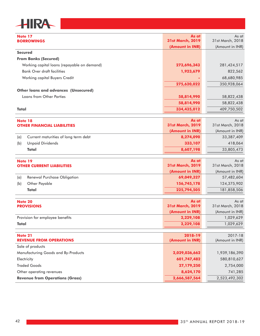

| Note 17                                     | As at                            | As at                     |
|---------------------------------------------|----------------------------------|---------------------------|
| <b>BORROWINGS</b>                           | <b>31st March, 2019</b>          | 31st March, 2018          |
| <b>Secured</b>                              | (Amount in INR)                  | (Amount in INR)           |
|                                             |                                  |                           |
| <b>From Banks (Secured)</b>                 |                                  |                           |
| Working capital loans (repayable on demand) | 273,696,343                      | 281,424,517               |
| <b>Bank Over draft facilities</b>           | 1,923,679                        | 822,562                   |
| <b>Working capital Buyers Credit</b>        |                                  | 68,680,985                |
|                                             | 275,620,022                      | 350,928,064               |
| <b>Other loans and advances (Unsecured)</b> |                                  |                           |
| <b>Loans from Other Parties</b>             | 58,814,990                       | 58,822,438                |
|                                             | 58,814,990                       | 58,822,438                |
| Total                                       | 334,435,012                      | 409,750,502               |
|                                             |                                  |                           |
| Note 18                                     | As at                            | As at                     |
| <b>OTHER FINANCIAL LIABILITIES</b>          | <b>31st March, 2019</b>          | 31st March, 2018          |
|                                             | (Amount in INR)                  | (Amount in INR)           |
| Current maturities of long term debt<br>(a) | 8,274,090                        | 33,387,409                |
| <b>Unpaid Dividends</b><br>(b)              | 333,107                          | 418,064                   |
| <b>Total</b>                                | 8,607,198                        | 33,805,473                |
|                                             |                                  |                           |
| Note 19<br><b>OTHER CURRENT LIABILITIES</b> | As at<br><b>31st March, 2019</b> | As at<br>31st March, 2018 |
|                                             | (Amount in INR)                  | (Amount in INR)           |
| Renewal Purchase Obligation<br>(a)          | 69,049,327                       | 57,482,604                |
| <b>Other Payable</b><br>(b)                 | 156,745,178                      | 124,375,902               |
| Total                                       | 225,794,505                      | 181,858,506               |
|                                             |                                  |                           |
| Note 20                                     | As at                            | As at                     |
| <b>PROVISIONS</b>                           | <b>31st March, 2019</b>          | 31st March, 2018          |
|                                             | (Amount in INR)                  | (Amount in INR)           |
| Provision for employee benefits             | 2,229,108                        | 1,029,629                 |
| <b>Total</b>                                | 2,229,108                        | 1,029,629                 |
|                                             |                                  |                           |
| Note 21                                     | 2018-19                          | 2017-18                   |
| <b>REVENUE FROM OPERATIONS</b>              | (Amount in INR)                  | (Amount in INR)           |
| Sale of products                            |                                  |                           |
| Manufacturing Goods and By-Products         | 2,029,036,662                    | 1,939,186,390             |
| Electricity                                 | 601,747,482                      | 580,810,627               |
| <b>Traded Goods</b>                         | 27,179,250                       | 2,754,000                 |
| Other operating revenues                    | 8,624,170                        | 741,285                   |
| <b>Revenue from Operations (Gross)</b>      | 2,666,587,564                    | 2,523,492,302             |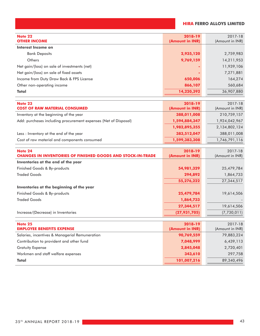# **Hira Ferro Alloys Limited**

| Note 22<br><b>OTHER INCOME</b>               | 2018-19<br>(Amount in INR) | 2017-18<br>(Amount in INR) |
|----------------------------------------------|----------------------------|----------------------------|
| Interest Income on                           |                            |                            |
| <b>Bank Deposits</b>                         | 2,935,120                  | 2,759,983                  |
| Others                                       | 9,769,159                  | 14,211,953                 |
| Net gain/(loss) on sale of investments (net) |                            | 11,939,106                 |
| Net gain/(loss) on sale of fixed assets      |                            | 7,271,881                  |
| Income from Duty Draw Back & FPS License     | 650,006                    | 164,274                    |
| Other non-operating income                   | 866,107                    | 560,684                    |
| Total                                        | 14,220,392                 | 36,907,880                 |

| Note 23<br><b>COST OF RAW MATERIAL CONSUMED</b>                 | 2018-19<br>(Amount in INR) | 2017-18<br>(Amount in INR) |
|-----------------------------------------------------------------|----------------------------|----------------------------|
| Inventory at the beginning of the year                          | 388,011,008                | 210,759,157                |
| Add: purchases including procurement expenses (Net of Disposal) | 1,594,884,347              | 1,924,042,967              |
|                                                                 | 1,982,895,355              | 2,134,802,124              |
| Less : Inventory at the end of the year                         | 383,512,047                | 388,011,008                |
| Cost of raw material and components consumed                    | 1,599,383,308              | 1,746,791,116              |

| Note 24<br><b>CHANGES IN INVENTORIES OF FINISHED GOODS AND STOCK-IN-TRADE</b> | 2018-19<br>(Amount in INR) | 2017-18<br>(Amount in INR) |
|-------------------------------------------------------------------------------|----------------------------|----------------------------|
| Inventories at the end of the year                                            |                            |                            |
| Finished Goods & By-products                                                  | 54,981,329                 | 25,479,784                 |
| <b>Traded Goods</b>                                                           | 294,892                    | 1,864,733                  |
|                                                                               | 55,276,222                 | 27,344,517                 |
| Inventories at the beginning of the year                                      |                            |                            |
| Finished Goods & By-products                                                  | 25,479,784                 | 19,614,506                 |
| <b>Traded Goods</b>                                                           | 1,864,733                  |                            |
|                                                                               | 27,344,517                 | 19,614,506                 |
| Increase/(Decrease) in Inventories                                            | (27,931,705)               | (7, 730, 011)              |

| Note 25                                        | 2018-19         | 2017-18         |
|------------------------------------------------|-----------------|-----------------|
| <b>EMPLOYEE BENEFITS EXPENSE</b>               | (Amount in INR) | (Amount in INR) |
| Salaries, incentives & Managerial Remuneration | 90,769,559      | 79,883,224      |
| Contribution to provident and other fund       | 7,048,999       | 6,439,113       |
| <b>Gratuity Expense</b>                        | 2,845,048       | 2,720,401       |
| Workmen and staff welfare expenses             | 343,610         | 297,758         |
| Total                                          | 101,007,216     | 89,340,496      |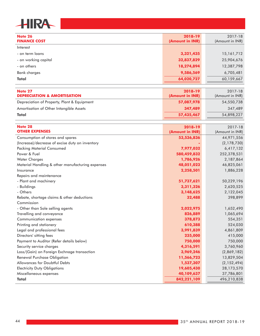

| Note 26                                          | 2018-19         | 2017-18         |
|--------------------------------------------------|-----------------|-----------------|
| <b>FINANCE COST</b>                              | (Amount in INR) | (Amount in INR) |
| Interest                                         |                 |                 |
| - on term loans                                  | 3,321,435       | 15, 161, 712    |
| - on working capital                             | 32,837,829      | 25,904,676      |
| - on others                                      | 18,274,894      | 12,387,798      |
| <b>Bank charges</b>                              | 9,586,569       | 6,705,481       |
| <b>Total</b>                                     | 64,020,727      | 60,159,667      |
|                                                  |                 |                 |
| Note 27                                          | 2018-19         | 2017-18         |
| <b>DEPRECIATION &amp; AMORTISATION</b>           | (Amount in INR) | (Amount in INR) |
| Depreciation of Property, Plant & Equipment      | 57,087,978      | 54,550,738      |
| Amortisation of Other Intangible Assets          | 347,489         | 347,489         |
| <b>Total</b>                                     | 57,435,467      | 54,898,227      |
|                                                  |                 |                 |
| Note 28                                          | 2018-19         | 2017-18         |
| <b>OTHER EXPENSES</b>                            | (Amount in INR) | (Amount in INR) |
| Consumption of stores and spares                 | 53,536,836      | 44,971,556      |
| (Increase)/decrease of excise duty on inventory  |                 | (2, 178, 730)   |
| <b>Packing Material Consumed</b>                 | 7,977,032       | 6,417,132       |
| Power & Fuel                                     | 580,459,832     | 252,378,531     |
| <b>Water Charges</b>                             | 1,786,926       | 2,187,864       |
| Material Handling & other manufacturing expenses | 48,051,023      | 46,825,061      |
| Insurance                                        | 2,258,501       | 1,886,228       |
| Repairs and maintenance                          |                 |                 |
| - Plant and machinery                            | 51,737,621      | 50,229,196      |
| - Buildings                                      | 3,311,326       | 2,620,525       |
| - Others                                         | 3,148,625       | 2,122,045       |
| Rebate, shortage claims & other deductions       | 32,488          | 398,899         |
| Commission                                       |                 |                 |
| - Other than Sole selling agents                 | 2,022,975       | 1,652,490       |
| Travelling and conveyance                        | 826,889         | 1,065,694       |
| <b>Communication expenses</b>                    | 378,873         | 554,351         |
| Printing and stationery                          | 610,388         | 524,030         |
| Legal and professional fees                      | 3,991,839       | 4,861,809       |
| Directors' sitting fees                          | 235,000         | 415,000         |
| Payment to Auditor (Refer details below)         | 750,000         | 750,000         |
| Security service charges                         | 4,316,591       | 3,760,960       |
| Loss/(Gain) on Foreign Exchnage transaction      | 3,969,246       | (2,869,182)     |
| <b>Renewal Purchase Obligation</b>               | 11,566,723      | 13,829,504      |
| <b>Allowances for Doubtful Debts</b>             | 1,537,307       | (2, 152, 494)   |
| <b>Electricity Duty Obligations</b>              | 19,605,430      | 28,173,570      |
| Miscellaneous expenses                           | 40,109,637      | 37,786,801      |
| <b>Total</b>                                     | 842,221,109     | 496,210,838     |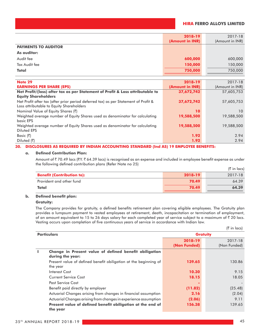# **Hira Ferro Alloys Limited**

|                            | 2018-19         | 2017-18         |
|----------------------------|-----------------|-----------------|
|                            | (Amount in INR) | (Amount in INR) |
| <b>PAYMENTS TO AUDITOR</b> |                 |                 |
| As auditor:                |                 |                 |
| Audit fee                  | 600,000         | 600,000         |
| Tax Audit fee              | 150,000         | 150,000         |
| Total                      | 750,000         | 750,000         |

| Note 29                                                                             | 2018-19         | 2017-18         |
|-------------------------------------------------------------------------------------|-----------------|-----------------|
| <b>EARNINGS PER SHARE (EPS)</b>                                                     | (Amount in INR) | (Amount in INR) |
| Net Profit/(loss) after tax as per Statement of Profit & Loss attributable to       | 37,672,742      | 57,605,753      |
| <b>Equity Shareholders</b>                                                          |                 |                 |
| Net Profit after tax (after prior period deferred tax) as per Statement of Profit & | 37,672,742      | 57,605,753      |
| Loss attributable to Equity Shareholders                                            |                 |                 |
| Nominal Value of Equity Shares (₹)                                                  | 10              | 10              |
| Weighted average number of Equity Shares used as denominator for calculating        | 19,588,500      | 19,588,500      |
| basic EPS                                                                           |                 |                 |
| Weighted average number of Equity Shares used as denominator for calculating        | 19,588,500      | 19,588,500      |
| <b>Diluted EPS</b>                                                                  |                 |                 |
| Basic $(\overline{\zeta})$                                                          | 1.92            | 2.94            |
| Diluted (₹)                                                                         | 1.92            | 2.94            |
|                                                                                     |                 |                 |

## **30. DISCLOSURES AS REQUIRED BY INDIAN ACCOUNTING STANDARD (Ind AS) 19 EMPLOYEE BENEFITS:**

## **a. Defined Contribution Plan:**

Amount of ₹70.49 lacs (P.Y. ₹64.39 lacs) is recognised as an expense and included in employee benefit expense as under the following defined contribution plans (Refer Note no 25)

|                                   |         | (₹ in lacs) |
|-----------------------------------|---------|-------------|
| <b>Benefit (Contribution to):</b> | 2018-19 | 2017-18     |
| Provident and other fund          | 70.49   | 64.39       |
| <b>Total</b>                      | 70.49   | 64.39       |

## **b. Defined benefit plan:**

#### **Gratuity:**

The Company provides for gratuity, a defined benefits retirement plan covering eligible employees. The Gratuity plan provides a lumpsum payment to vested employees at retirement, death, incapacitation or termination of employment, of an amount equivalent to 15 to 26 days salary for each completed year of service subject to a maximum of  $\bar{z}$  20 lacs. Vesting occurs upon completion of five continuous years of service in accordance with Indian law.

|                                                                              |                         | (₹ in lacs)             |
|------------------------------------------------------------------------------|-------------------------|-------------------------|
| <b>Particulars</b>                                                           |                         | <b>Gratuity</b>         |
|                                                                              | 2018-19<br>(Non Funded) | 2017-18<br>(Non Funded) |
| Change in Present value of defined benefit obiligation<br>during the year:   |                         |                         |
| Present value of defined benefit obiligation at the beginning of<br>the year | 139.65                  | 130.86                  |
| <b>Interest Cost</b>                                                         | 10.30                   | 9.15                    |
| <b>Current Service Cost</b>                                                  | 18.15                   | 18.05                   |
| <b>Past Service Cost</b>                                                     |                         |                         |
| Benefit paid directly by employer                                            | (11.82)                 | (25.48)                 |
| Actuarial Changes arising from changes in financial assumption               | 2.16                    | (2.04)                  |
| Actuarial Changes arising from changes in experience assumption              | (2.06)                  | 9.11                    |
| Present value of defined benefit obiligation at the end of<br>the year       | 156.38                  | 139.65                  |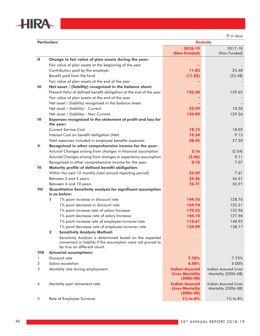

 $($ ₹ in lacs)

|               | <b>Particulars</b>                                                                                                                                    | <b>Gratuity</b>                                                  |                                                           |  |  |
|---------------|-------------------------------------------------------------------------------------------------------------------------------------------------------|------------------------------------------------------------------|-----------------------------------------------------------|--|--|
|               |                                                                                                                                                       | 2018-19<br>2017-18                                               |                                                           |  |  |
|               |                                                                                                                                                       | (Non Funded)                                                     | (Non Funded)                                              |  |  |
| $\mathbf H$   | Change in fair value of plan assets during the year:                                                                                                  |                                                                  |                                                           |  |  |
|               | Fair value of plan assets at the beginning of the year                                                                                                |                                                                  |                                                           |  |  |
|               | Contribution paid by the employer                                                                                                                     | 11.82                                                            | 25.48                                                     |  |  |
|               | Benefit paid from the fund                                                                                                                            | (11.82)                                                          | (25.48)                                                   |  |  |
|               | Fair value of plan assets at the end of the year                                                                                                      |                                                                  |                                                           |  |  |
| Ш             | Net asset / (liability) recognised in the balance sheet:                                                                                              |                                                                  |                                                           |  |  |
|               | Present Valur of defined benefit obiligation at the end of the year                                                                                   | 156.38                                                           | 139.65                                                    |  |  |
|               | Fair value of plan assets at the end of the year                                                                                                      |                                                                  |                                                           |  |  |
|               | Net asset / (liability) recognised in the balance sheet:                                                                                              |                                                                  |                                                           |  |  |
|               | Net asset / (liability) - Current                                                                                                                     | 22.29                                                            | 10.30                                                     |  |  |
|               | Net asset / (liability) - Non Current                                                                                                                 | 134.09                                                           | 129.36                                                    |  |  |
| $\mathbf{IV}$ | Expenses recognized in the statement of profit and loss for                                                                                           |                                                                  |                                                           |  |  |
|               | the year:                                                                                                                                             |                                                                  |                                                           |  |  |
|               | <b>Current Service Cost</b>                                                                                                                           | 18.15                                                            | 18.05                                                     |  |  |
|               | Interest Cost on benefit obiligation (Net)                                                                                                            | 10.30                                                            | 9.15                                                      |  |  |
|               | Total expenses included in employee benefits expenses                                                                                                 | 28.45                                                            | 27.20                                                     |  |  |
| $\mathbf v$   | Recognized in other comprehensive income for the year:                                                                                                |                                                                  |                                                           |  |  |
|               | Acturial Changes arising from changes in financial assumption                                                                                         | 2.16                                                             | (2.04)                                                    |  |  |
|               | Acturial Changes arising from changes in experience assumption                                                                                        | (2.06)                                                           | 9.11                                                      |  |  |
|               | Recognized in other comprehensive income for the year:                                                                                                | 0.10                                                             | 7.07                                                      |  |  |
| VI            | Maturity profile of defined benefit obiligation:                                                                                                      |                                                                  |                                                           |  |  |
|               | Within the next 12 months (next annual reporting period)                                                                                              | 22.29                                                            | 7.61                                                      |  |  |
|               | Between 2 and 5 years                                                                                                                                 | 34.26                                                            | 56.61                                                     |  |  |
|               | Between 6 and 10 years                                                                                                                                | 76.71                                                            | 55.91                                                     |  |  |
| <b>VII</b>    | Quantitative Sensitivity analysis for significant assumption                                                                                          |                                                                  |                                                           |  |  |
|               | is as below:                                                                                                                                          |                                                                  |                                                           |  |  |
|               | 1% point increase in discount rate<br>1                                                                                                               | 144.75                                                           | 128.76                                                    |  |  |
|               | 1% point decrease in discount rate                                                                                                                    | 169.74                                                           | 152.21                                                    |  |  |
|               | 1% point increase rate of salary Increase                                                                                                             | 170.32                                                           | 152.96                                                    |  |  |
|               | 1% point decrease rate of salary Increase                                                                                                             | 144.10                                                           | 127.96                                                    |  |  |
|               | 1% point increase rate of employee turnover rate                                                                                                      | 110.61                                                           | 140.95                                                    |  |  |
|               | 1% point decrease rate of employee turnover rate                                                                                                      | 154.99                                                           | 138.17                                                    |  |  |
|               | $\mathbf{2}$<br><b>Sensitivity Analysis Method:</b>                                                                                                   |                                                                  |                                                           |  |  |
|               | Sensitivity Analysis is determined based on the expected<br>movement in liability if the assumption were not proved to<br>be true on different count. |                                                                  |                                                           |  |  |
| <b>VIII</b>   | <b>Actuarial assumptions:</b>                                                                                                                         |                                                                  |                                                           |  |  |
| 1             | Discount rate                                                                                                                                         | 7.70%                                                            | 7.75%                                                     |  |  |
| 2             | Salary escalation                                                                                                                                     | 6.00%                                                            | 6.00%                                                     |  |  |
| 3             | Mortality rate during employment                                                                                                                      | <b>Indian Assured</b>                                            | <b>Indian Assured Lives</b>                               |  |  |
|               |                                                                                                                                                       | <b>Lives Mortality</b><br>$(2006 - 08)$                          | <b>Mortality (2006-08)</b>                                |  |  |
| 4             | Mortality post retirement rate                                                                                                                        | <b>Indian Assured</b><br><b>Lives Mortality</b><br>$(2006 - 08)$ | <b>Indian Assured Lives</b><br><b>Mortality (2006-08)</b> |  |  |
| 5             | <b>Rate of Employee Turnover</b>                                                                                                                      | 1% to 8%                                                         | 1% to 8%                                                  |  |  |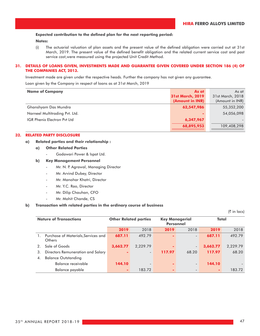# **Expected contribution to the defined plan for the next reporting period: Notes:**

(i) The actuarial valuation of plan assets and the present value of the defined obligation were carried out at 31st March, 2019. The present value of the defined benefit obligation and the related current service cost and past service cost,were measured using the projected Unit Credit Method.

## **31. DETAILS OF LOANS GIVEN, INVESTMENTS MADE AND GUARANTEE GIVEN COVERED UNDER SECTION 186 (4) OF THE COMPANIES ACT, 2013.**

Investment made are given under the respective heads. Further the company has not given any guarantee.

Loan given by the Company in respect of loans as at 31st March, 2019

| <b>Name of Company</b>             | As at                   | As at            |
|------------------------------------|-------------------------|------------------|
|                                    | <b>31st March, 2019</b> | 31st March, 2018 |
|                                    | (Amount in INR)         | (Amount in INR)  |
| Ghanshyam Das Mundra               | 62,547,986              | 55,352,200       |
| Narneel Multitrading Pvt. Ltd.     | ٠                       | 54,056,098       |
| <b>IGR Phenix Electron Pyt Ltd</b> | 6,347,967               |                  |
|                                    | 68,895,953              | 109,408,298      |

## **32. RELATED PARTY DISCLOSURE**

## **a) Related parties and their relationship :**

- **a) Other Related Parties**
	- Godawari Power & Ispat Ltd.

## **b) Key Management Personnel**

- Mr. N. P. Agrawal, Managing Director
- Mr. Arvind Dubey, Director
- Mr. Manohar Khatri, Director
- Mr. Y.C. Rao, Director
- Mr. Dilip Chauhan, CFO
- Mr. Mohit Chande, CS

## **b) Transaction with related parties in the ordinary course of business**

|    |                                                      |          |                              |        |                                           |          | (₹ in lacs) |
|----|------------------------------------------------------|----------|------------------------------|--------|-------------------------------------------|----------|-------------|
|    | <b>Nature of Transactions</b>                        |          | <b>Other Related parties</b> |        | <b>Key Managerial</b><br><b>Personnel</b> | Total    |             |
|    |                                                      | 2019     | 2018                         | 2019   | 2018                                      | 2019     | 2018        |
|    | Purchase of Materials, Services and<br><b>Others</b> | 687.11   | 492.79                       |        | $\overline{\phantom{a}}$                  | 687.11   | 492.79      |
| 2. | Sale of Goods                                        | 3,662.77 | 2,229.79                     |        | $\overline{\phantom{a}}$                  | 3,662.77 | 2,229.79    |
| 3. | Directors Remuneration and Salary                    | ۰        | ۰.                           | 117.97 | 68.20                                     | 117.97   | 68.20       |
| 4. | <b>Balance Outstanding</b>                           |          |                              |        |                                           |          |             |
|    | Balance receivable                                   | 144.10   | $\overline{\phantom{0}}$     |        | $\overline{\phantom{a}}$                  | 144.10   |             |
|    | Balance payable                                      | ۰        | 183.72                       | ۰      |                                           |          | 183.72      |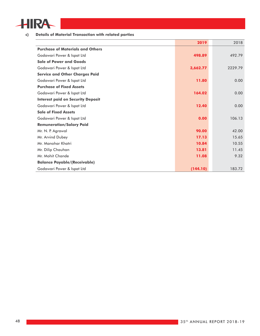

# **c) Details of Material Transaction with related parties**

|                                          | 2019     | 2018    |
|------------------------------------------|----------|---------|
| <b>Purchase of Materials and Others</b>  |          |         |
| Godawari Power & Ispat Ltd               | 498.89   | 492.79  |
| <b>Sale of Power and Goods</b>           |          |         |
| Godawari Power & Ispat Ltd               | 3,662.77 | 2229.79 |
| <b>Service and Other Charges Paid</b>    |          |         |
| Godawari Power & Ispat Ltd               | 11.80    | 0.00    |
| <b>Purchase of Fixed Assets</b>          |          |         |
| Godawari Power & Ispat Ltd               | 164.02   | 0.00    |
| <b>Interest paid on Security Deposit</b> |          |         |
| Godawari Power & Ispat Ltd               | 12.40    | 0.00    |
| <b>Sale of Fixed Assets</b>              |          |         |
| Godawari Power & Ispat Ltd               | 0.00     | 106.13  |
| <b>Remuneration/Salary Paid</b>          |          |         |
| Mr. N. P. Agrawal                        | 90.00    | 42.00   |
| Mr. Arvind Dubey                         | 17.13    | 15.65   |
| Mr. Manohar Khatri                       | 10.84    | 10.55   |
| Mr. Dilip Chauhan                        | 13.81    | 11.45   |
| Mr. Mohit Chande                         | 11.08    | 9.32    |
| <b>Balance Payable/(Receivable)</b>      |          |         |
| Godawari Power & Ispat Ltd               | (144.10) | 183.72  |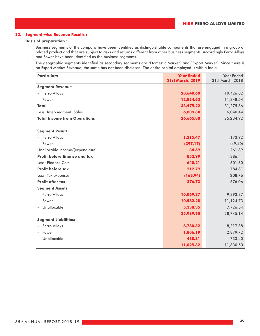## **33. Segment-wise Revenue Results :**

## **Basis of preparation :**

- i) Business segments of the company have been identified as distinguishable components that are engaged in a group of related product and that are subject to risks and returns different from other business segments. Accordingly Ferro Alloys and Power have been identified as the business segments.
- ii) The geographic segments identified as secondary segments are "Domestic Market" and "Export Market". Since there is no Export Market Revenue, the same has not been disclosed. The entire capital employed is within India.

| <b>Particulars</b>                       | <b>Year Ended</b>       | <b>Year Ended</b> |
|------------------------------------------|-------------------------|-------------------|
|                                          | <b>31st March, 2019</b> | 31st March, 2018  |
| <b>Segment Revenue</b>                   |                         |                   |
| Ferro Alloys                             | 20,640.60               | 19,426.82         |
| Power                                    | 12,834.62               | 11,848.54         |
| <b>Total</b>                             | 33,475.22               | 31,275.36         |
| Less: Inter-segment Sales                | 6,809.34                | 6,040.44          |
| <b>Total Income from Operations</b>      | 26,665.88               | 25,234.92         |
| <b>Segment Result</b>                    |                         |                   |
| <b>Ferro Alloys</b>                      | 1,215.47                | 1,173.92          |
| - Power                                  | (397.17)                | (49.40)           |
| Unallocable income/(expenditure)         | 34.69                   | 261.89            |
| Profit before finance and tax            | 852.99                  | 1,386.41          |
| Less: Finance Cost                       | 640.21                  | 601.60            |
| <b>Profit before tax</b>                 | 212.79                  | 784.81            |
| Less: Tax expenses                       | (163.94)                | 208.76            |
| <b>Profit after tax</b>                  | 376.73                  | 576.06            |
| <b>Segment Assets:</b>                   |                         |                   |
| Ferro Alloys<br>$\overline{\phantom{a}}$ | 10,069.27               | 9,893.87          |
| Power                                    | 10,582.28               | 11,124.73         |
| Unallocable                              | 5,338.35                | 7,726.54          |
|                                          | 25,989.90               | 28,745.14         |
| <b>Segment Liabilities:</b>              |                         |                   |
| Ferro Alloys                             | 8,780.32                | 8,217.38          |
| Power                                    | 1,806.19                | 2,879.72          |
| Unallocable                              | 438.81                  | 733.40            |
|                                          | 11,025.32               | 11,830.50         |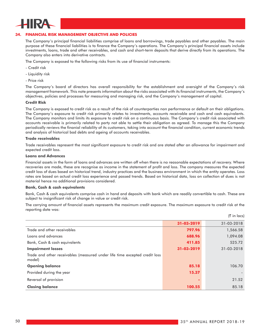

## **34. FINANCIAL RISK MANAGEMENT OBJECTIVE AND POLICIES**

The Company's principal financial liabilities comprise of loans and borrowings, trade payables and other payables. The main purpose of these financial liabilities is to finance the Company's operations. The Company's principal financial assets include investments, loans, trade and other receivables, and cash and short-term deposits that derive directly from its operations. The Company also enters into derivative contracts.

The Company is exposed to the following risks from its use of financial instruments:

- Credit risk
- Liquidity risk
- Price risk

The Company's board of directors has overall responsibility for the establishment and oversight of the Company's risk management framework. This note presents information about the risks associated with its financial instruments, the Company's objectives, policies and processes for measuring and managing risk, and the Company's management of capital.

#### **Credit Risk**

The Company is exposed to credit risk as a result of the risk of counterparties non performance or default on their obligations. The Company's exposure to credit risk primarily relates to investments, accounts receivable and cash and cash equivalents. The Company monitors and limits its exposure to credit risk on a continuous basis. The Company's credit risk associated with accounts receivable is primarily related to party not able to settle their obligation as agreed. To manage this the Company periodically reviews the finanial reliability of its customers, taking into account the financial condition, current economic trends and analysis of historical bad debts and ageing of accounts receivables.

#### **Trade receivables**

Trade receivables represent the most significant exposure to credit risk and are stated after an allowance for impairment and expected credit loss.

## **Loans and Advances**

Financial assets in the form of loans and advances are written off when there is no reasonable expectations of recovery. Where recoveries are made, these are recognise as income in the statement of profit and loss. The company measures the expected credit loss of dues based on historical trend, industry practices and the business environment in which the entity operates. Loss rates are based on actual credit loss experience and passed trends. Based on historical data, loss on collection of dues is not material hence no additional provisions considered.

#### **Bank, Cash & cash equivalents**

Bank, Cash & cash equivalents comprise cash in hand and deposits with bank which are readily convertible to cash. These are subject to insignificant risk of change in value or credit risk.

The carrying amount of financial assets represents the maximum credit exposure. The maximum exposure to credit risk at the reporting date was:

|                                                                                      |            | $(5 \infty)$ |
|--------------------------------------------------------------------------------------|------------|--------------|
|                                                                                      | 31-03-2019 | 31-03-2018   |
| Trade and other receivables                                                          | 797.96     | 1,566.58     |
| Loans and advances                                                                   | 688.96     | 1,094.08     |
| Bank, Cash & cash equivalents                                                        | 411.85     | 525.72       |
| <b>Impairment losses</b>                                                             | 31-03-2019 | 31-03-2018   |
| Trade and other receivables (measured under life time excepted credit loss<br>model) |            |              |
| <b>Opening balance</b>                                                               | 85.18      | 106.70       |
| Provided during the year                                                             | 15.37      |              |
| Reversal of provision                                                                |            | 21.52        |
| <b>Closing balance</b>                                                               | 100.55     | 85.18        |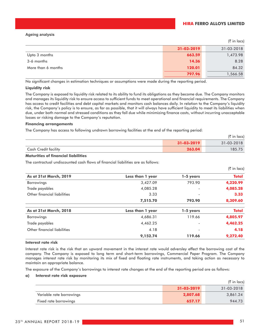$(\bar{\tau}$  in lacs)

 $\alpha$  in lacks

## **Ageing analysis**

|                    | $31 - 03 - 2019$ | 31-03-2018 |
|--------------------|------------------|------------|
| Upto 3 months      | 663.59           | 1,473.98   |
| 3-6 months         | 14.36            | 8.28       |
| More than 6 months | 120.01           | 84.32      |
|                    | 797.96           | 1,566.58   |

No significant changes in estimation techniques or assumptions were made during the reporting period.

#### **Liquidity risk**

The Company is exposed to liquidity risk related to its ability to fund its obligations as they become due. The Company monitors and manages its liquidity risk to ensure access to sufficient funds to meet operational and financial requirements. The Company has access to credit facilities and debt capital markets and monitors cash balances daily. In relation to the Company's liquidity risk, the Company's policy is to ensure, as far as possible, that it will always have sufficient liquidity to meet its liabilities when due, under both normal and stressed conditions as they fall due while minimizing finance costs, without incurring unacceptable losses or risking damage to the Company's reputation.

#### **Financing arrangements**

The Company has access to following undrawn borrowing facilities at the end of the reporting period:

|                             |                  | $\kappa$ in $\alpha$ cs) |
|-----------------------------|------------------|--------------------------|
|                             | $31 - 03 - 2019$ | $31 - 03 - 2018$         |
| <b>Cash Credit facility</b> | 263.04           | 185.75                   |

## **Maturities of financial liabilities**

The contractual undiscounted cash flows of financial liabilities are as follows:

|                             |                  |                          | $($ ₹ in lacs) |
|-----------------------------|------------------|--------------------------|----------------|
| As at 31st March, 2019      | Less than 1 year | 1-5 years                | <b>Total</b>   |
| Borrowings                  | 3,427.09         | 793.90                   | 4,220.99       |
| Trade payables              | 4,085.28         | $\overline{\phantom{a}}$ | 4,085.28       |
| Other financial liabilities | 3.33             | $\overline{\phantom{a}}$ | 3.33           |
|                             | 7,515.70         | 793.90                   | 8,309.60       |
| As at 31st March, 2018      | Less than 1 year | 1-5 years                | <b>Total</b>   |
| <b>Borrowings</b>           | 4,686.31         | 119.66                   | 4,805.97       |
| Trade payables              | 4,462.25         |                          | 4,462.25       |
| Other financial liabilities | 4.18             | ۰                        | 4.18           |
|                             | 9,152.74         | 119.66                   | 9.272.40       |

#### **Interest rate risk**

Interest rate risk is the risk that an upward movement in the interest rate would adversley effect the borrowing cost of the company. The Company is exposed to long term and short-term borrowings, Commercial Paper Program. The Company manages interest rate risk by monitoring its mix of fixed and floating rate instruments, and taking action as necessary to maintain an appropriate balance.

The exposure of the Company's borrowings to interest rate changes at the end of the reporting period are as follows:

#### **a) Interest rate risk exposure**

|                          |                  | (₹ in lacs)      |
|--------------------------|------------------|------------------|
|                          | $31 - 03 - 2019$ | $31 - 03 - 2018$ |
| Variable rate borrowings | 2,807.68         | 3,861.24         |
| Fixed rate borrowings    | 657.17           | 944.73           |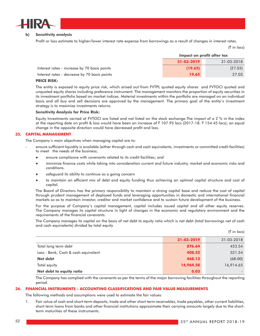

## **b) Sensitivity analysis**

Profit or loss estimate to higher/lower interest rate expense from borrowings as a result of changes in interest rates.

 $($ ₹ in lacs)

 $(\bar{\bar{\tau}}$  in lacs)

|                                              | Impact on profit after tax |                  |
|----------------------------------------------|----------------------------|------------------|
|                                              | $31 - 03 - 2019$           | $31 - 03 - 2018$ |
| Interest rates - increase by 70 basis points | (19.65)                    | (27.03)          |
| Interest rates - decrease by 70 basis points | 19.65                      | 27.03            |

## **PRICE RISK:**

The entity is exposed to equity price risk, which arised out from FVTPL quoted equity shares and FVTOCI quoted and unquoted equity shares including preference instrument. The management monitors the proportion of equity securities in its investment portfolio based on market indices. Material investments within the portfolio are managed on an individual basis and all buy and sell decisions are approved by the management. The primary goal of the entity's investment strategy is to maximize investments returns.

## **Sensitivity Analysis for Price Risk:**

Equity Investments carried at FVTOCI are listed and not listed on the stock exchange.The impact of a 2 % in the index at the reporting date on profit & loss would have been an increase of  $\bar{z}$  107.95 lacs (2017-18:  $\bar{z}$  154.45 lacs); an equal change in the opposite direction would have decreased profit and loss.

## **35. CAPITAL MANAGEMENT**

The Company's main objectives when managing capital are to:

- ensure sufficient liquidity is available (either through cash and cash equivalents, investments or committed credit facilities) to meet the needs of the business;
	- **•** ensure compliance with covenants related to its credit facilities; and
	- $\bullet$  minimize finance costs while taking into consideration current and future industry, market and economic risks and conditions.
	- safeguard its ability to continue as a going concern
	- to maintain an efficient mix of debt and equity funding thus achieving an optimal capital structure and cost of capital.

The Board of Directors has the primary responsibility to maintain a strong capital base and reduce the cost of capital through prudent management of deployed funds and leveraging opportunities in domestic and international financial markets so as to maintain investor, creditor and market confidence and to sustain future development of the business.

For the purpose of Company's capital management, capital includes issued capital and all other equity reserves. The Company manages its capital structure in light of changes in the economic and regulatory environment and the requirements of the financial covenants.

The Company manages its capital on the basis of net debt to equity ratio which is net debt (total borrowings net of cash and cash equivalents) divided by total equity

|                                    | $31 - 03 - 2019$ | 31-03-2018 |
|------------------------------------|------------------|------------|
| Total long term debt               | 876.64           | 453.54     |
| Less: Bank, Cash & cash equivalent | 408.52           | 521.54     |
| Net debt                           | 468.13           | (68.00)    |
| Total equity                       | 14,964.58        | 16,914.65  |
| Net debt to equity ratio           | 0.03             |            |

The Company has complied with the covenants as per the terms of the major borrowing facilities throughout the reporting period.

## **36. FINANCIAL INSTRUMENTS - ACCOUNTING CLASSIFICATIONS AND FAIR VALUE MEASUREMENTS**

The following methods and assumptions were used to estimate the fair values:

1. Fair value of cash and short-term deposits, trade and other short term receivables, trade payables, other current liabilities, short term loans from banks and other financial institutions approximate their carrying amounts largely due to the shortterm maturities of these instruments.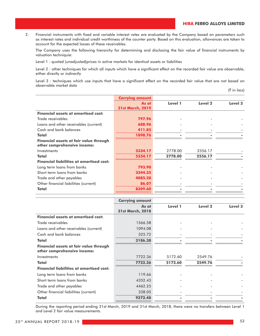2. Financial instruments with fixed and variable interest rates are evaluated by the Company based on parameters such as interest rates and individual credit worthiness of the counter party. Based on this evaluation, allowances are taken to account for the expected losses of these receivables.

The Company uses the following hierarchy for determining and disclosing the fair value of financial instruments by valuation techniquie:

Level 1 : quoted (unadjusted)prices in active markets for identical assets or liabilities

Level 2 : other techniques for which all inputs which have a significant effect on the recorded fair value are observable, either directly or indirectly

Level 3 : techniques which use inputs that have a significant effect on the recorded fair value that are not based on observable market data

 $($ ₹ in lacs)

|                                                                       | <b>Carrying amount</b>  |         |         |         |
|-----------------------------------------------------------------------|-------------------------|---------|---------|---------|
|                                                                       | As at                   | Level 1 | Level 2 | Level 3 |
|                                                                       | <b>31st March, 2019</b> |         |         |         |
| <b>Financial assets at amortised cost:</b>                            |                         |         |         |         |
| Trade receivables                                                     | 797.96                  |         |         |         |
| Loans and other receivables (current)                                 | 688.96                  |         |         |         |
| Cash and bank balances                                                | 411.85                  |         |         |         |
| Total                                                                 | 1898.76                 |         |         |         |
| Financial assets at fair value through<br>other comprehensive income: |                         |         |         |         |
| Investments                                                           | 5334.17                 | 2778.00 | 2556.17 |         |
| Total                                                                 | 5334.17                 | 2778.00 | 2556.17 |         |
| <b>Financial liabilities at amortised cost:</b>                       |                         |         |         |         |
| Long term loans from banks                                            | 793.90                  |         |         |         |
| Short term loans from banks                                           | 3344.35                 |         |         |         |
| Trade and other payables                                              | 4085.28                 |         |         |         |
| Other financial liabilities (current)                                 | 86.07                   |         |         |         |
| Total                                                                 | 8309.60                 |         |         |         |
|                                                                       |                         |         |         |         |
|                                                                       | <b>Carrying amount</b>  |         |         |         |

|                                                                       | YAN YING MINOVIN                 |         |         |         |
|-----------------------------------------------------------------------|----------------------------------|---------|---------|---------|
|                                                                       | As at<br><b>31st March, 2018</b> | Level 1 | Level 2 | Level 3 |
| <b>Financial assets at amortised cost:</b>                            |                                  |         |         |         |
| Trade receivables                                                     | 1566.58                          |         |         |         |
| Loans and other receivables (current)                                 | 1094.08                          |         |         |         |
| Cash and bank balances                                                | 525.72                           |         |         |         |
| <b>Total</b>                                                          | 3186.38                          |         |         |         |
| Financial assets at fair value through<br>other comprehensive income: |                                  |         |         |         |
| Investments                                                           | 7722.36                          | 5172.60 | 2549.76 |         |
| <b>Total</b>                                                          | 7722.36                          | 5172.60 | 2549.76 |         |
| <b>Financial liabilities at amortised cost:</b>                       |                                  |         |         |         |
| Long term loans from banks                                            | 119.66                           |         |         |         |
| Short term loans from banks                                           | 4352.43                          |         |         |         |
| Trade and other payables                                              | 4462.25                          |         |         |         |
| Other financial liabilities (current)                                 | 338.05                           |         |         |         |
| <b>Total</b>                                                          | 9272.40                          |         |         |         |

During the reporting period ending 31st March, 2019 and 31st March, 2018, there were no transfers between Level 1 and Level 2 fair value measurements.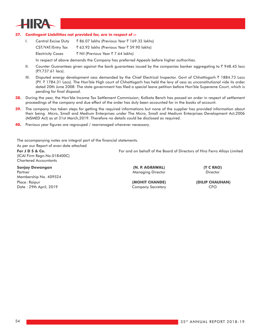

## **37. Contingent Liabilities not provided for, are in respect of :-**

I. Central Excise Duty ₹ 86.07 lakhs (Previous Year ₹ 169.32 lakhs) CST/VAT/Entry Tax  $\bar{\tau}$  63.92 lakhs (Previous Year ₹ 59.90 lakhs) Electricity Cases ` Nil (Previous Year ` 7.64 lakhs)

In respect of above demands the Company has preferred Appeals before higher authorities.

- II. Counter Guarantees given against the bank guarantees issued by the companies banker aggregating to  $\bar{\tau}$  948.45 lacs (P.Y.737.61 lacs).
- III. Disputed energy development cess demanded by the Chief Electrical Inspector. Govt of Chhattisgarh  $\bar{z}$  1884.73 Lacs  $(PY.  $\overline{z}$  1784.31 Lacs). The Hon'ble High court of Chhattisgarh has held the levy of cess as unconstitutional vide its order$ dated 20th June 2008. The state government has filed a special leave petition before Hon'ble Supereme Court, which is pending for final disposal.
- **38.** During the year, the Hon'ble Income Tax Settlement Commission, Kolkata Bench has passed an order in respect of settlement proceedings of the company and due effect of the order has duly been accounted for in the books of account.
- **39.** The company has taken steps for getting the required informations but none of the supplier has provided information about their being Micro, Small and Medium Enterprises under The Micro, Small and Medium Enterprises Development Act,2006 (MSMED Act) as at 31st March,2019. Therefore no details could be disclosed as required.
- **40.** Previous year figures are regrouped / rearranaged wherever necessary.

The accompanying notes are integral part of the financial statements.

As per our Report of even date attached

**For J D S & Co.** (ICAI Firm Regn.No.018400C) Chartered Accountants

**Sanjay Dewangan** Partner Membership No. 409524 Place : Raipur Date : 29th April, 2019

For and on behalf of the Board of Directors of Hira Ferro Alloys Limited

**(N. P. AGRAWAL)** Managing Director **(Y C RAO) Director** 

**(MOHIT CHANDE)** Company Secretary  **(Dilip Chauhan)**  CFO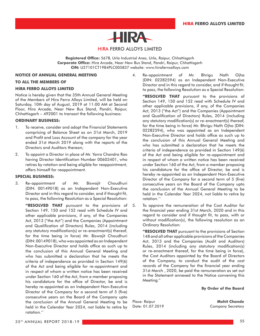

**Registered Office:** 567B, Urla Industrial Area, Urla, Raipur, Chhattisgarh **Corporate Office:** Hira Arcade, Near New Bus Stand, Pandri, Raipur, Chhattisgarh **CIN:** U27101CT1984PLC005837 website: www.hiraferroalloys.com

## **NOTICE OF ANNUAL GENERAL MEETING**

## **TO ALL THE MEMBERS OF**

## **HIRA FERRO ALLOYS LIMITED**

Notice is hereby given that the 35th Annual General Meeting of the Members of Hira Ferro Alloys Limited, will be held on Saturday, 10th day of August, 2019 at 11:00 AM at Second Floor, Hira Arcade, Near New Bus Stand, Pandri, Raipur, Chhattisgarh – 492001 to transact the following business:

#### **ORDINARY BUSINESS:**

- 1. To receive, consider and adopt the Financial Statements comprising of Balance Sheet as on 31st March, 2019 and Profit and Loss Account of the company for the year ended 31st March 2019 along with the reports of the Directors and Auditors thereon;
- 2. To appoint a Director in place of Mr. Yarra Chandra Rao having Director Identification Number 00603401, who retires by rotation and being eligible for reappointment, offers himself for reappointment.

## **SPECIAL BUSINESS:**

3. Re-appointment of Mr. Biswajit Choudhuri (DIN: 00149018) as an Independent Non-Executive Director and in this regard to consider, and if thought fit, to pass, the following Resolution as a Special Resolution:

**"RESOLVED THAT** pursuant to the provisions of Section 149, 150 and 152 read with Schedule IV and other applicable provisions, if any, of the Companies Act, 2013 ("the Act") and the Companies (Appointment and Qualification of Directors) Rules, 2014 (including any statutory modification(s) or re-enactment(s) thereof, for the time being in force) Mr. Biswajit Choudhuri (DIN: 00149018), who was appointed as an Independent Non-Executive Director and holds office as such up to the conclusion of this Annual General Meeting and who has submitted a declaration that he meets the criteria of independence as provided in Section 149(6) of the Act and being eligible for re-appointment and in respect of whom a written notice has been received under Section 160 of the Act, from a member proposing his candidature for the office of Director, be and is hereby re-appointed as an Independent Non-Executive Director of the Company for a second term of 5 (five) consecutive years on the Board of the Company upto the conclusion of the Annual General Meeting to be held in the Calendar Year 2024, not liable to retire by rotation.''

4. Re-appointment of Mr. Bhrigu Nath Ojha (DIN: 02282594) as an Independent Non-Executive Director and in this regard to consider, and if thought fit, to pass, the following Resolution as a Special Resolution:

**"RESOLVED THAT** pursuant to the provisions of Section 149, 150 and 152 read with Schedule IV and other applicable provisions, if any, of the Companies Act, 2013 ("the Act") and the Companies (Appointment and Qualification of Directors) Rules, 2014 (including any statutory modification(s) or re-enactment(s) thereof, for the time being in force) Mr. Bhrigu Nath Ojha (DIN: 02282594), who was appointed as an Independent Non-Executive Director and holds office as such up to the conclusion of this Annual General Meeting and who has submitted a declaration that he meets the criteria of independence as provided in Section 149(6) of the Act and being eligible for re-appointment and in respect of whom a written notice has been received under Section 160 of the Act, from a member proposing his candidature for the office of Director, be and is hereby re-appointed as an Independent Non-Executive Director of the Company for a second term of 5 (five) consecutive years on the Board of the Company upto the conclusion of the Annual General Meeting to be held in the Calendar Year 2024, not liable to retire by rotation.''

5. To approve the remuneration of the Cost Auditor for the financial year ending 31st March, 2020 and in this regard to consider and if thought fit, to pass, with or without modification(s), the following resolution as an Ordinary Resolution:

**"RESOLVED THAT** pursuant to the provisions of Section 148 and all other applicable provisions of the Companies Act, 2013 and the Companies (Audit and Auditors) Rules, 2014 (including any statutory modification(s) or re-enactment thereof, for the time being in force), the Cost Auditors appointed by the Board of Directors of the Company, to conduct the audit of the cost records of the Company for the financial year ending 31st March , 2020, be paid the remuneration as set out in the Statement annexed to the Notice convening this Meeting."

#### **By Order of the Board**

Place: Raipur Date: 01.07.2019

**Mohit Chande** Company Secretary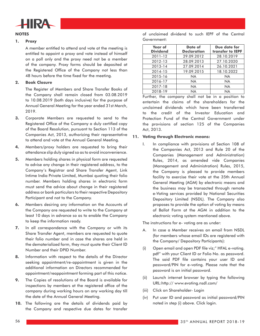

## **NOTES**

## **1. Proxy**

A member entitled to attend and vote at the meeting is entitled to appoint a proxy and vote instead of himself on a poll only and the proxy need not be a member of the company. Proxy forms should be deposited at the Registered Office of the Company not less than 48 hours before the time fixed for the meeting.

## **2. Book Closure**

The Register of Members and Share Transfer Books of the Company shall remain closed from 03.08.2019 to 10.08.2019 (both days inclusive) for the purpose of Annual General Meeting for the year ended 31st March, 2019.

- **3.** Corporate Members are requested to send to the Registered Office of the Company a duly certified copy of the Board Resolution, pursuant to Section 113 of the Companies Act, 2013, authorizing their representative to attend and vote at the Annual General Meeting.
- **4.** Members/proxy holders are requested to bring their attendance slip duly signed so as to avoid inconvenience.
- **5.** Members holding shares in physical form are requested to advise any change in their registered address, to the Company's Registrar and Share Transfer Agent, Link Intime India Private Limited, Mumbai quoting their folio number. Members holding shares in electronic form must send the advice about change in their registered address or bank particulars to their respective Depository Participant and not to the Company.
- **6.** Members desiring any information on the Accounts of the Company are requested to write to the Company at least 10 days in advance so as to enable the Company to keep the information ready.
- **7.** In all correspondence with the Company or with its Share Transfer Agent, members are requested to quote their folio number and in case the shares are held in the dematerialized form, they must quote their Client ID Number and their DPID Number.
- **8.** Information with respect to the details of the Director seeking appointment/re-appointment is given in the additional information on Directors recommended for appointment/reappointment forming part of this notice.
- **9.** The Copies of resolutions of the Board is available for inspections by members at the registered office of the company during working hours on any working day till the date of the Annual General Meeting.
- **10.** The following are the details of dividends paid by the Company and respective due dates for transfer

of unclaimed dividend to such IEPF of the Central Government:

| <b>Year of</b><br><b>Dividend</b> | Date of<br><b>Declaration</b> | Due date for<br>transfer to <b>IEPF</b> |
|-----------------------------------|-------------------------------|-----------------------------------------|
| 2011-12                           | 29.09.2012                    | 28.10.2019                              |
| 2012-13                           | 28.09.2013                    | 27.10.2020                              |
| 2013-14                           | 27.09.2014                    | 26.10.2021                              |
| 2014-15                           | 19.09.2015                    | 18.10.2022                              |
| 2015-16                           | <b>NA</b>                     | <b>NA</b>                               |
| 2016-17                           | <b>NA</b>                     | <b>NA</b>                               |
| 2017-18                           | <b>NA</b>                     | <b>NA</b>                               |
| 2018-19                           | <b>NA</b>                     | <b>NA</b>                               |

Further, the company shall not be in a position to entertain the claims of the shareholders for the unclaimed dividends which have been transferred to the credit of the Investor Education and Protection Fund of the Central Government under the provisions of section 125 of the Companies Act, 2013.

## **11. Voting through Electronic means:**

I. In compliance with provisions of Section 108 of the Companies Act, 2013 and Rule 20 of the Companies (Management and Administration) Rules, 2014, as amended vide Companies (Management and Administration) Rules, 2015, the Company is pleased to provide members facility to exercise their vote at the 35th Annual General Meeting (AGM) by electronic means and the business may be transacted through remote e-Voting services provided by National Securities Depository Limited (NSDL). The Company also proposes to provide the option of voting by means of Ballot Form at the AGM in addition to the electronic voting system mentioned above.

The instructions for e- voting are as under:

- A. In case a Member receives an email from NSDL (for members whose email IDs are registered with the Company/ Depository Participants):
- (i) Open email and open PDF file viz;" HFAL e-voting. pdf" with your Client ID or Folio No. as password. The said PDF file contains your user ID and password/PIN for e-voting. Please note that the password is an initial password.
- (ii) Launch internet browser by typing the following URL:http:// www.evoting.nsdl.com/
- (iii) Click on Shareholder- Login
- (iv) Put user ID and password as initial password/PIN noted in step (i) above. Click login.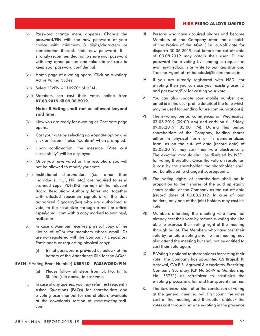## **Hira Ferro Alloys Limited**

- (v) Password change menu appears. Change the password/PIN with the new password of your choice with minimum 8 digits/characters or combination thereof. Note new password. It is strongly recommended not to share your password with any other person and take utmost care to keep your password confidential.
- (vi) Home page of e-voting opens. Click on e-voting: Active Voting Cycles.
- (vii) Select "EVEN 110970" of HFAL.
- (viii) Members can cast their votes online from **07.08.2019** till **09.08.2019**.

**Note: E-Voting shall not be allowed beyond said time.**

- (ix) Now you are ready for e-voting as Cast Vote page opens.
- (x) Cast your vote by selecting appropriate option and click on "submit" also "Confirm" when prompted.
- (xi) Upon confirmation, the message "Vote cast successfully" will be displayed.
- (xii) Once you have voted on the resolution, you will not be allowed to modify your vote.
- (xiii) Institutional shareholders (i.e. other than individuals, HUF, NRI etc.) are required to send scanned copy (PDF/JPG Format) of the relevant Board Resolution/ Authority letter etc. together with attested specimen signature of the duly authorized Signatory(ies) who are authorized to vote, to the scrutinizer through e-mail to office. csps@gmail.com with a copy marked to evoting@ nsdl.co.in.
- B. In case a Member receives physical copy of the Notice of AGM (for members whose email IDs are not registered with the Company / Depository Participants or requesting physical copy):
	- (i) Initial password is provided as below/ at the bottom of the Attendance Slip for the AGM:

## **EVEN** (E Voting Event Number) **USER ID PASSWORD/PIN**

- (ii) Please follow all steps from Sl. No. (ii) to Sl. No. (xiii) above, to cast vote.
- II. In case of any queries, you may refer the Frequently Asked Questions (FAQs) for shareholders and e-voting user manual for shareholders available at the downloads section of www.evoting.nsdl. com.
- III. Persons who have acquired shares and became Members of the Company after the dispatch of the Notice of the AGM ( i.e. cut-off date for dispatch 30.06.2019) but before the cut-off date of 03.08.2019 may obtain their user ID and password for e-voting by sending a request at evoting@nsdl.co.in or write to our Registrar and Transfer Agent at rnt.helpdesk@linkintime.co.in
- IV. If you are already registered with NSDL for e-voting then you can use your existing user ID and password/PIN for casting your vote.
- V. You can also update your mobile number and email id in the user profile details of the folio which may be used for sending future communication(s).
- VI. The e-voting period commences on Wednesday, 07.08.2019 (09:00 AM) and ends on till Friday, 09.08.2019 (05:00 PM). During this period shareholders of the Company, holding shares either in physical form or in dematerialized form, as on the cut- off date (record date) of 03.08.2019, may cast their vote electronically. The e-voting module shall be disabled by NSDL for voting thereafter. Once the vote on resolution is cast by the shareholder, the shareholder shall not be allowed to change it subsequently.
- VII. The voting rights of shareholders shall be in proportion to their shares of the paid up equity share capital of the Company as the cut-off date (record date) of 03.08.2019. In case of joint holders, only one of the joint holders may cast his vote.
- VIII. Members attending the meeting who have not already cast their vote by remote e-voting shall be able to exercise their voting right at the meeting through ballot. The Members who have cast their vote by remote e-voting prior to the meeting may also attend the meeting but shall not be entitled to cast their vote again.
- IX. E-Voting is optional to shareholders for casting their vote. The Company has appointed CS Brajesh R. Agrawal, C/o B.R. Agrawal & Associates, Practicing Company Secretary (CP No.5649 & Membership No. F5771) as scrutinizer to scrutinize the e-voting process in a fair and transparent manner.
- X. The Scrutinizer shall after the conclusion of voting at the general meeting, will first count the votes cast at the meeting and thereafter unblock the votes cast through remote e-voting in the presence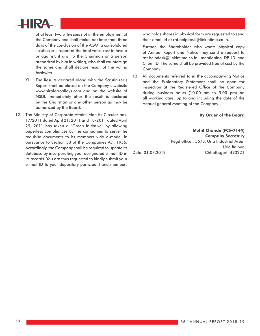

of at least two witnesses not in the employment of the Company and shall make, not later than three days of the conclusion of the AGM, a consolidated scrutinizer's report of the total votes cast in favour or against, if any, to the Chairman or a person authorized by him in writing, who shall countersign the same and shall declare result of the voting forthwith.

- XI. The Results declared along with the Scrutinizer's Report shall be placed on the Company's website www.hiraferroalloys.com and on the website of NSDL immediately after the result is declared by the Chairman or any other person as may be authorized by the Board.
- 12. The Ministry of Corporate Affairs, vide its Circular nos. 17/2011 dated April 21, 2011 and 18/2011 dated April 29, 2011 has taken a "Green Initiative" by allowing paperless compliances by the companies to serve the requisite documents to its members vide e-mode, in pursuance to Section 53 of the Companies Act, 1956. Accordingly, the Company shall be required to update its database by incorporating your designated e-mail ID in its records. You are thus requested to kindly submit your e-mail ID to your depository participant and members

who holds shares in physical form are requested to send their email id at rnt.helpdesk@linkintime.co.in.

Further, the Shareholder who wants physical copy of Annual Report and Notice may send a request to rnt.helpdesk@linkintime.co.in, mentioning DP ID and Client ID. The same shall be provided free of cost by the Company.

13. All documents referred to in the accompanying Notice and the Explanatory Statement shall be open for inspection at the Registered Office of the Company during business hours (10.00 am to 5.00 pm) on all working days, up to and including the date of the Annual general Meeting of the Company.

**By Order of the Board**

**Mohit Chande (FCS-7144) Company Secretary** Regd office : 567B, Urla Industrial Area, Urla Raipur, Date: 01.07.2019 Chhattisgarh 493221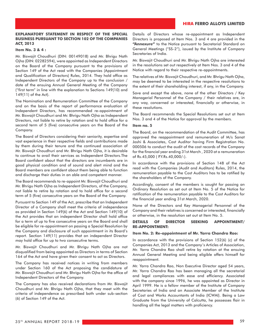## **Hira Ferro Alloys Limited**

## **EXPLANATORY STATEMENT IN RESPECT OF THE SPECIAL BUSINESS PURSUANT TO SECTION 102 OF THE COMPANIES ACT, 2013**

#### **Item No. 3 & 4 :**

Mr. Biswajit Choudhuri (DIN: 00149018) and Mr. Bhrigu Nath Ojha (DIN: 02282594), were appointed as Independent Directors on the Board of the Company pursuant to the provisions of Section 149 of the Act read with the Companies (Appointment and Qualification of Directors) Rules, 2014. They hold office as Independent Directors of the Company up to the conclusion / date of the ensuing Annual General Meeting of the Company ("first term" in line with the explanation to Sections 149(10) and 149(11) of the Act).

The Nomination and Remuneration Committee of the Company and on the basis of the report of performance evaluation of Independent Directors, has recommended re-appointment of Mr. Biswajit Choudhuri and Mr. Bhrigu Nath Ojha as Independent Directors, not liable to retire by rotation and to hold office for a second term of 5 (five) consecutive years on the Board of the Company.

The Board of Directors considering their seniority, expertise and vast experience in their respective fields and contributions made by them during their tenure and the continued association of Mr. Biswajit Choudhuri and Mr. Bhrigu Nath Ojha, it is desirable to continue to avail their services as Independent Directors.The Board confident about that the directors are incumbents are in good physical condition and of sound and alert mind and the Board members are confident about them being able to function and discharge their duties in an able and competent manner.

The Board recommends to re-appoint Mr. Biswajit Choudhuri and Mr. Bhrigu Nath Ojha as Independent Directors, of the Company, not liable to retire by rotation and to hold office for a second term of 5 (five) consecutive years on the Board of the Company.

Pursuant to Section 149 of the Act, prescribe that an Independent Director of a Company shall meet the criteria of independence as provided in Section 149(6) of the Act and Section 149(10) of the Act provides that an independent Director shall hold office for a term of up to five consecutive years on the Board and shall be eligible for re-appointment on passing a Special Resolution by the Company and disclosure of such appointment in its Board's report. Section 149(11) provides that an independent Director may hold office for up to two consecutive terms.

Mr. Biswajit Choudhuri and Mr. Bhrigu Nath Ojha are not disqualified from being appointed as Directors in terms of Section 164 of the Act and have given their consent to act as Directors.

The Company has received notices in writing from members under Section 160 of the Act proposing the candidature of Mr. Biswajit Choudhuri and Mr. Bhrigu Nath Ojha for the office of Independent Directors of the Company.

The Company has also received declarations from Mr. Biswajit Choudhuri and Mr. Bhrigu Nath Ojha, that they meet with the criteria of independence as prescribed both under sub-section (6) of Section 149 of the Act.

Details of Directors whose re-appointment as Independent Directors is proposed at Item Nos. 3 and 4 are provided in the **"Annexure"** to the Notice pursuant to Secretarial Standard on General Meetings ("SS-2"), issued by the Institute of Company Secretaries of India.

Mr. Biswajit Choudhuri and Mr. Bhrigu Nath Ojha are interested in the resolutions set out respectively at Item Nos. 3 and 4 of the Notice with regard to their respective re-appointments.

The relatives of Mr. Biswajit Choudhuri, and Mr. Bhrigu Nath Ojha, may be deemed to be interested in the respective resolutions to the extent of their shareholding interest, if any, in the Company.

Save and except the above, none of the other Directors / Key Managerial Personnel of the Company / their relatives are, in any way, concerned or interested, financially or otherwise, in these resolutions.

The Board recommends the Special Resolutions set out at Item Nos. 3 and 4 of the Notice for approval by the members.

#### **Item no. 5**

The Board, on the recommendation of the Audit Committee, has approved the reappointment and remuneration of M/s Sanat Joshi & Associates, Cost Auditor having Firm Registration No. 000506 to conduct the audit of the cost records of the Company for the financial year ending 31st March , 2020 at a remuneration of Rs.45,000 ( P.Y.Rs.40,000/-).

In accordance with the provisions of Section 148 of the Act read with the Companies (Audit and Auditors) Rules, 2014, the remuneration payable to the Cost Auditors has to be ratified by the shareholders of the Company.

Accordingly, consent of the members is sought for passing an Ordinary Resolution as set out at Item No. 5 of the Notice for ratification of the remuneration payable to the Cost Auditors for the financial year ending 31st March, 2020.

None of the Directors and Key Managerial Personnel of the Company and their relatives is concerned or interested, financially or otherwise, in the resolution set out at Item No. 5.

## **DETAILS OF DIRECTOR SEEKING APPOINTMENT/ RE-APPOINTMENT:**

## **Item No. 2: Re-appointment of Mr. Yarra Chandra Rao:**

In accordance with the provisions of Section 152(6) (c) of the Companies Act, 2013 and the Company's Articles of Association, Mr. Yarra Chandra Rao shall retire by rotation at the ensuing Annual General Meeting and being eligible offers himself for reappointment.

Mr. Yarra Chandra Rao, Non Executive Director aged 54 years, Mr. Yarra Chandra Rao has been managing all the secretarial and legal compliances with ease and efficiency. Associated with the company since 1996, he was appointed as Director in April 1999. He is a fellow member of the Institute of Company Secretaries of India and an Associate Member of the Institute of Cost and Works Accountants of India (ICWAI). Being a Law Graduate from the University of Calcutta, he possesses flair in handling all the legal matters with proficiency.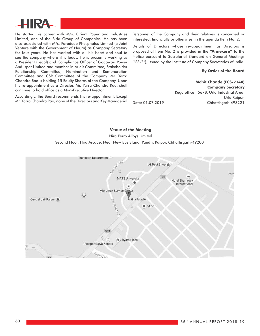

He started his career with M/s. Orient Paper and Industries Limited, one of the Birla Group of Companies. He has been also associated with M/s. Paradeep Phosphates Limited (a Joint Venture with the Government of Nauru) as Company Secretary for four years. He has worked with all his heart and soul to see the company where it is today. He is presently working as a President (Legal) and Compliance Officer of Godawari Power And Ispat Limited and member in Audit Committee, Stakeholder Relationship Committee, Nomination and Remuneration Committee and CSR Committee of the Company. Mr. Yarra Chandra Rao is holding 15 Equity Shares of the Company. Upon his re-appointment as a Director, Mr. Yarra Chandra Rao, shall continue to hold office as a Non-Executive Director.

Accordingly, the Board recommends his re-appointment. Except Mr. Yarra Chandra Rao, none of the Directors and Key Managerial Personnel of the Company and their relatives is concerned or interested, financially or otherwise, in the agenda Item No. 2.

Details of Directors whose re-appointment as Directors is proposed at Item No. 2 is provided in the **"Annexure"** to the Notice pursuant to Secretarial Standard on General Meetings ("SS-2"), issued by the Institute of Company Secretaries of India.

## **By Order of the Board**

**Mohit Chande (FCS-7144) Company Secretary** Regd office : 567B, Urla Industrial Area, Urla Raipur, Date: 01.07.2019 Chhattisgarh 493221

**Venue of the Meeting**

Hira Ferro Alloys Limited

Second Floor, Hira Arcade, Near New Bus Stand, Pandri, Raipur, Chhattisgarh-492001

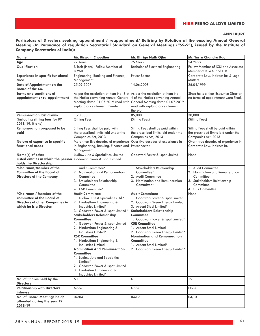#### **ANNEXURE**

**Particulars of Directors seeking appointment / reappointment/ Retiring by Rotation at the ensuing Annual General Meeting (In Pursuance of regulation Secretarial Standard on General Meetings ("SS-2"), issued by the Institute of Company Secretaries of India):**

| <b>Name</b>                                                                                                                        | <b>Mr. Biswajit Choudhuri</b>                                                                                                                                                                                                                                                                                                                                                                                                                                                                                                                                                                | Mr. Bhrigu Nath Ojha                                                                                                                                                                                                                                                                                                                                                                                                                         | Mr. Yarra Chandra Rao                                                                                                              |
|------------------------------------------------------------------------------------------------------------------------------------|----------------------------------------------------------------------------------------------------------------------------------------------------------------------------------------------------------------------------------------------------------------------------------------------------------------------------------------------------------------------------------------------------------------------------------------------------------------------------------------------------------------------------------------------------------------------------------------------|----------------------------------------------------------------------------------------------------------------------------------------------------------------------------------------------------------------------------------------------------------------------------------------------------------------------------------------------------------------------------------------------------------------------------------------------|------------------------------------------------------------------------------------------------------------------------------------|
| Age                                                                                                                                | 77 Years                                                                                                                                                                                                                                                                                                                                                                                                                                                                                                                                                                                     | 75 Years                                                                                                                                                                                                                                                                                                                                                                                                                                     | 54 Years                                                                                                                           |
| Qualification                                                                                                                      | B.Tech (Hons), Fellow Member of<br><b>ICWAI</b>                                                                                                                                                                                                                                                                                                                                                                                                                                                                                                                                              | <b>Bachelor of Electrical Engineering</b>                                                                                                                                                                                                                                                                                                                                                                                                    | Fellow Member of ICSI and Associate<br>Member of ICWAI and LLB                                                                     |
| <b>Experience in specific functional</b><br>area                                                                                   | Engineering, Banking and Finance,<br>Management                                                                                                                                                                                                                                                                                                                                                                                                                                                                                                                                              | Power Sector                                                                                                                                                                                                                                                                                                                                                                                                                                 | Corporate Law, Indirect Tax & Legal<br><b>Matters</b>                                                                              |
| Date of Appointment on the                                                                                                         | 25.09.2007                                                                                                                                                                                                                                                                                                                                                                                                                                                                                                                                                                                   | 14.06.2008                                                                                                                                                                                                                                                                                                                                                                                                                                   | 26.04.1999                                                                                                                         |
| <b>Board of the Co.</b>                                                                                                            |                                                                                                                                                                                                                                                                                                                                                                                                                                                                                                                                                                                              |                                                                                                                                                                                                                                                                                                                                                                                                                                              |                                                                                                                                    |
| <b>Terms and conditions of</b><br>appointment or re-appointment                                                                    | As per the resolution at Item No. 3 of As per the resolution at Item No.<br>the Notice convening Annual General 4 of the Notice convening Annual<br>Meeting dated 01.07.2019 read with General Meeting dated 01.07.2019<br>explanatory statement thereto                                                                                                                                                                                                                                                                                                                                     | read with explanatory statement<br>thereto                                                                                                                                                                                                                                                                                                                                                                                                   | Since he is a Non-Executive Director,<br>no terms of appointment were fixed.                                                       |
| <b>Remuneration last drawn</b><br>(including sitting fees for FY<br>2018-19, if any)                                               | 1,20,000<br>(Sitting Fees)                                                                                                                                                                                                                                                                                                                                                                                                                                                                                                                                                                   | 85,000<br>(Sitting Fees)                                                                                                                                                                                                                                                                                                                                                                                                                     | 30,000<br>(Sitting Fees)                                                                                                           |
| <b>Remuneration proposed to be</b><br>paid                                                                                         | Sitting Fees shall be paid within<br>the prescribed limits laid under the<br>Companies Act, 2013                                                                                                                                                                                                                                                                                                                                                                                                                                                                                             | Sitting Fees shall be paid within<br>the prescribed limits laid under the<br>Companies Act, 2013                                                                                                                                                                                                                                                                                                                                             | Sitting Fees shall be paid within<br>the prescribed limits laid under the<br>Companies Act, 2013                                   |
| Nature of expertise in specific<br>functional areas                                                                                | More than five decades of experience<br>in Engineering, Banking, Finance and Power sector.<br>Management                                                                                                                                                                                                                                                                                                                                                                                                                                                                                     | Over five decades of experience in                                                                                                                                                                                                                                                                                                                                                                                                           | Over three decades of experience in<br>Corporate Law, Indirect Tax                                                                 |
| Name(s) of other<br>Listed entities in which the person<br>holds the Directorship                                                  | Ludlow Jute & Specialities Limited<br>Godawari Power & Ispat Limited                                                                                                                                                                                                                                                                                                                                                                                                                                                                                                                         | Godawari Power & Ispat Limited                                                                                                                                                                                                                                                                                                                                                                                                               | None                                                                                                                               |
| *Chairman/Member of the<br><b>Committee of the Board of</b><br><b>Directors of the Company</b>                                     | 1. Audit Committee*<br>2. Nomination and Remuneration<br>Committee<br>3. Stakeholders Relationship<br>Committee<br>4. CSR Committee*                                                                                                                                                                                                                                                                                                                                                                                                                                                         | 1. Stakeholders Relationship<br>Committee*<br>2. Audit Committee<br>3. Nomination and Remuneration<br>Committee*                                                                                                                                                                                                                                                                                                                             | 1. Audit Committee<br>2. Nomination and Remuneration<br>Committee<br>3. Stakeholders Relationship<br>Committee<br>4. CSR Committee |
| *Chairman / Member of the<br><b>Committee of the Board of</b><br><b>Directors of other Companies in</b><br>which he is a Director. | <b>Audit Committee</b><br>1. Ludlow Jute & Specialities Ltd.*<br>2. Hindusthan Engineering &<br>Industries Limited*<br>3. Godawari Power & Ispat Limited *<br><b>Stakeholders Relationship</b><br><b>Committee</b><br>1. Godawari Power & Ispat Limited<br>2. Hindusthan Engineering &<br>Industries Limited*<br><b>CSR Committee</b><br>1. Hindusthan Engineering &<br>Industries Limited<br><b>Nomination And Remuneration</b><br><b>Committee</b><br>1. Ludlow Jute and Specialties<br>Limited*<br>2. Godawari Power & Ispat Limited<br>3. Hindustan Engineering &<br>Industries Limited* | <b>Audit Committee</b><br>1. Godawari Power & Ispat Limited<br>2. Godawari Green Energy Limited<br>3. Ardent Steel Limited*<br><b>Stakeholders Relationship</b><br><b>Committee</b><br>1. Godawari Power & Ispat Limited*<br><b>CSR Committee</b><br>1. Ardent Steel Limited<br>2. Godawari Green Energy Limited*<br><b>Nomination and Remuneration</b><br><b>Committee</b><br>1. Ardent Steel Limited*<br>2. Godawari Green Energy Limited* | None                                                                                                                               |
| No. of Shares held by the<br><b>Directors</b>                                                                                      | <b>NIL</b>                                                                                                                                                                                                                                                                                                                                                                                                                                                                                                                                                                                   | <b>NIL</b>                                                                                                                                                                                                                                                                                                                                                                                                                                   | 15                                                                                                                                 |
| <b>Relationship with Directors</b><br>inter-se                                                                                     | None                                                                                                                                                                                                                                                                                                                                                                                                                                                                                                                                                                                         | None                                                                                                                                                                                                                                                                                                                                                                                                                                         | None                                                                                                                               |
| No. of Board Meetings held/<br>attended during the year FY<br>2018-19                                                              | 04/04                                                                                                                                                                                                                                                                                                                                                                                                                                                                                                                                                                                        | 04/03                                                                                                                                                                                                                                                                                                                                                                                                                                        | 04/04                                                                                                                              |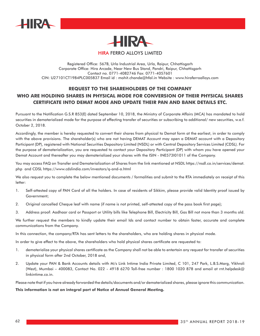



Registered Office: 567B, Urla Industrial Area, Urla, Raipur, Chhattisgarh Corporate Office: Hira Arcade, Near New Bus Stand, Pandri, Raipur, Chhattisgarh Contact no. 0771-4082746 Fax: 0771-4057601 CIN: U27101CT1984PLC005837 Email id : mohit.chande@hfal.in Website : www.hiraferroalloys.com

# **REQUEST TO THE SHAREHOLDERS OF THE COMPANY WHO ARE HOLDING SHARES IN PHYSICAL MODE FOR CONVERSION OF THEIR PHYSICAL SHARES CERTIFICATE INTO DEMAT MODE AND UPDATE THEIR PAN AND BANK DETAILS ETC.**

Pursuant to the Notification G.S.R 853(E) dated September 10, 2018, the Ministry of Corporate Affairs (MCA) has mandated to hold securities in dematerialized mode for the purpose of effecting transfer of securities or subscribing to additional/ new securities, w.e.f. October 2, 2018.

Accordingly, the member is hereby requested to convert their shares from physical to Demat form at the earliest, in order to comply with the above provisions. The shareholder(s) who are not having DEMAT Account may open a DEMAT account with a Depository Participant (DP), registered with National Securities Depository Limited (NSDL) or with Central Depository Services Limited (CDSL). For the purpose of dematerialization, you are requested to contact your Depository Participant (DP) with whom you have opened your Demat Account and thereafter you may dematerialized your shares with the ISIN - INE573I01011 of the Company.

You may access FAQ on Transfer and Dematerialization of Shares from the link mentioned at NSDL https://nsdl.co.in/services/demat. php and CDSL https://www.cdslindia.com/investors/q-and-a.html

We also request you to complete the below mentioned documents / formalities and submit to the RTA immediately on receipt of this letter:

- 1. Self-attested copy of PAN Card of all the holders. In case of residents of Sikkim, please provide valid Identity proof issued by Government;
- 2. Original cancelled Cheque leaf with name (if name is not printed, self-attested copy of the pass book first page);
- 3. Address proof: Aadhaar card or Passport or Utility bills like Telephone Bill, Electricity Bill, Gas Bill not more than 3 months old.

We further request the members to kindly update their email Ids and contact number to obtain faster, accurate and complete communications from the Company.

In this connection, the company/RTA has sent letters to the shareholders, who are holding shares in physical mode.

In order to give effect to the above, the shareholders who hold physical shares certificate are requested to:

- 1. dematerialize your physical shares certificate as the Company shall not be able to entertain any request for transfer of securities in physical form after 2nd October, 2018 and,
- 2. Update your PAN & Bank Accounts details with M/s Link Intime India Private Limited, C 101, 247 Park, L.B.S.Marg, Vikhroli (West), Mumbai – 400083, Contact No. 022 - 4918 6270 Toll-free number : 1800 1020 878 and email at rnt.helpdesk@ linkintime.co.in.

Please note that if you have already forwarded the details/documents and/or dematerialized shares, please ignore this communication.

**This information is not an integral part of Notice of Annual General Meeting.**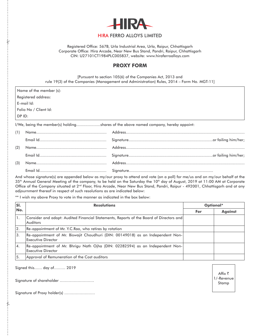

# **HIRA FERRO ALLOYS LIMITED**

Registered Office: 567B, Urla Industrial Area, Urla, Raipur, Chhattisgarh Corporate Office: Hira Arcade, Near New Bus Stand, Pandri, Raipur, Chhattisgarh CIN: U27101CT1984PLC005837, website: www.hiraferroalloys.com

# **PROXY FORM**

[Pursuant to section 105(6) of the Companies Act, 2013 and rule 19(3) of the Companies (Management and Administration) Rules, 2014 – Form No. MGT-11]

Name of the member (s): Registered address: E-mail Id:

Folio No / Client Id:

DP ID:

f

l/We, being the member(s) holding.....................shares of the above named company, hereby appoint:

And whose signature(s) are appended below as my/our proxy to attend and vote (on a poll) for me/us and on my/our behalf at the 35<sup>th</sup> Annual General Meeting of the company, to be held on the Saturday the 10<sup>th</sup> day of August, 2019 at 11:00 AM at Corporate Office of the Company situated at 2<sup>nd</sup> Floor, Hira Arcade, Near New Bus Stand, Pandri, Raipur - 492001, Chhattisgarh and at any adjournment thereof in respect of such resolutions as are indicated below:

\*\* I wish my above Proxy to vote in the manner as indicated in the box below:

| SI. | <b>Resolutions</b>                                                                                           |     | Optional*      |  |
|-----|--------------------------------------------------------------------------------------------------------------|-----|----------------|--|
| No. |                                                                                                              | For | <b>Against</b> |  |
|     | Consider and adopt: Audited Financial Statements, Reports of the Board of Directors and<br><b>Auditors</b>   |     |                |  |
| 2.  | Re-appointment of Mr. Y.C.Rao, who retires by rotation                                                       |     |                |  |
| 3.  | Re-appointment of Mr. Biswajit Choudhuri (DIN: 00149018) as an Independent Non-<br><b>Executive Director</b> |     |                |  |
| 4.  | Re-appointment of Mr. Bhrigu Nath Ojha (DIN: 02282594) as an Independent Non-<br><b>Executive Director</b>   |     |                |  |
| 5.  | Approval of Remuneration of the Cost auditors                                                                |     |                |  |

Signed this…… day of……… 2019

╬

Signature of shareholder ………………………

Signature of Proxy holder(s) ……………………

Affix  $\bar{z}$ 1/-Revenue Stamp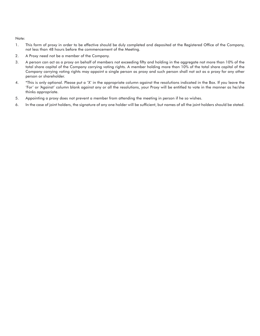Note:

- 1. This form of proxy in order to be effective should be duly completed and deposited at the Registered Office of the Company, not less than 48 hours before the commencement of the Meeting.
- 2. A Proxy need not be a member of the Company.
- 3. A person can act as a proxy on behalf of members not exceeding fifty and holding in the aggregate not more than 10% of the total share capital of the Company carrying voting rights. A member holding more than 10% of the total share capital of the Company carrying voting rights may appoint a single person as proxy and such person shall not act as a proxy for any other person or shareholder.
- 4. \*This is only optional. Please put a 'X' in the appropriate column against the resolutions indicated in the Box. If you leave the 'For' or 'Against' column blank against any or all the resolutions, your Proxy will be entitled to vote in the manner as he/she thinks appropriate.
- 5. Appointing a proxy does not prevent a member from attending the meeting in person if he so wishes.
- 6. In the case of joint holders, the signature of any one holder will be sufficient, but names of all the joint holders should be stated.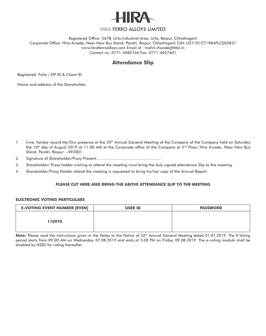

# HIRA FERRO ALLOYS LIMITED

Registered Office: 567B, Urla Industrial Area, Urla, Raipur, Chhattisgarh Corporate Office: Hira Arcade, Near New Bus Stand, Pandri, Raipur, Chhattisgarh CIN: U27101CT1984PLC005837 www.hiraferroalloys.com Email id : mohit.chande@hfal.in Contact no. 0771-4082746 Fax: 0771-4057601

# **Attendance Slip**

Registered Folio / DP ID & Client ID

Name and address of the Shareholder

- 1. I/we, hereby record My/Our presence at the 35<sup>th</sup> Annual General Meeting of the Company of the Company held on Saturday the 10<sup>th</sup> day of August 2019 at 11:00 AM at the Corporate office of the Company at 2<sup>nd</sup> Floor, Hira Arcade, Near New Bus Stand, Pandri, Raipur – 492001.
- 2. Signature of Shareholder/Proxy Present:………………………………………….
- 3. Shareholder/ Proxy holder wishing to attend the meeting must bring the duly signed attendance Slip to the meeting.
- 4. Shareholder/Proxy Holder attend the meeting is requested to bring his/her copy of the Annual Report.

## **PLEASE CUT hERE AND BRING ThE ABOvE ATTENDANCE SLIP TO ThE MEETING**

#### **ELECTRONIC VOTING PARTICULARS**

| <b>E-VOTING EVENT NUMBER [EVEN]</b> | <b>USER ID</b> | <b>PASSWORD</b> |
|-------------------------------------|----------------|-----------------|
| 110970                              |                |                 |

Note: Please read the instructions given in the Notes to the Notice of 35<sup>th</sup> Annual General Meeting dated 01.07.2019. The E-Voting period starts from 09:00 AM on Wednesday, 07.08.2019 and ends at 5:00 PM on Friday, 09.08.2019. The e-voting module shall be disabled by NSDL for voting thereafter.